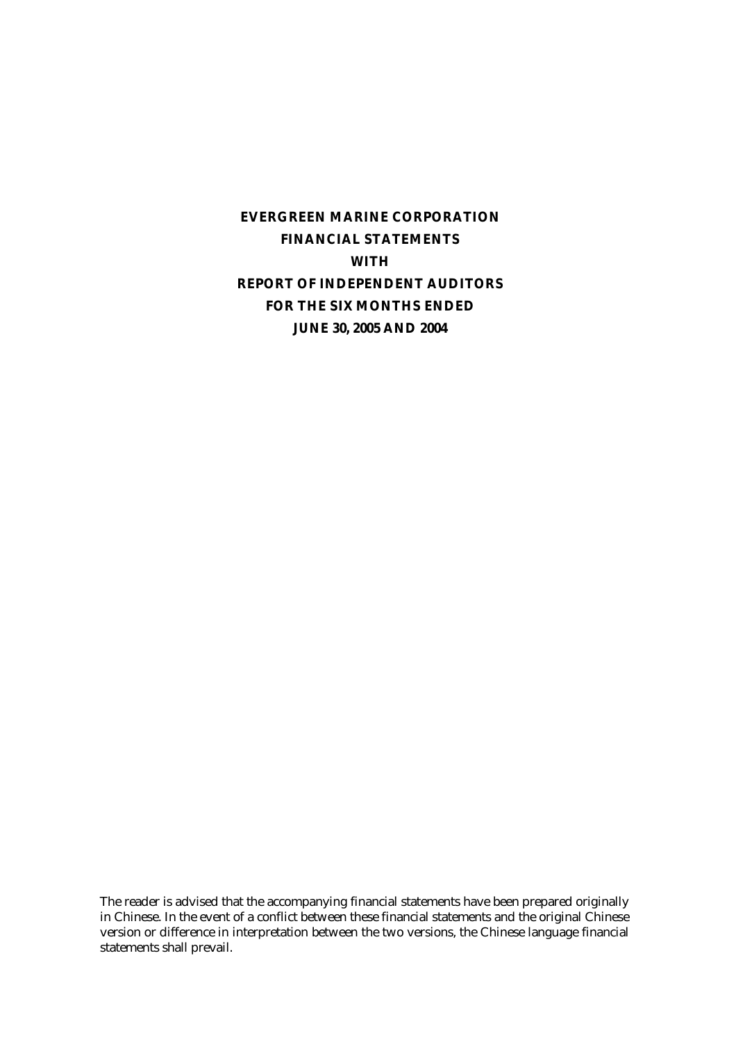# **EVERGREEN MARINE CORPORATION FINANCIAL STATEMENTS WITH REPORT OF INDEPENDENT AUDITORS FOR THE SIX MONTHS ENDED JUNE 30, 2005 AND 2004**

The reader is advised that the accompanying financial statements have been prepared originally in Chinese. In the event of a conflict between these financial statements and the original Chinese version or difference in interpretation between the two versions, the Chinese language financial statements shall prevail.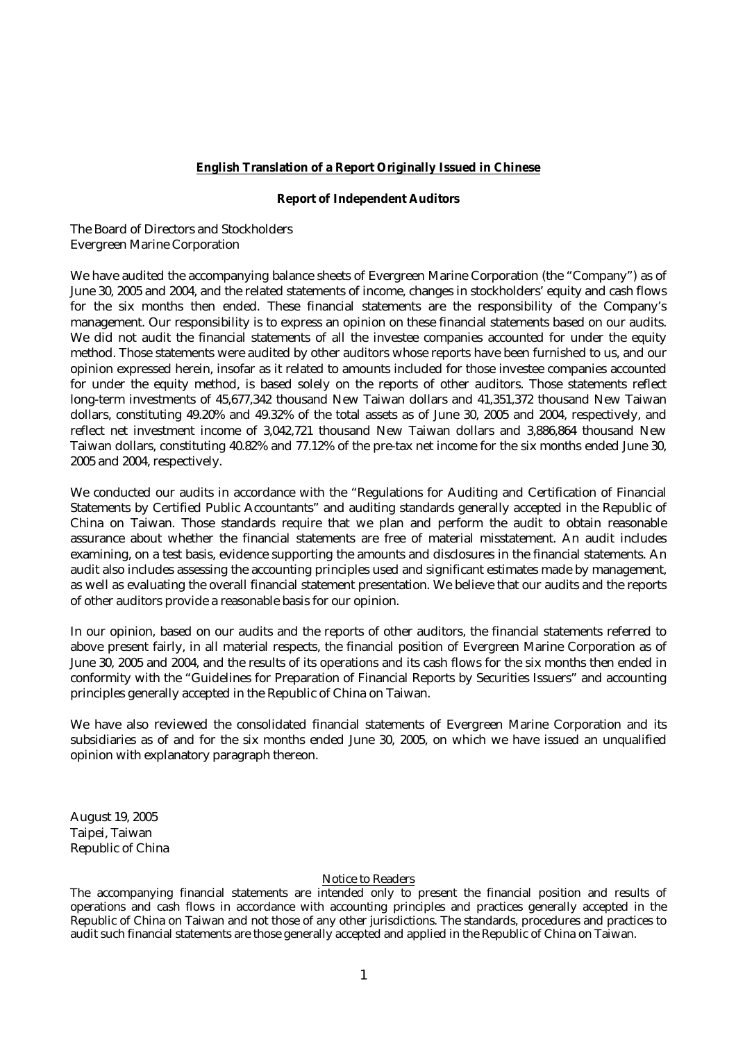#### **English Translation of a Report Originally Issued in Chinese**

#### **Report of Independent Auditors**

The Board of Directors and Stockholders Evergreen Marine Corporation

We have audited the accompanying balance sheets of Evergreen Marine Corporation (the "Company") as of June 30, 2005 and 2004, and the related statements of income, changes in stockholders' equity and cash flows for the six months then ended. These financial statements are the responsibility of the Company's management. Our responsibility is to express an opinion on these financial statements based on our audits. We did not audit the financial statements of all the investee companies accounted for under the equity method. Those statements were audited by other auditors whose reports have been furnished to us, and our opinion expressed herein, insofar as it related to amounts included for those investee companies accounted for under the equity method, is based solely on the reports of other auditors. Those statements reflect long-term investments of 45,677,342 thousand New Taiwan dollars and 41,351,372 thousand New Taiwan dollars, constituting 49.20% and 49.32% of the total assets as of June 30, 2005 and 2004, respectively, and reflect net investment income of 3,042,721 thousand New Taiwan dollars and 3,886,864 thousand New Taiwan dollars, constituting 40.82% and 77.12% of the pre-tax net income for the six months ended June 30, 2005 and 2004, respectively.

We conducted our audits in accordance with the "Regulations for Auditing and Certification of Financial Statements by Certified Public Accountants" and auditing standards generally accepted in the Republic of China on Taiwan. Those standards require that we plan and perform the audit to obtain reasonable assurance about whether the financial statements are free of material misstatement. An audit includes examining, on a test basis, evidence supporting the amounts and disclosures in the financial statements. An audit also includes assessing the accounting principles used and significant estimates made by management, as well as evaluating the overall financial statement presentation. We believe that our audits and the reports of other auditors provide a reasonable basis for our opinion.

In our opinion, based on our audits and the reports of other auditors, the financial statements referred to above present fairly, in all material respects, the financial position of Evergreen Marine Corporation as of June 30, 2005 and 2004, and the results of its operations and its cash flows for the six months then ended in conformity with the "Guidelines for Preparation of Financial Reports by Securities Issuers" and accounting principles generally accepted in the Republic of China on Taiwan.

We have also reviewed the consolidated financial statements of Evergreen Marine Corporation and its subsidiaries as of and for the six months ended June 30, 2005, on which we have issued an unqualified opinion with explanatory paragraph thereon.

August 19, 2005 Taipei, Taiwan Republic of China

#### Notice to Readers

The accompanying financial statements are intended only to present the financial position and results of operations and cash flows in accordance with accounting principles and practices generally accepted in the Republic of China on Taiwan and not those of any other jurisdictions. The standards, procedures and practices to audit such financial statements are those generally accepted and applied in the Republic of China on Taiwan.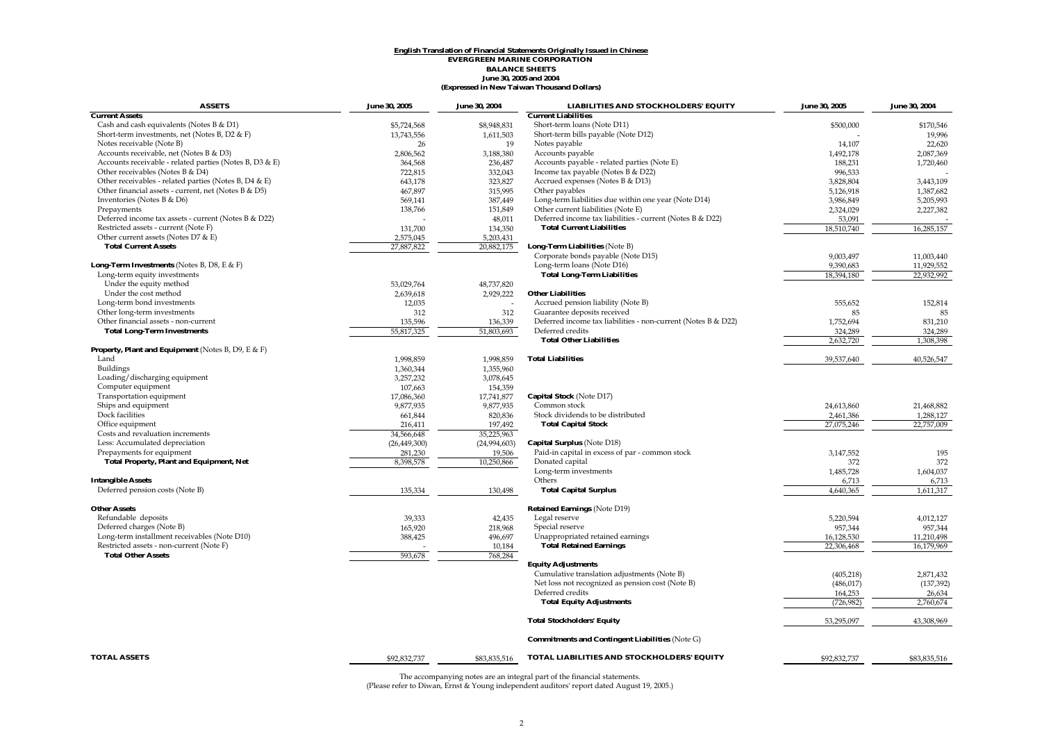#### **(Expressed in New Taiwan Thousand Dollars) English Translation of Financial Statements Originally Issued in Chinese EVERGREEN MARINE CORPORATION BALANCE SHEETS June 30, 2005 and 2004**

| <b>ASSETS</b>                                             | <b>June 30, 2005</b> | <b>June 30, 2004</b> | <b>LIABILITIES AND STOCKHOLDERS' EQUITY</b>                   | <b>June 30, 2005</b> | June 30, 2004 |
|-----------------------------------------------------------|----------------------|----------------------|---------------------------------------------------------------|----------------------|---------------|
| <b>Current Assets</b>                                     |                      |                      | <b>Current Liabilities</b>                                    |                      |               |
| Cash and cash equivalents (Notes B & D1)                  | \$5,724,568          | \$8,948,831          | Short-term loans (Note D11)                                   | \$500,000            | \$170,546     |
| Short-term investments, net (Notes B, D2 & F)             | 13,743,556           | 1,611,503            | Short-term bills payable (Note D12)                           |                      | 19,996        |
| Notes receivable (Note B)                                 | 26                   | 19                   | Notes payable                                                 | 14,107               | 22,620        |
| Accounts receivable, net (Notes B & D3)                   | 2,806,562            | 3,188,380            | Accounts payable                                              | 1,492,178            | 2,087,369     |
| Accounts receivable - related parties (Notes B, D3 & E)   | 364,568              | 236,487              | Accounts payable - related parties (Note E)                   | 188,231              | 1,720,460     |
| Other receivables (Notes B & D4)                          | 722,815              | 332,043              | Income tax payable (Notes B & D22)                            | 996,533              |               |
| Other receivables - related parties (Notes B, D4 & E)     | 643,178              | 323,827              | Accrued expenses (Notes B & D13)                              | 3,828,804            | 3,443,109     |
| Other financial assets - current, net (Notes B & D5)      | 467,897              | 315,995              | Other payables                                                | 5,126,918            | 1,387,682     |
| Inventories (Notes B & D6)                                | 569,141              | 387,449              | Long-term liabilities due within one year (Note D14)          | 3,986,849            | 5,205,993     |
| Prepayments                                               | 138,766              | 151,849              | Other current liabilities (Note E)                            | 2,324,029            | 2,227,382     |
| Deferred income tax assets - current (Notes B & D22)      |                      | 48,011               | Deferred income tax liabilities - current (Notes B & D22)     | 53,091               |               |
| Restricted assets - current (Note F)                      | 131,700              | 134,350              | <b>Total Current Liabilities</b>                              | 18,510,740           | 16,285,157    |
| Other current assets (Notes D7 & E)                       | 2,575,045            | 5,203,431            |                                                               |                      |               |
| <b>Total Current Assets</b>                               | 27,887,822           | 20,882,175           | Long-Term Liabilities (Note B)                                |                      |               |
|                                                           |                      |                      | Corporate bonds payable (Note D15)                            | 9,003,497            | 11,003,440    |
| <b>Long-Term Investments</b> (Notes B, D8, E & F)         |                      |                      | Long-term loans (Note D16)                                    | 9.390.683            | 11,929,552    |
| Long-term equity investments                              |                      |                      | <b>Total Long-Term Liabilities</b>                            | 18,394,180           | 22,932,992    |
| Under the equity method                                   |                      |                      |                                                               |                      |               |
| Under the cost method                                     | 53,029,764           | 48,737,820           | <b>Other Liabilities</b>                                      |                      |               |
|                                                           | 2,639,618            | 2,929,222            |                                                               |                      |               |
| Long-term bond investments                                | 12,035               |                      | Accrued pension liability (Note B)                            | 555,652              | 152,814       |
| Other long-term investments                               | 312                  | 312                  | Guarantee deposits received                                   | 85                   | 85            |
| Other financial assets - non-current                      | 135,596              | 136,339              | Deferred income tax liabilities - non-current (Notes B & D22) | 1,752,694            | 831,210       |
| <b>Total Long-Term Investments</b>                        | 55,817,325           | 51,803,693           | Deferred credits                                              | 324,289              | 324,289       |
|                                                           |                      |                      | <b>Total Other Liabilities</b>                                | 2,632,720            | 1.308.398     |
| <b>Property, Plant and Equipment</b> (Notes B, D9, E & F) |                      |                      |                                                               |                      |               |
| Land                                                      | 1,998,859            | 1,998,859            | <b>Total Liabilities</b>                                      | 39,537,640           | 40,526,547    |
| Buildings                                                 | 1,360,344            | 1,355,960            |                                                               |                      |               |
| Loading/discharging equipment                             | 3,257,232            | 3,078,645            |                                                               |                      |               |
| Computer equipment                                        | 107,663              | 154,359              |                                                               |                      |               |
| Transportation equipment                                  | 17,086,360           | 17,741,877           | Capital Stock (Note D17)                                      |                      |               |
| Ships and equipment                                       | 9,877,935            | 9,877,935            | Common stock                                                  | 24,613,860           | 21,468,882    |
| Dock facilities                                           | 661,844              | 820,836              | Stock dividends to be distributed                             | 2,461,386            | 1,288,127     |
| Office equipment                                          | 216,411              | 197,492              | <b>Total Capital Stock</b>                                    | 27,075,246           | 22,757,009    |
| Costs and revaluation increments                          | 34,566,648           | 35,225,963           |                                                               |                      |               |
| Less: Accumulated depreciation                            | (26, 449, 300)       | (24,994,603)         | <b>Capital Surplus</b> (Note D18)                             |                      |               |
| Prepayments for equipment                                 | 281,230              | 19,506               | Paid-in capital in excess of par - common stock               | 3,147,552            | 195           |
| <b>Total Property, Plant and Equipment, Net</b>           | 8,398,578            | 10,250,866           | Donated capital                                               | 372                  | 372           |
|                                                           |                      |                      | Long-term investments                                         | 1,485,728            | 1,604,037     |
| <b>Intangible Assets</b>                                  |                      |                      | Others                                                        | 6,713                | 6,713         |
| Deferred pension costs (Note B)                           | 135,334              | 130,498              | <b>Total Capital Surplus</b>                                  | 4,640,365            | 1,611,317     |
|                                                           |                      |                      |                                                               |                      |               |
| <b>Other Assets</b>                                       |                      |                      | <b>Retained Earnings (Note D19)</b>                           |                      |               |
| Refundable deposits                                       | 39,333               | 42,435               | Legal reserve                                                 | 5,220,594            | 4,012,127     |
| Deferred charges (Note B)                                 | 165,920              | 218,968              | Special reserve                                               | 957,344              | 957,344       |
| Long-term installment receivables (Note D10)              |                      |                      | Unappropriated retained earnings                              |                      |               |
|                                                           | 388,425              | 496,697              |                                                               | 16,128,530           | 11,210,498    |
| Restricted assets - non-current (Note F)                  |                      | 10,184               | <b>Total Retained Earnings</b>                                | 22,306,468           | 16,179,969    |
| <b>Total Other Assets</b>                                 | 593,678              | 768,284              |                                                               |                      |               |
|                                                           |                      |                      | <b>Equity Adjustments</b>                                     |                      |               |
|                                                           |                      |                      | Cumulative translation adjustments (Note B)                   | (405, 218)           | 2,871,432     |
|                                                           |                      |                      | Net loss not recognized as pension cost (Note B)              | (486, 017)           | (137, 392)    |
|                                                           |                      |                      | Deferred credits                                              | 164,253              | 26.634        |
|                                                           |                      |                      | <b>Total Equity Adjustments</b>                               | (726, 982)           | 2,760,674     |
|                                                           |                      |                      | <b>Total Stockholders' Equity</b>                             | 53,295,097           | 43.308.969    |
|                                                           |                      |                      | <b>Commitments and Contingent Liabilities (Note G)</b>        |                      |               |
| <b>TOTAL ASSETS</b>                                       | \$92,832,737         | \$83,835,516         | TOTAL LIABILITIES AND STOCKHOLDERS' EQUITY                    | \$92,832,737         | \$83,835,516  |
|                                                           |                      |                      |                                                               |                      |               |

The accompanying notes are an integral part of the financial statements. (Please refer to Diwan, Ernst & Young independent auditors' report dated August 19, 2005.)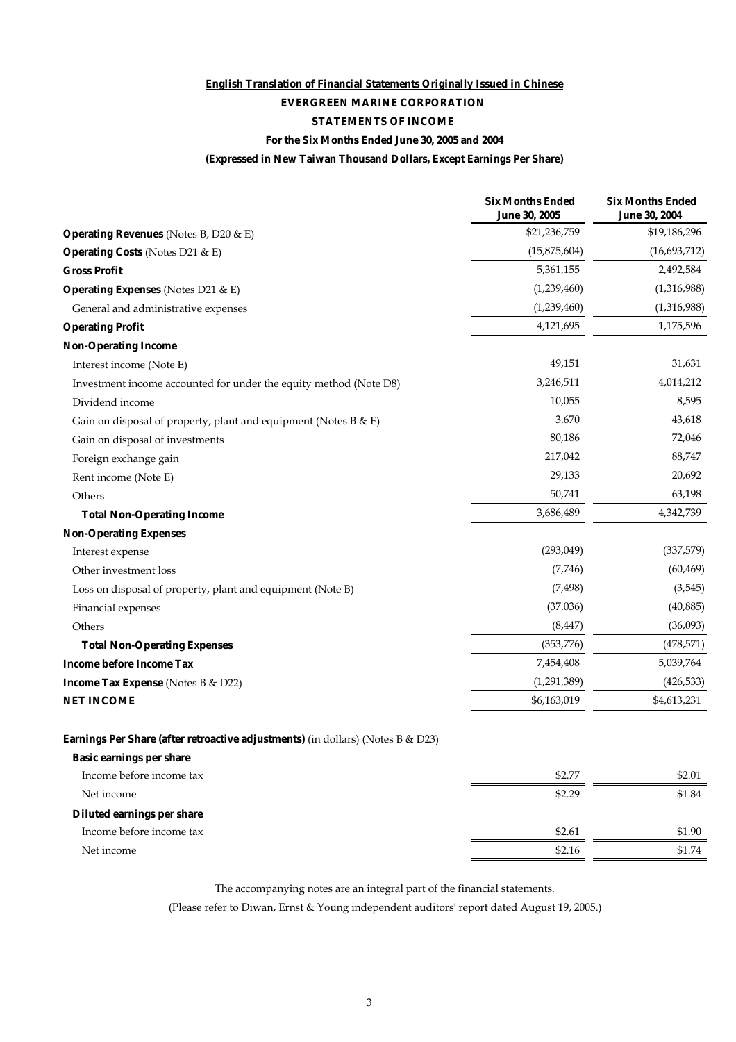# **English Translation of Financial Statements Originally Issued in Chinese**

# **EVERGREEN MARINE CORPORATION**

# **STATEMENTS OF INCOME**

### **For the Six Months Ended June 30, 2005 and 2004**

## **(Expressed in New Taiwan Thousand Dollars, Except Earnings Per Share)**

|                                                                                        | <b>Six Months Ended</b><br><b>June 30, 2005</b> | <b>Six Months Ended</b><br><b>June 30, 2004</b> |
|----------------------------------------------------------------------------------------|-------------------------------------------------|-------------------------------------------------|
| <b>Operating Revenues</b> (Notes B, D20 & E)                                           | \$21,236,759                                    | \$19,186,296                                    |
| <b>Operating Costs</b> (Notes D21 & E)                                                 | (15,875,604)                                    | (16,693,712)                                    |
| <b>Gross Profit</b>                                                                    | 5,361,155                                       | 2,492,584                                       |
| <b>Operating Expenses</b> (Notes D21 & E)                                              | (1,239,460)                                     | (1,316,988)                                     |
| General and administrative expenses                                                    | (1,239,460)                                     | (1,316,988)                                     |
| <b>Operating Profit</b>                                                                | 4,121,695                                       | 1,175,596                                       |
| <b>Non-Operating Income</b>                                                            |                                                 |                                                 |
| Interest income (Note E)                                                               | 49,151                                          | 31,631                                          |
| Investment income accounted for under the equity method (Note D8)                      | 3,246,511                                       | 4,014,212                                       |
| Dividend income                                                                        | 10,055                                          | 8,595                                           |
| Gain on disposal of property, plant and equipment (Notes B $\&$ E)                     | 3,670                                           | 43,618                                          |
| Gain on disposal of investments                                                        | 80,186                                          | 72,046                                          |
| Foreign exchange gain                                                                  | 217,042                                         | 88,747                                          |
| Rent income (Note E)                                                                   | 29,133                                          | 20,692                                          |
| Others                                                                                 | 50,741                                          | 63,198                                          |
| <b>Total Non-Operating Income</b>                                                      | 3,686,489                                       | 4,342,739                                       |
| <b>Non-Operating Expenses</b>                                                          |                                                 |                                                 |
| Interest expense                                                                       | (293,049)                                       | (337,579)                                       |
| Other investment loss                                                                  | (7,746)                                         | (60, 469)                                       |
| Loss on disposal of property, plant and equipment (Note B)                             | (7, 498)                                        | (3,545)                                         |
| Financial expenses                                                                     | (37,036)                                        | (40, 885)                                       |
| Others                                                                                 | (8, 447)                                        | (36,093)                                        |
| <b>Total Non-Operating Expenses</b>                                                    | (353, 776)                                      | (478, 571)                                      |
| <b>Income before Income Tax</b>                                                        | 7,454,408                                       | 5,039,764                                       |
| <b>Income Tax Expense</b> (Notes B & D22)                                              | (1,291,389)                                     | (426, 533)                                      |
| <b>NET INCOME</b>                                                                      | \$6,163,019                                     | \$4,613,231                                     |
| <b>Earnings Per Share (after retroactive adjustments)</b> (in dollars) (Notes B & D23) |                                                 |                                                 |
| <b>Basic earnings per share</b>                                                        |                                                 |                                                 |
| Income before income tax                                                               | \$2.77                                          | \$2.01                                          |
| Net income                                                                             | \$2.29                                          | \$1.84                                          |
| Diluted earnings per share                                                             |                                                 |                                                 |
| Income before income tax                                                               | \$2.61                                          | \$1.90                                          |
| Net income                                                                             | \$2.16                                          | \$1.74                                          |
|                                                                                        |                                                 |                                                 |

The accompanying notes are an integral part of the financial statements.

(Please refer to Diwan, Ernst & Young independent auditors' report dated August 19, 2005.)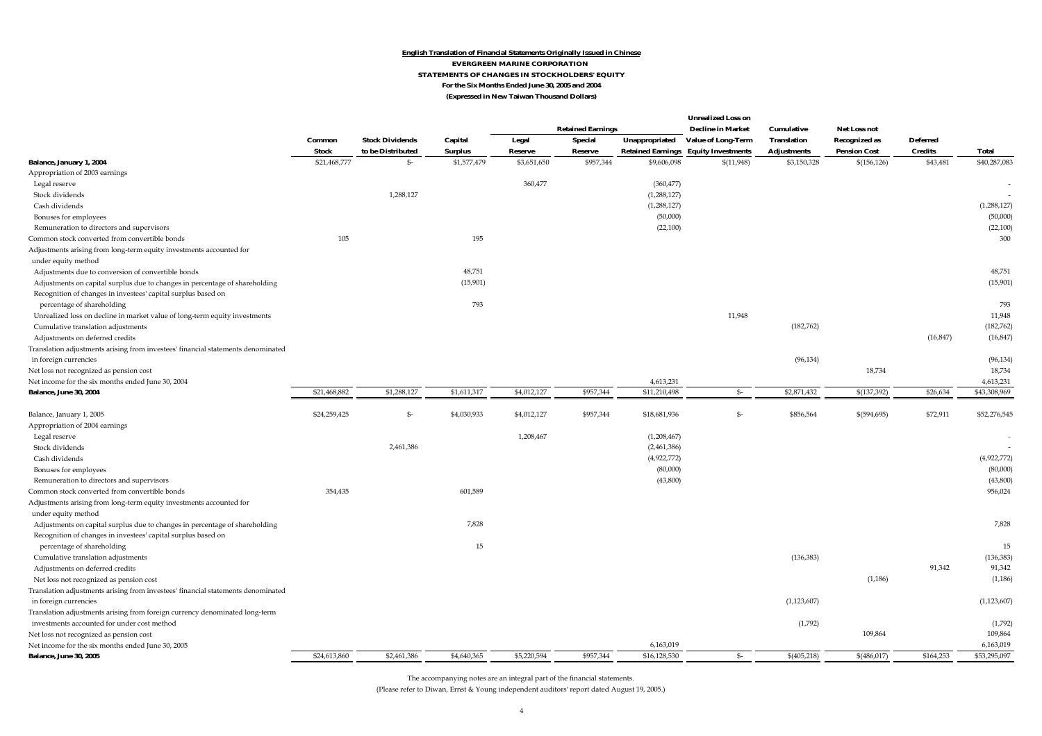#### **English Translation of Financial Statements Originally Issued in Chinese EVERGREEN MARINE CORPORATION STATEMENTS OF CHANGES IN STOCKHOLDERS' EQUITY For the Six Months Ended June 30, 2005 and 2004 (Expressed in New Taiwan Thousand Dollars)**

|                                                                                                                                              |                        |                        |             |             | <b>Retained Earnings</b> |                   | <b>Unrealized Loss on</b><br><b>Decline in Market</b> | Cumulative         | <b>Net Loss not</b>  |                 |                                             |                    |                     |                |
|----------------------------------------------------------------------------------------------------------------------------------------------|------------------------|------------------------|-------------|-------------|--------------------------|-------------------|-------------------------------------------------------|--------------------|----------------------|-----------------|---------------------------------------------|--------------------|---------------------|----------------|
|                                                                                                                                              | Common<br><b>Stock</b> | <b>Stock Dividends</b> | Capital     | Legal       | <b>Special</b>           | Unappropriated    | <b>Value of Long-Term</b>                             | <b>Translation</b> | <b>Recognized as</b> | <b>Deferred</b> |                                             |                    |                     |                |
|                                                                                                                                              |                        |                        |             |             |                          | to be Distributed | <b>Surplus</b>                                        | Reserve            | <b>Reserve</b>       |                 | <b>Retained Earnings Equity Investments</b> | <b>Adjustments</b> | <b>Pension Cost</b> | <b>Credits</b> |
| <b>Balance, January 1, 2004</b>                                                                                                              | \$21,468,777           | \$-                    | \$1,577,479 | \$3,651,650 | \$957,344                | \$9,606,098       | \$(11,948)                                            | \$3,150,328        | \$(156, 126)         | \$43,481        | \$40,287,083                                |                    |                     |                |
| Appropriation of 2003 earnings                                                                                                               |                        |                        |             |             |                          |                   |                                                       |                    |                      |                 |                                             |                    |                     |                |
| Legal reserve                                                                                                                                |                        |                        |             | 360,477     |                          | (360, 477)        |                                                       |                    |                      |                 | $\overline{\phantom{a}}$                    |                    |                     |                |
| Stock dividends                                                                                                                              |                        | 1,288,127              |             |             |                          | (1,288,127)       |                                                       |                    |                      |                 |                                             |                    |                     |                |
| Cash dividends                                                                                                                               |                        |                        |             |             |                          | (1,288,127)       |                                                       |                    |                      |                 | (1,288,127)                                 |                    |                     |                |
| Bonuses for employees                                                                                                                        |                        |                        |             |             |                          | (50,000)          |                                                       |                    |                      |                 | (50,000)                                    |                    |                     |                |
| Remuneration to directors and supervisors                                                                                                    |                        |                        |             |             |                          | (22,100)          |                                                       |                    |                      |                 | (22, 100)                                   |                    |                     |                |
| Common stock converted from convertible bonds                                                                                                | 105                    |                        | 195         |             |                          |                   |                                                       |                    |                      |                 | 300                                         |                    |                     |                |
| Adjustments arising from long-term equity investments accounted for<br>under equity method                                                   |                        |                        |             |             |                          |                   |                                                       |                    |                      |                 |                                             |                    |                     |                |
| Adjustments due to conversion of convertible bonds                                                                                           |                        |                        | 48,751      |             |                          |                   |                                                       |                    |                      |                 | 48,751                                      |                    |                     |                |
| Adjustments on capital surplus due to changes in percentage of shareholding                                                                  |                        |                        | (15,901)    |             |                          |                   |                                                       |                    |                      |                 | (15,901)                                    |                    |                     |                |
| Recognition of changes in investees' capital surplus based on                                                                                |                        |                        |             |             |                          |                   |                                                       |                    |                      |                 |                                             |                    |                     |                |
| percentage of shareholding                                                                                                                   |                        |                        | 793         |             |                          |                   |                                                       |                    |                      |                 | 793                                         |                    |                     |                |
| Unrealized loss on decline in market value of long-term equity investments                                                                   |                        |                        |             |             |                          |                   | 11,948                                                |                    |                      |                 | 11,948                                      |                    |                     |                |
| Cumulative translation adjustments                                                                                                           |                        |                        |             |             |                          |                   |                                                       | (182, 762)         |                      |                 | (182, 762)                                  |                    |                     |                |
| Adjustments on deferred credits                                                                                                              |                        |                        |             |             |                          |                   |                                                       |                    |                      | (16, 847)       | (16, 847)                                   |                    |                     |                |
| Translation adjustments arising from investees' financial statements denominated<br>in foreign currencies                                    |                        |                        |             |             |                          |                   |                                                       | (96, 134)          |                      |                 | (96, 134)                                   |                    |                     |                |
| Net loss not recognized as pension cost                                                                                                      |                        |                        |             |             |                          |                   |                                                       |                    | 18,734               |                 | 18,734                                      |                    |                     |                |
| Net income for the six months ended June 30, 2004                                                                                            |                        |                        |             |             |                          | 4,613,231         |                                                       |                    |                      |                 | 4,613,231                                   |                    |                     |                |
| <b>Balance, June 30, 2004</b>                                                                                                                | \$21,468,882           | \$1,288,127            | \$1,611,317 | \$4,012,127 | \$957,344                | \$11,210,498      | $S-$                                                  | \$2,871,432        | \$(137, 392)         | \$26,634        | \$43,308,969                                |                    |                     |                |
|                                                                                                                                              |                        |                        |             |             |                          |                   |                                                       |                    |                      |                 |                                             |                    |                     |                |
| Balance, January 1, 2005                                                                                                                     | \$24,259,425           | \$-                    | \$4,030,933 | \$4,012,127 | \$957,344                | \$18,681,936      | \$-                                                   | \$856,564          | \$(594, 695)         | \$72,911        | \$52,276,545                                |                    |                     |                |
| Appropriation of 2004 earnings                                                                                                               |                        |                        |             |             |                          |                   |                                                       |                    |                      |                 |                                             |                    |                     |                |
| Legal reserve                                                                                                                                |                        |                        |             | 1,208,467   |                          | (1,208,467)       |                                                       |                    |                      |                 |                                             |                    |                     |                |
| Stock dividends                                                                                                                              |                        | 2,461,386              |             |             |                          | (2,461,386)       |                                                       |                    |                      |                 |                                             |                    |                     |                |
| Cash dividends                                                                                                                               |                        |                        |             |             |                          | (4,922,772)       |                                                       |                    |                      |                 | (4,922,772)                                 |                    |                     |                |
| Bonuses for employees                                                                                                                        |                        |                        |             |             |                          | (80,000)          |                                                       |                    |                      |                 | (80,000)                                    |                    |                     |                |
| Remuneration to directors and supervisors                                                                                                    |                        |                        |             |             |                          | (43, 800)         |                                                       |                    |                      |                 | (43, 800)                                   |                    |                     |                |
| Common stock converted from convertible bonds                                                                                                | 354,435                |                        | 601,589     |             |                          |                   |                                                       |                    |                      |                 | 956,024                                     |                    |                     |                |
| Adjustments arising from long-term equity investments accounted for                                                                          |                        |                        |             |             |                          |                   |                                                       |                    |                      |                 |                                             |                    |                     |                |
| under equity method                                                                                                                          |                        |                        |             |             |                          |                   |                                                       |                    |                      |                 |                                             |                    |                     |                |
| Adjustments on capital surplus due to changes in percentage of shareholding<br>Recognition of changes in investees' capital surplus based on |                        |                        | 7,828       |             |                          |                   |                                                       |                    |                      |                 | 7,828                                       |                    |                     |                |
| percentage of shareholding                                                                                                                   |                        |                        | 15          |             |                          |                   |                                                       |                    |                      |                 | 15                                          |                    |                     |                |
| Cumulative translation adjustments                                                                                                           |                        |                        |             |             |                          |                   |                                                       | (136, 383)         |                      |                 | (136, 383)                                  |                    |                     |                |
| Adjustments on deferred credits                                                                                                              |                        |                        |             |             |                          |                   |                                                       |                    |                      | 91,342          | 91,342                                      |                    |                     |                |
| Net loss not recognized as pension cost                                                                                                      |                        |                        |             |             |                          |                   |                                                       |                    | (1, 186)             |                 | (1, 186)                                    |                    |                     |                |
| Translation adjustments arising from investees' financial statements denominated                                                             |                        |                        |             |             |                          |                   |                                                       |                    |                      |                 |                                             |                    |                     |                |
| in foreign currencies                                                                                                                        |                        |                        |             |             |                          |                   |                                                       | (1, 123, 607)      |                      |                 | (1, 123, 607)                               |                    |                     |                |
| Translation adjustments arising from foreign currency denominated long-term                                                                  |                        |                        |             |             |                          |                   |                                                       |                    |                      |                 |                                             |                    |                     |                |
| investments accounted for under cost method                                                                                                  |                        |                        |             |             |                          |                   |                                                       | (1,792)            |                      |                 | (1,792)                                     |                    |                     |                |
| Net loss not recognized as pension cost                                                                                                      |                        |                        |             |             |                          |                   |                                                       |                    | 109,864              |                 | 109,864                                     |                    |                     |                |
| Net income for the six months ended June 30, 2005                                                                                            |                        |                        |             |             |                          | 6,163,019         |                                                       |                    |                      |                 | 6,163,019                                   |                    |                     |                |
| <b>Balance, June 30, 2005</b>                                                                                                                | \$24,613,860           | \$2,461,386            | \$4,640,365 | \$5,220,594 | \$957,344                | \$16,128,530      | \$-                                                   | \$(405,218)        | \$(486, 017)         | \$164,253       | \$53,295,097                                |                    |                     |                |

The accompanying notes are an integral part of the financial statements.

(Please refer to Diwan, Ernst & Young independent auditors' report dated August 19, 2005.)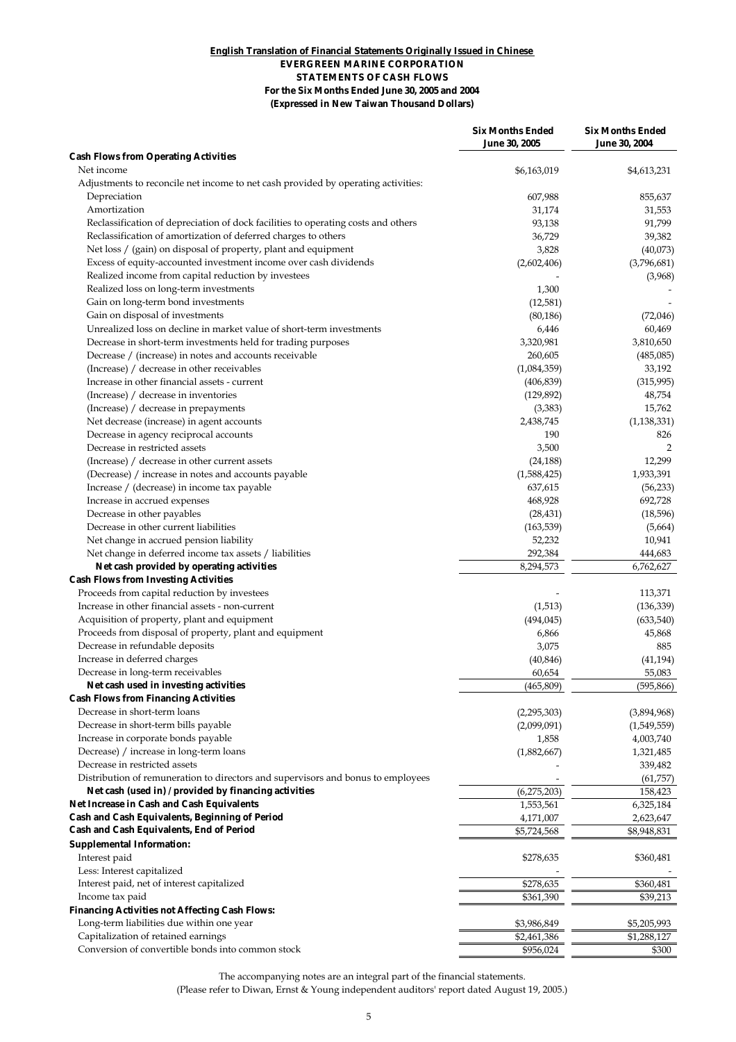#### **(Expressed in New Taiwan Thousand Dollars) English Translation of Financial Statements Originally Issued in Chinese EVERGREEN MARINE CORPORATION STATEMENTS OF CASH FLOWS For the Six Months Ended June 30, 2005 and 2004**

|                                                                                   | <b>Six Months Ended</b><br><b>June 30, 2005</b> | <b>Six Months Ended</b><br><b>June 30, 2004</b> |
|-----------------------------------------------------------------------------------|-------------------------------------------------|-------------------------------------------------|
| <b>Cash Flows from Operating Activities</b>                                       |                                                 |                                                 |
| Net income                                                                        | \$6,163,019                                     | \$4,613,231                                     |
| Adjustments to reconcile net income to net cash provided by operating activities: |                                                 |                                                 |
| Depreciation                                                                      | 607,988                                         | 855,637                                         |
| Amortization                                                                      | 31,174                                          | 31,553                                          |
| Reclassification of depreciation of dock facilities to operating costs and others | 93,138                                          | 91,799                                          |
| Reclassification of amortization of deferred charges to others                    | 36,729                                          | 39,382                                          |
| Net loss / (gain) on disposal of property, plant and equipment                    | 3,828                                           | (40,073)                                        |
| Excess of equity-accounted investment income over cash dividends                  | (2,602,406)                                     | (3,796,681)                                     |
| Realized income from capital reduction by investees                               |                                                 | (3,968)                                         |
| Realized loss on long-term investments                                            | 1,300                                           |                                                 |
| Gain on long-term bond investments                                                | (12,581)                                        |                                                 |
| Gain on disposal of investments                                                   | (80, 186)                                       | (72,046)                                        |
| Unrealized loss on decline in market value of short-term investments              | 6,446                                           | 60,469                                          |
| Decrease in short-term investments held for trading purposes                      | 3,320,981                                       | 3,810,650                                       |
| Decrease / (increase) in notes and accounts receivable                            | 260,605                                         | (485,085)                                       |
| (Increase) / decrease in other receivables                                        | (1,084,359)                                     | 33,192                                          |
| Increase in other financial assets - current                                      | (406, 839)                                      | (315,995)                                       |
| (Increase) / decrease in inventories                                              | (129, 892)                                      | 48,754                                          |
| (Increase) / decrease in prepayments                                              | (3, 383)                                        | 15,762                                          |
| Net decrease (increase) in agent accounts                                         | 2,438,745                                       | (1, 138, 331)                                   |
| Decrease in agency reciprocal accounts                                            | 190                                             | 826                                             |
| Decrease in restricted assets                                                     | 3,500                                           | $\overline{2}$                                  |
| (Increase) / decrease in other current assets                                     | (24, 188)                                       | 12,299                                          |
| (Decrease) / increase in notes and accounts payable                               | (1,588,425)                                     | 1,933,391                                       |
| Increase / (decrease) in income tax payable                                       | 637,615                                         | (56, 233)                                       |
| Increase in accrued expenses                                                      | 468,928                                         | 692,728                                         |
| Decrease in other payables                                                        | (28, 431)                                       | (18,596)                                        |
| Decrease in other current liabilities                                             | (163, 539)                                      | (5,664)                                         |
| Net change in accrued pension liability                                           | 52,232                                          | 10,941                                          |
| Net change in deferred income tax assets / liabilities                            | 292,384                                         | 444,683                                         |
| Net cash provided by operating activities                                         | 8,294,573                                       | 6,762,627                                       |
| <b>Cash Flows from Investing Activities</b>                                       |                                                 |                                                 |
| Proceeds from capital reduction by investees                                      |                                                 | 113,371                                         |
| Increase in other financial assets - non-current                                  | (1,513)                                         | (136, 339)                                      |
| Acquisition of property, plant and equipment                                      | (494, 045)                                      | (633,540)                                       |
| Proceeds from disposal of property, plant and equipment                           | 6,866                                           | 45,868                                          |
| Decrease in refundable deposits                                                   | 3,075                                           | 885                                             |
| Increase in deferred charges                                                      | (40, 846)                                       | (41, 194)                                       |
| Decrease in long-term receivables                                                 | 60,654                                          | 55,083                                          |
| Net cash used in investing activities                                             | (465, 809)                                      | (595, 866)                                      |
| <b>Cash Flows from Financing Activities</b>                                       |                                                 |                                                 |
| Decrease in short-term loans                                                      | (2,295,303)                                     | (3,894,968)                                     |
| Decrease in short-term bills payable                                              | (2,099,091)                                     | (1,549,559)                                     |
| Increase in corporate bonds payable                                               | 1,858                                           | 4,003,740                                       |
| Decrease) / increase in long-term loans                                           | (1,882,667)                                     | 1,321,485                                       |
| Decrease in restricted assets                                                     |                                                 | 339,482                                         |
| Distribution of remuneration to directors and supervisors and bonus to employees  |                                                 | (61,757)                                        |
| Net cash (used in) / provided by financing activities                             | (6,275,203)                                     | 158,423                                         |
| Net Increase in Cash and Cash Equivalents                                         | 1,553,561                                       | 6,325,184                                       |
| Cash and Cash Equivalents, Beginning of Period                                    | 4,171,007                                       | 2,623,647                                       |
| Cash and Cash Equivalents, End of Period                                          | \$5,724,568                                     | \$8,948,831                                     |
| <b>Supplemental Information:</b>                                                  |                                                 |                                                 |
| Interest paid                                                                     | \$278,635                                       | \$360,481                                       |
| Less: Interest capitalized                                                        |                                                 |                                                 |
| Interest paid, net of interest capitalized                                        | \$278,635                                       | \$360,481                                       |
| Income tax paid                                                                   | \$361,390                                       | \$39,213                                        |
| <b>Financing Activities not Affecting Cash Flows:</b>                             |                                                 |                                                 |
| Long-term liabilities due within one year                                         | \$3,986,849                                     | \$5,205,993                                     |
| Capitalization of retained earnings                                               | \$2,461,386                                     | \$1,288,127                                     |
| Conversion of convertible bonds into common stock                                 | \$956,024                                       | \$300                                           |
|                                                                                   |                                                 |                                                 |

The accompanying notes are an integral part of the financial statements. (Please refer to Diwan, Ernst & Young independent auditors' report dated August 19, 2005.)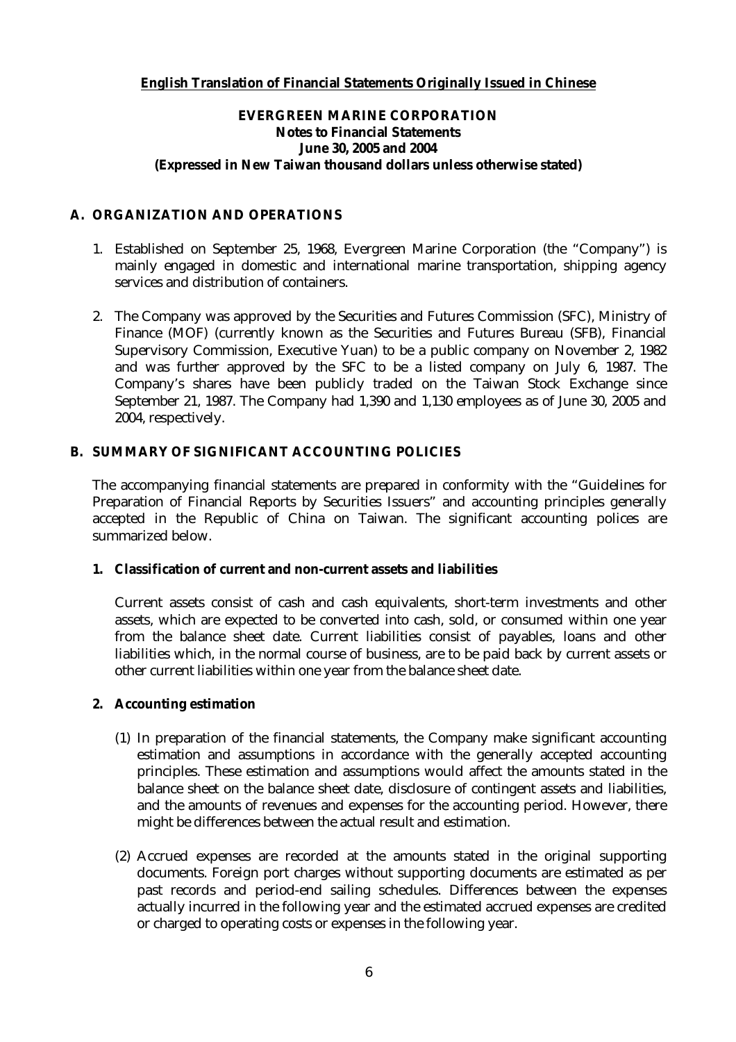# **English Translation of Financial Statements Originally Issued in Chinese**

# **EVERGREEN MARINE CORPORATION Notes to Financial Statements June 30, 2005 and 2004 (Expressed in New Taiwan thousand dollars unless otherwise stated)**

# **A. ORGANIZATION AND OPERATIONS**

- 1. Established on September 25, 1968, Evergreen Marine Corporation (the "Company") is mainly engaged in domestic and international marine transportation, shipping agency services and distribution of containers.
- 2. The Company was approved by the Securities and Futures Commission (SFC), Ministry of Finance (MOF) (currently known as the Securities and Futures Bureau (SFB), Financial Supervisory Commission, Executive Yuan) to be a public company on November 2, 1982 and was further approved by the SFC to be a listed company on July 6, 1987. The Company's shares have been publicly traded on the Taiwan Stock Exchange since September 21, 1987. The Company had 1,390 and 1,130 employees as of June 30, 2005 and 2004, respectively.

# **B. SUMMARY OF SIGNIFICANT ACCOUNTING POLICIES**

The accompanying financial statements are prepared in conformity with the "Guidelines for Preparation of Financial Reports by Securities Issuers" and accounting principles generally accepted in the Republic of China on Taiwan. The significant accounting polices are summarized below.

### **1. Classification of current and non-current assets and liabilities**

Current assets consist of cash and cash equivalents, short-term investments and other assets, which are expected to be converted into cash, sold, or consumed within one year from the balance sheet date. Current liabilities consist of payables, loans and other liabilities which, in the normal course of business, are to be paid back by current assets or other current liabilities within one year from the balance sheet date.

### **2. Accounting estimation**

- (1) In preparation of the financial statements, the Company make significant accounting estimation and assumptions in accordance with the generally accepted accounting principles. These estimation and assumptions would affect the amounts stated in the balance sheet on the balance sheet date, disclosure of contingent assets and liabilities, and the amounts of revenues and expenses for the accounting period. However, there might be differences between the actual result and estimation.
- (2) Accrued expenses are recorded at the amounts stated in the original supporting documents. Foreign port charges without supporting documents are estimated as per past records and period-end sailing schedules. Differences between the expenses actually incurred in the following year and the estimated accrued expenses are credited or charged to operating costs or expenses in the following year.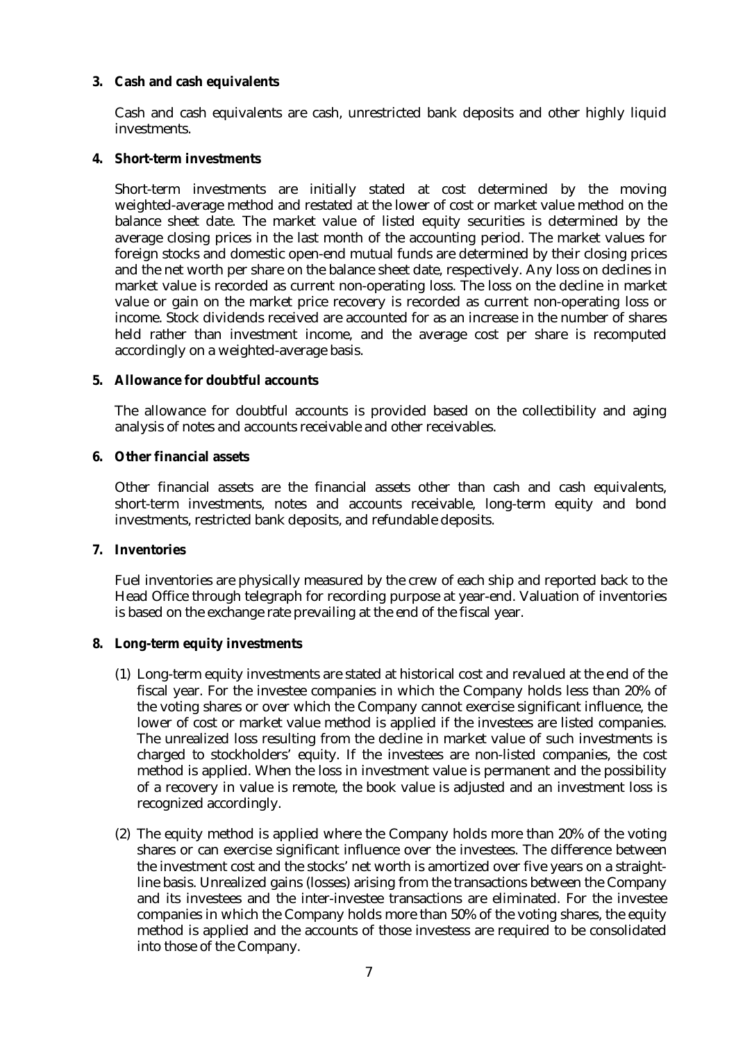# **3. Cash and cash equivalents**

Cash and cash equivalents are cash, unrestricted bank deposits and other highly liquid investments.

### **4. Short-term investments**

Short-term investments are initially stated at cost determined by the moving weighted-average method and restated at the lower of cost or market value method on the balance sheet date. The market value of listed equity securities is determined by the average closing prices in the last month of the accounting period. The market values for foreign stocks and domestic open-end mutual funds are determined by their closing prices and the net worth per share on the balance sheet date, respectively. Any loss on declines in market value is recorded as current non-operating loss. The loss on the decline in market value or gain on the market price recovery is recorded as current non-operating loss or income. Stock dividends received are accounted for as an increase in the number of shares held rather than investment income, and the average cost per share is recomputed accordingly on a weighted-average basis.

# **5. Allowance for doubtful accounts**

The allowance for doubtful accounts is provided based on the collectibility and aging analysis of notes and accounts receivable and other receivables.

# **6. Other financial assets**

Other financial assets are the financial assets other than cash and cash equivalents, short-term investments, notes and accounts receivable, long-term equity and bond investments, restricted bank deposits, and refundable deposits.

### **7. Inventories**

Fuel inventories are physically measured by the crew of each ship and reported back to the Head Office through telegraph for recording purpose at year-end. Valuation of inventories is based on the exchange rate prevailing at the end of the fiscal year.

### **8. Long-term equity investments**

- (1) Long-term equity investments are stated at historical cost and revalued at the end of the fiscal year. For the investee companies in which the Company holds less than 20% of the voting shares or over which the Company cannot exercise significant influence, the lower of cost or market value method is applied if the investees are listed companies. The unrealized loss resulting from the decline in market value of such investments is charged to stockholders' equity. If the investees are non-listed companies, the cost method is applied. When the loss in investment value is permanent and the possibility of a recovery in value is remote, the book value is adjusted and an investment loss is recognized accordingly.
- (2) The equity method is applied where the Company holds more than 20% of the voting shares or can exercise significant influence over the investees. The difference between the investment cost and the stocks' net worth is amortized over five years on a straightline basis. Unrealized gains (losses) arising from the transactions between the Company and its investees and the inter-investee transactions are eliminated. For the investee companies in which the Company holds more than 50% of the voting shares, the equity method is applied and the accounts of those investess are required to be consolidated into those of the Company.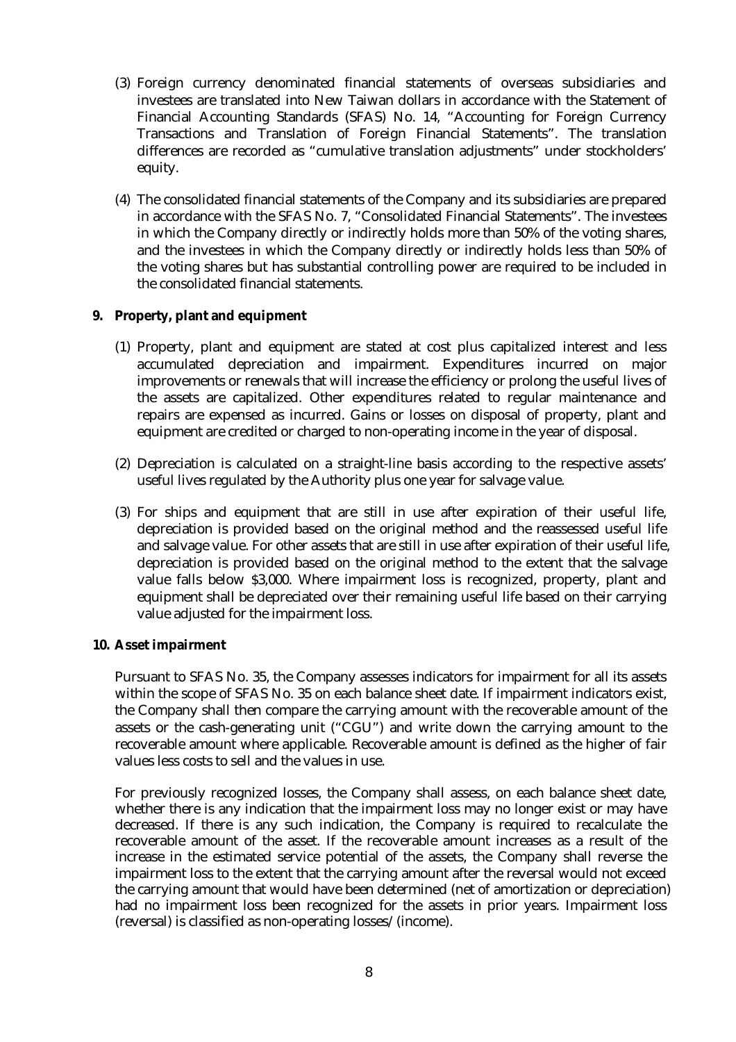- (3) Foreign currency denominated financial statements of overseas subsidiaries and investees are translated into New Taiwan dollars in accordance with the Statement of Financial Accounting Standards (SFAS) No. 14, "Accounting for Foreign Currency Transactions and Translation of Foreign Financial Statements". The translation differences are recorded as "cumulative translation adjustments" under stockholders' equity.
- (4) The consolidated financial statements of the Company and its subsidiaries are prepared in accordance with the SFAS No. 7, "Consolidated Financial Statements". The investees in which the Company directly or indirectly holds more than 50% of the voting shares, and the investees in which the Company directly or indirectly holds less than 50% of the voting shares but has substantial controlling power are required to be included in the consolidated financial statements.

# **9. Property, plant and equipment**

- (1) Property, plant and equipment are stated at cost plus capitalized interest and less accumulated depreciation and impairment. Expenditures incurred on major improvements or renewals that will increase the efficiency or prolong the useful lives of the assets are capitalized. Other expenditures related to regular maintenance and repairs are expensed as incurred. Gains or losses on disposal of property, plant and equipment are credited or charged to non-operating income in the year of disposal.
- (2) Depreciation is calculated on a straight-line basis according to the respective assets' useful lives regulated by the Authority plus one year for salvage value.
- (3) For ships and equipment that are still in use after expiration of their useful life, depreciation is provided based on the original method and the reassessed useful life and salvage value. For other assets that are still in use after expiration of their useful life, depreciation is provided based on the original method to the extent that the salvage value falls below \$3,000. Where impairment loss is recognized, property, plant and equipment shall be depreciated over their remaining useful life based on their carrying value adjusted for the impairment loss.

### **10. Asset impairment**

Pursuant to SFAS No. 35, the Company assesses indicators for impairment for all its assets within the scope of SFAS No. 35 on each balance sheet date. If impairment indicators exist, the Company shall then compare the carrying amount with the recoverable amount of the assets or the cash-generating unit ("CGU") and write down the carrying amount to the recoverable amount where applicable. Recoverable amount is defined as the higher of fair values less costs to sell and the values in use.

For previously recognized losses, the Company shall assess, on each balance sheet date, whether there is any indication that the impairment loss may no longer exist or may have decreased. If there is any such indication, the Company is required to recalculate the recoverable amount of the asset. If the recoverable amount increases as a result of the increase in the estimated service potential of the assets, the Company shall reverse the impairment loss to the extent that the carrying amount after the reversal would not exceed the carrying amount that would have been determined (net of amortization or depreciation) had no impairment loss been recognized for the assets in prior years. Impairment loss (reversal) is classified as non-operating losses/(income).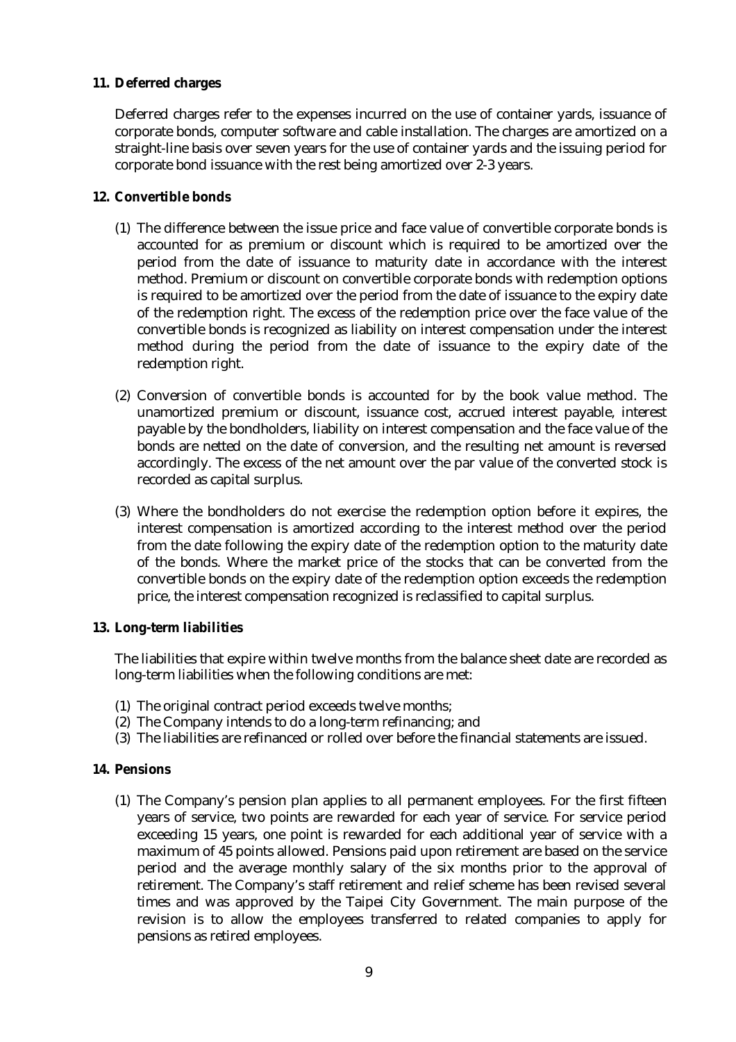# **11. Deferred charges**

Deferred charges refer to the expenses incurred on the use of container yards, issuance of corporate bonds, computer software and cable installation. The charges are amortized on a straight-line basis over seven years for the use of container yards and the issuing period for corporate bond issuance with the rest being amortized over 2-3 years.

# **12. Convertible bonds**

- (1) The difference between the issue price and face value of convertible corporate bonds is accounted for as premium or discount which is required to be amortized over the period from the date of issuance to maturity date in accordance with the interest method. Premium or discount on convertible corporate bonds with redemption options is required to be amortized over the period from the date of issuance to the expiry date of the redemption right. The excess of the redemption price over the face value of the convertible bonds is recognized as liability on interest compensation under the interest method during the period from the date of issuance to the expiry date of the redemption right.
- (2) Conversion of convertible bonds is accounted for by the book value method. The unamortized premium or discount, issuance cost, accrued interest payable, interest payable by the bondholders, liability on interest compensation and the face value of the bonds are netted on the date of conversion, and the resulting net amount is reversed accordingly. The excess of the net amount over the par value of the converted stock is recorded as capital surplus.
- (3) Where the bondholders do not exercise the redemption option before it expires, the interest compensation is amortized according to the interest method over the period from the date following the expiry date of the redemption option to the maturity date of the bonds. Where the market price of the stocks that can be converted from the convertible bonds on the expiry date of the redemption option exceeds the redemption price, the interest compensation recognized is reclassified to capital surplus.

### **13. Long-term liabilities**

The liabilities that expire within twelve months from the balance sheet date are recorded as long-term liabilities when the following conditions are met:

- (1) The original contract period exceeds twelve months;
- (2) The Company intends to do a long-term refinancing; and
- (3) The liabilities are refinanced or rolled over before the financial statements are issued.

# **14. Pensions**

(1) The Company's pension plan applies to all permanent employees. For the first fifteen years of service, two points are rewarded for each year of service. For service period exceeding 15 years, one point is rewarded for each additional year of service with a maximum of 45 points allowed. Pensions paid upon retirement are based on the service period and the average monthly salary of the six months prior to the approval of retirement. The Company's staff retirement and relief scheme has been revised several times and was approved by the Taipei City Government. The main purpose of the revision is to allow the employees transferred to related companies to apply for pensions as retired employees.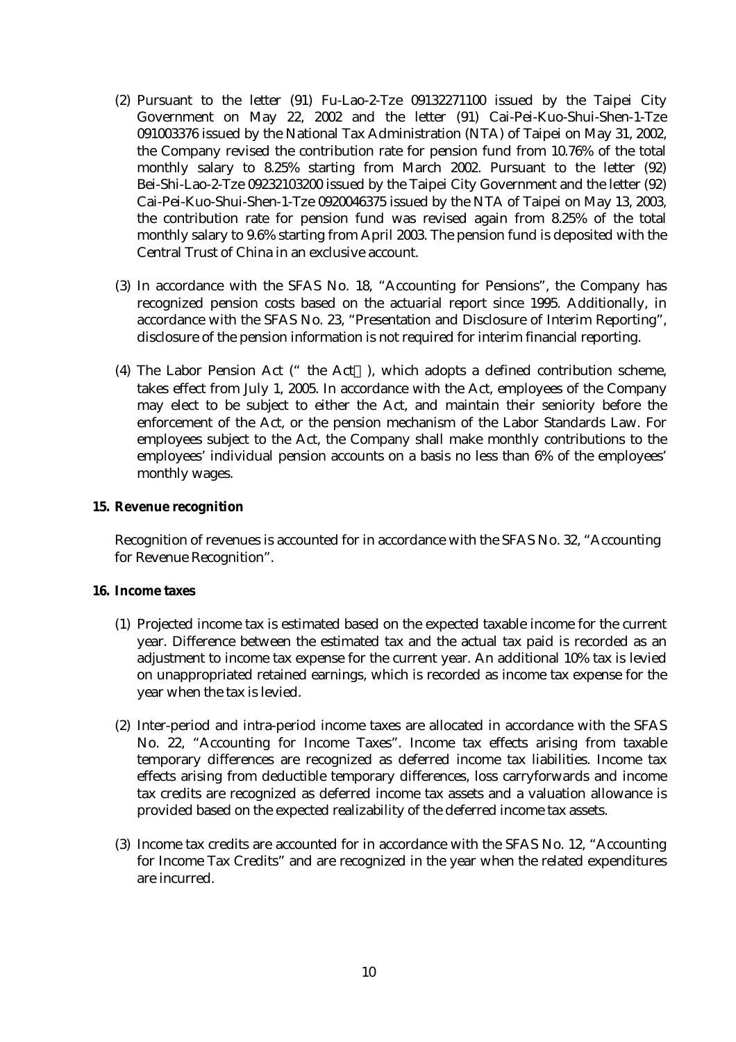- (2) Pursuant to the letter (91) Fu-Lao-2-Tze 09132271100 issued by the Taipei City Government on May 22, 2002 and the letter (91) Cai-Pei-Kuo-Shui-Shen-1-Tze 091003376 issued by the National Tax Administration (NTA) of Taipei on May 31, 2002, the Company revised the contribution rate for pension fund from 10.76% of the total monthly salary to 8.25% starting from March 2002. Pursuant to the letter (92) Bei-Shi-Lao-2-Tze 09232103200 issued by the Taipei City Government and the letter (92) Cai-Pei-Kuo-Shui-Shen-1-Tze 0920046375 issued by the NTA of Taipei on May 13, 2003, the contribution rate for pension fund was revised again from 8.25% of the total monthly salary to 9.6% starting from April 2003. The pension fund is deposited with the Central Trust of China in an exclusive account.
- (3) In accordance with the SFAS No. 18, "Accounting for Pensions", the Company has recognized pension costs based on the actuarial report since 1995. Additionally, in accordance with the SFAS No. 23, "Presentation and Disclosure of Interim Reporting", disclosure of the pension information is not required for interim financial reporting.
- (4) The Labor Pension Act ("the Act ), which adopts a defined contribution scheme, takes effect from July 1, 2005. In accordance with the Act, employees of the Company may elect to be subject to either the Act, and maintain their seniority before the enforcement of the Act, or the pension mechanism of the Labor Standards Law. For employees subject to the Act, the Company shall make monthly contributions to the employees' individual pension accounts on a basis no less than 6% of the employees' monthly wages.

### **15. Revenue recognition**

Recognition of revenues is accounted for in accordance with the SFAS No. 32, "Accounting for Revenue Recognition".

### **16. Income taxes**

- (1) Projected income tax is estimated based on the expected taxable income for the current year. Difference between the estimated tax and the actual tax paid is recorded as an adjustment to income tax expense for the current year. An additional 10% tax is levied on unappropriated retained earnings, which is recorded as income tax expense for the year when the tax is levied.
- (2) Inter-period and intra-period income taxes are allocated in accordance with the SFAS No. 22, "Accounting for Income Taxes". Income tax effects arising from taxable temporary differences are recognized as deferred income tax liabilities. Income tax effects arising from deductible temporary differences, loss carryforwards and income tax credits are recognized as deferred income tax assets and a valuation allowance is provided based on the expected realizability of the deferred income tax assets.
- (3) Income tax credits are accounted for in accordance with the SFAS No. 12, "Accounting for Income Tax Credits" and are recognized in the year when the related expenditures are incurred.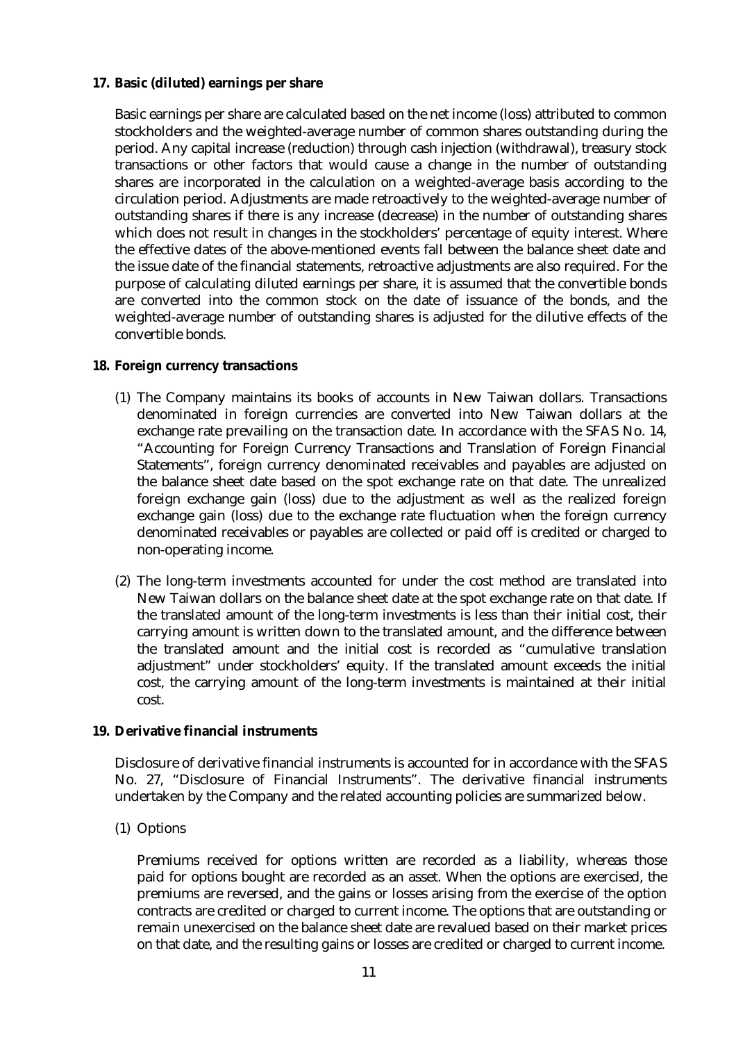# **17. Basic (diluted) earnings per share**

Basic earnings per share are calculated based on the net income (loss) attributed to common stockholders and the weighted-average number of common shares outstanding during the period. Any capital increase (reduction) through cash injection (withdrawal), treasury stock transactions or other factors that would cause a change in the number of outstanding shares are incorporated in the calculation on a weighted-average basis according to the circulation period. Adjustments are made retroactively to the weighted-average number of outstanding shares if there is any increase (decrease) in the number of outstanding shares which does not result in changes in the stockholders' percentage of equity interest. Where the effective dates of the above-mentioned events fall between the balance sheet date and the issue date of the financial statements, retroactive adjustments are also required. For the purpose of calculating diluted earnings per share, it is assumed that the convertible bonds are converted into the common stock on the date of issuance of the bonds, and the weighted-average number of outstanding shares is adjusted for the dilutive effects of the convertible bonds.

### **18. Foreign currency transactions**

- (1) The Company maintains its books of accounts in New Taiwan dollars. Transactions denominated in foreign currencies are converted into New Taiwan dollars at the exchange rate prevailing on the transaction date. In accordance with the SFAS No. 14, "Accounting for Foreign Currency Transactions and Translation of Foreign Financial Statements", foreign currency denominated receivables and payables are adjusted on the balance sheet date based on the spot exchange rate on that date. The unrealized foreign exchange gain (loss) due to the adjustment as well as the realized foreign exchange gain (loss) due to the exchange rate fluctuation when the foreign currency denominated receivables or payables are collected or paid off is credited or charged to non-operating income.
- (2) The long-term investments accounted for under the cost method are translated into New Taiwan dollars on the balance sheet date at the spot exchange rate on that date. If the translated amount of the long-term investments is less than their initial cost, their carrying amount is written down to the translated amount, and the difference between the translated amount and the initial cost is recorded as "cumulative translation adjustment" under stockholders' equity. If the translated amount exceeds the initial cost, the carrying amount of the long-term investments is maintained at their initial cost.

### **19. Derivative financial instruments**

Disclosure of derivative financial instruments is accounted for in accordance with the SFAS No. 27, "Disclosure of Financial Instruments". The derivative financial instruments undertaken by the Company and the related accounting policies are summarized below.

(1) Options

Premiums received for options written are recorded as a liability, whereas those paid for options bought are recorded as an asset. When the options are exercised, the premiums are reversed, and the gains or losses arising from the exercise of the option contracts are credited or charged to current income. The options that are outstanding or remain unexercised on the balance sheet date are revalued based on their market prices on that date, and the resulting gains or losses are credited or charged to current income.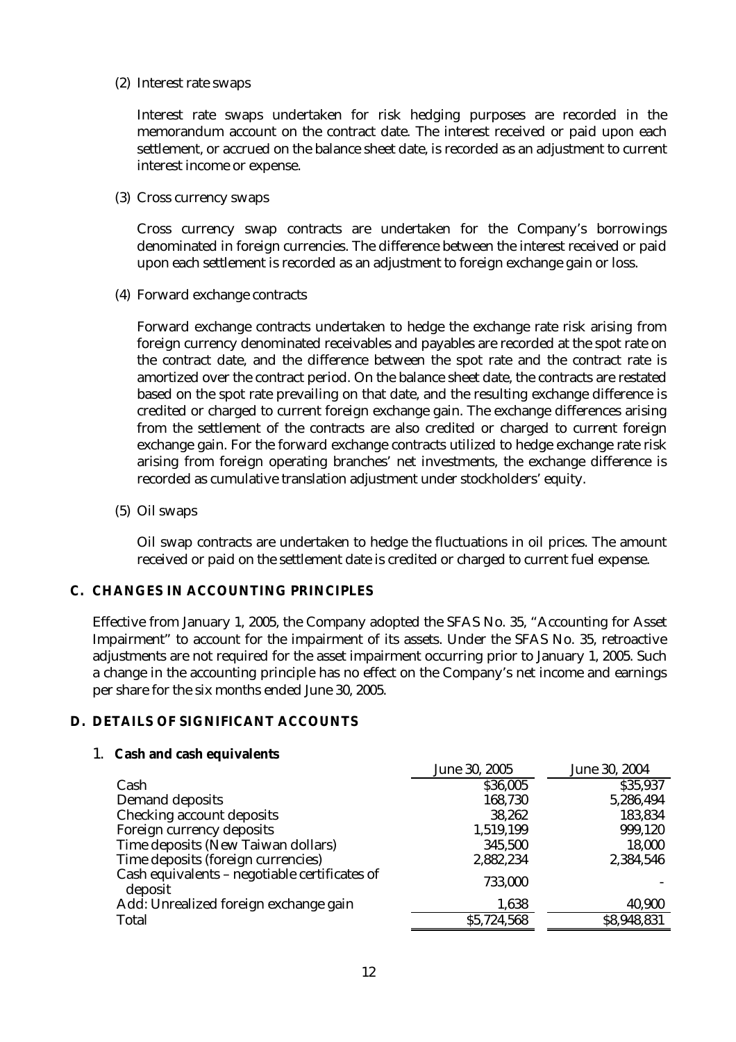(2) Interest rate swaps

Interest rate swaps undertaken for risk hedging purposes are recorded in the memorandum account on the contract date. The interest received or paid upon each settlement, or accrued on the balance sheet date, is recorded as an adjustment to current interest income or expense.

(3) Cross currency swaps

Cross currency swap contracts are undertaken for the Company's borrowings denominated in foreign currencies. The difference between the interest received or paid upon each settlement is recorded as an adjustment to foreign exchange gain or loss.

(4) Forward exchange contracts

Forward exchange contracts undertaken to hedge the exchange rate risk arising from foreign currency denominated receivables and payables are recorded at the spot rate on the contract date, and the difference between the spot rate and the contract rate is amortized over the contract period. On the balance sheet date, the contracts are restated based on the spot rate prevailing on that date, and the resulting exchange difference is credited or charged to current foreign exchange gain. The exchange differences arising from the settlement of the contracts are also credited or charged to current foreign exchange gain. For the forward exchange contracts utilized to hedge exchange rate risk arising from foreign operating branches' net investments, the exchange difference is recorded as cumulative translation adjustment under stockholders' equity.

(5) Oil swaps

Oil swap contracts are undertaken to hedge the fluctuations in oil prices. The amount received or paid on the settlement date is credited or charged to current fuel expense.

# **C. CHANGES IN ACCOUNTING PRINCIPLES**

Effective from January 1, 2005, the Company adopted the SFAS No. 35, "Accounting for Asset Impairment" to account for the impairment of its assets. Under the SFAS No. 35, retroactive adjustments are not required for the asset impairment occurring prior to January 1, 2005. Such a change in the accounting principle has no effect on the Company's net income and earnings per share for the six months ended June 30, 2005.

# **D. DETAILS OF SIGNIFICANT ACCOUNTS**

# 1. **Cash and cash equivalents**

|                                                          | June 30, 2005 | June 30, 2004 |
|----------------------------------------------------------|---------------|---------------|
| Cash                                                     | \$36,005      | \$35,937      |
| Demand deposits                                          | 168,730       | 5,286,494     |
| Checking account deposits                                | 38,262        | 183,834       |
| Foreign currency deposits                                | 1,519,199     | 999,120       |
| Time deposits (New Taiwan dollars)                       | 345,500       | 18,000        |
| Time deposits (foreign currencies)                       | 2,882,234     | 2,384,546     |
| Cash equivalents - negotiable certificates of<br>deposit | 733,000       |               |
| Add: Unrealized foreign exchange gain                    | 1,638         | 40,900        |
| Total                                                    | \$5,724,568   | \$8,948,831   |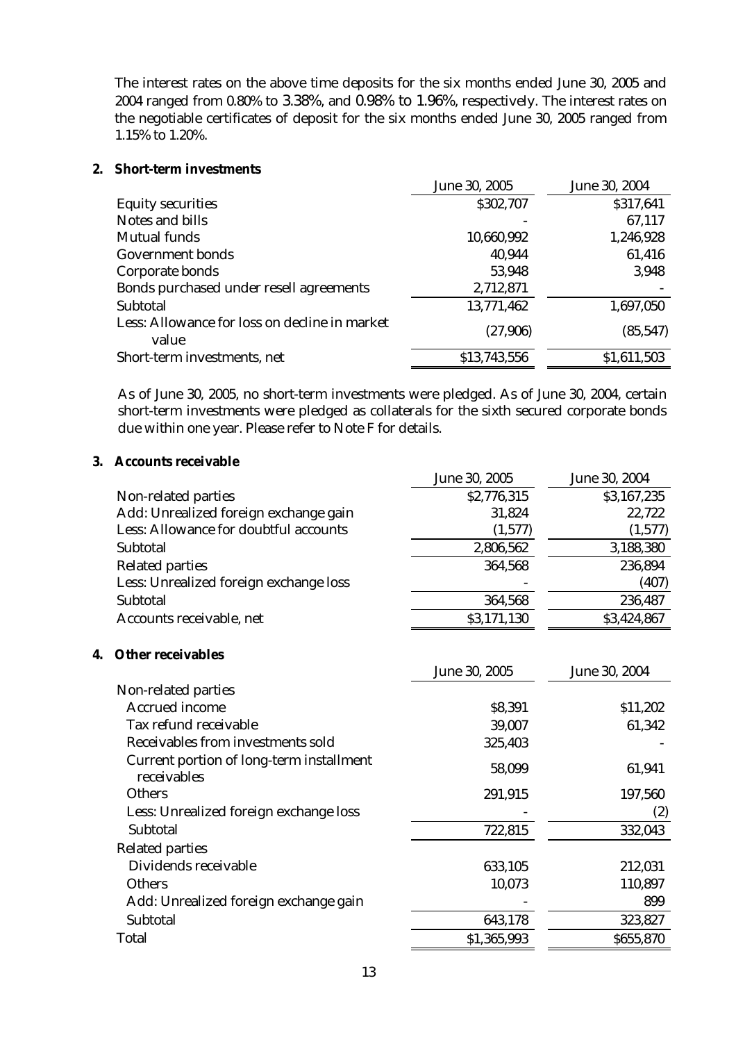The interest rates on the above time deposits for the six months ended June 30, 2005 and 2004 ranged from 0.80% to 3.38%, and 0.98% to 1.96%, respectively. The interest rates on the negotiable certificates of deposit for the six months ended June 30, 2005 ranged from 1.15% to 1.20%.

# **2. Short-term investments**

|                                                        | June 30, 2005 | June 30, 2004 |
|--------------------------------------------------------|---------------|---------------|
| <b>Equity securities</b>                               | \$302,707     | \$317,641     |
| Notes and bills                                        |               | 67,117        |
| Mutual funds                                           | 10,660,992    | 1,246,928     |
| Government bonds                                       | 40,944        | 61,416        |
| Corporate bonds                                        | 53,948        | 3,948         |
| Bonds purchased under resell agreements                | 2,712,871     |               |
| Subtotal                                               | 13,771,462    | 1,697,050     |
| Less: Allowance for loss on decline in market<br>value | (27,906)      | (85, 547)     |
| Short-term investments, net                            | \$13,743,556  | \$1,611,503   |

As of June 30, 2005, no short-term investments were pledged. As of June 30, 2004, certain short-term investments were pledged as collaterals for the sixth secured corporate bonds due within one year. Please refer to Note F for details.

# **3. Accounts receivable**

|                                        | June 30, 2005 | June 30, 2004 |
|----------------------------------------|---------------|---------------|
| Non-related parties                    | \$2,776,315   | \$3,167,235   |
| Add: Unrealized foreign exchange gain  | 31,824        | 22,722        |
| Less: Allowance for doubtful accounts  | (1,577)       | (1,577)       |
| Subtotal                               | 2,806,562     | 3,188,380     |
| <b>Related parties</b>                 | 364,568       | 236,894       |
| Less: Unrealized foreign exchange loss |               | (407)         |
| Subtotal                               | 364,568       | 236,487       |
| Accounts receivable, net               | \$3,171,130   | \$3,424,867   |

# **4. Other receivables**

|                                                         | June 30, 2005 | June 30, 2004 |
|---------------------------------------------------------|---------------|---------------|
| Non-related parties                                     |               |               |
| Accrued income                                          | \$8,391       | \$11,202      |
| Tax refund receivable                                   | 39,007        | 61,342        |
| Receivables from investments sold                       | 325,403       |               |
| Current portion of long-term installment<br>receivables | 58,099        | 61,941        |
| <b>Others</b>                                           | 291,915       | 197,560       |
| Less: Unrealized foreign exchange loss                  |               | (2)           |
| Subtotal                                                | 722,815       | 332,043       |
| <b>Related parties</b>                                  |               |               |
| Dividends receivable                                    | 633,105       | 212,031       |
| <b>Others</b>                                           | 10,073        | 110,897       |
| Add: Unrealized foreign exchange gain                   |               | 899           |
| Subtotal                                                | 643,178       | 323,827       |
| Total                                                   | \$1,365,993   | \$655,870     |
|                                                         |               |               |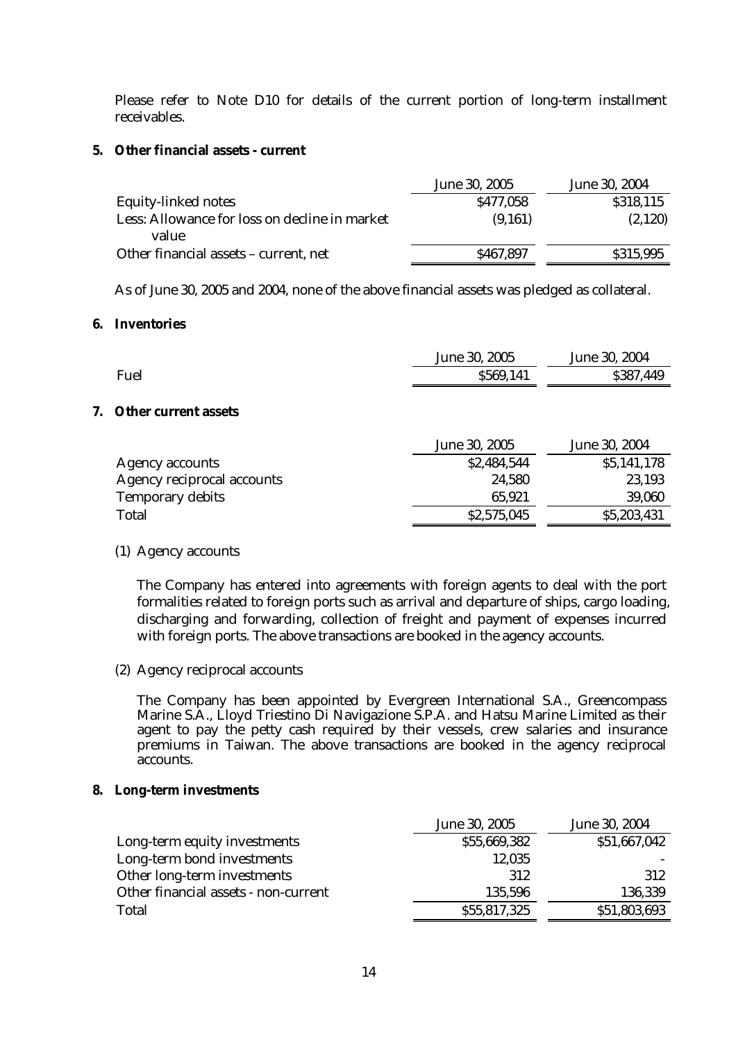Please refer to Note D10 for details of the current portion of long-term installment receivables.

#### **5. Other financial assets - current**

|                                                        | June 30, 2005 | June 30, 2004 |
|--------------------------------------------------------|---------------|---------------|
| Equity-linked notes                                    | \$477,058     | \$318,115     |
| Less: Allowance for loss on decline in market<br>value | (9,161)       | (2,120)       |
| Other financial assets – current, net                  | \$467,897     | \$315,995     |

As of June 30, 2005 and 2004, none of the above financial assets was pledged as collateral.

#### **6. Inventories**

|      | June 30, 2005 | June 30, 2004 |
|------|---------------|---------------|
| Fuel | \$569,141     | \$387,449     |
|      |               |               |

## **7. Other current assets**

|                            | June 30, 2005 | June 30, 2004 |
|----------------------------|---------------|---------------|
| Agency accounts            | \$2,484,544   | \$5,141,178   |
| Agency reciprocal accounts | 24,580        | 23,193        |
| <b>Temporary debits</b>    | 65,921        | 39,060        |
| Total                      | \$2,575,045   | \$5,203,431   |
|                            |               |               |

### (1) Agency accounts

The Company has entered into agreements with foreign agents to deal with the port formalities related to foreign ports such as arrival and departure of ships, cargo loading, discharging and forwarding, collection of freight and payment of expenses incurred with foreign ports. The above transactions are booked in the agency accounts.

(2) Agency reciprocal accounts

The Company has been appointed by Evergreen International S.A., Greencompass Marine S.A., Lloyd Triestino Di Navigazione S.P.A. and Hatsu Marine Limited as their agent to pay the petty cash required by their vessels, crew salaries and insurance premiums in Taiwan. The above transactions are booked in the agency reciprocal accounts.

#### **8. Long-term investments**

|                                      | June 30, 2005 | June 30, 2004 |
|--------------------------------------|---------------|---------------|
| Long-term equity investments         | \$55,669,382  | \$51,667,042  |
| Long-term bond investments           | 12,035        |               |
| Other long-term investments          | 312           | 312           |
| Other financial assets - non-current | 135,596       | 136,339       |
| Total                                | \$55,817,325  | \$51,803,693  |
|                                      |               |               |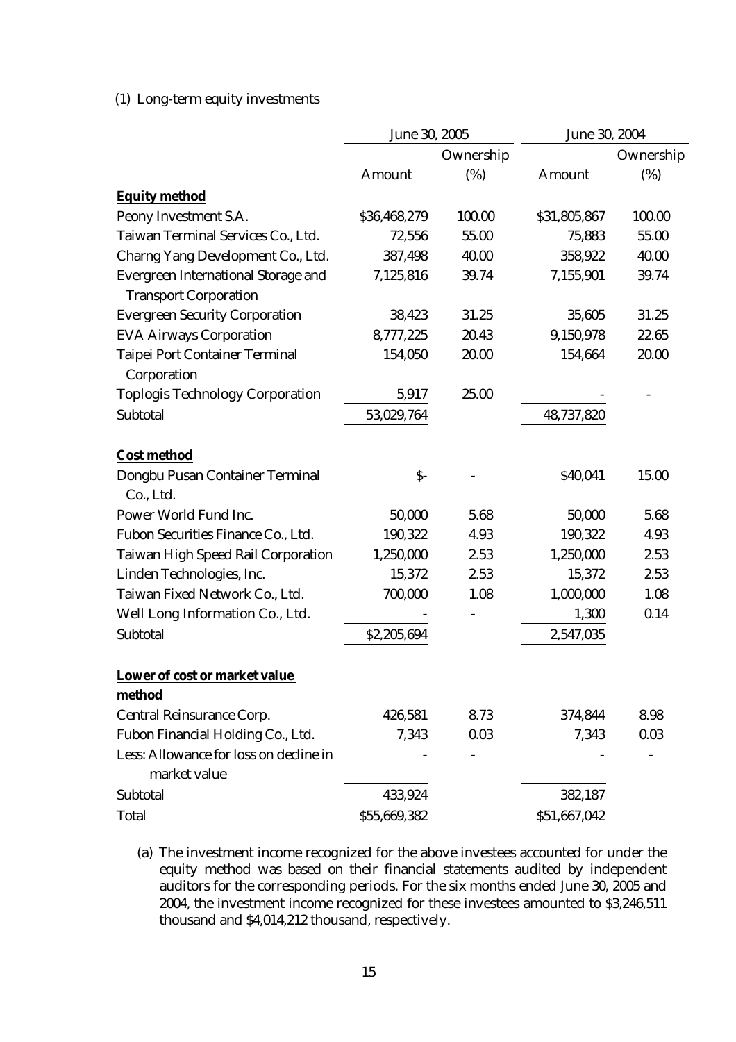# (1) Long-term equity investments

|                                                                     | June 30, 2005  |           | June 30, 2004 |           |
|---------------------------------------------------------------------|----------------|-----------|---------------|-----------|
|                                                                     |                | Ownership |               | Ownership |
|                                                                     | Amount         | (%)       | Amount        | (%)       |
| <b>Equity method</b>                                                |                |           |               |           |
| Peony Investment S.A.                                               | \$36,468,279   | 100.00    | \$31,805,867  | 100.00    |
| Taiwan Terminal Services Co., Ltd.                                  | 72,556         | 55.00     | 75,883        | 55.00     |
| Charng Yang Development Co., Ltd.                                   | 387,498        | 40.00     | 358,922       | 40.00     |
| Evergreen International Storage and<br><b>Transport Corporation</b> | 7,125,816      | 39.74     | 7,155,901     | 39.74     |
| <b>Evergreen Security Corporation</b>                               | 38,423         | 31.25     | 35,605        | 31.25     |
| <b>EVA Airways Corporation</b>                                      | 8,777,225      | 20.43     | 9,150,978     | 22.65     |
| <b>Taipei Port Container Terminal</b><br>Corporation                | 154,050        | 20.00     | 154,664       | 20.00     |
| <b>Toplogis Technology Corporation</b>                              | 5,917          | 25.00     |               |           |
| Subtotal                                                            | 53,029,764     |           | 48,737,820    |           |
| <b>Cost method</b>                                                  |                |           |               |           |
| Dongbu Pusan Container Terminal<br>Co., Ltd.                        | $\mathsf{S}$ - |           | \$40,041      | 15.00     |
| Power World Fund Inc.                                               | 50,000         | 5.68      | 50,000        | 5.68      |
| Fubon Securities Finance Co., Ltd.                                  | 190,322        | 4.93      | 190,322       | 4.93      |
| Taiwan High Speed Rail Corporation                                  | 1,250,000      | 2.53      | 1,250,000     | 2.53      |
| Linden Technologies, Inc.                                           | 15,372         | 2.53      | 15,372        | 2.53      |
| Taiwan Fixed Network Co., Ltd.                                      | 700,000        | 1.08      | 1,000,000     | 1.08      |
| Well Long Information Co., Ltd.                                     |                |           | 1,300         | 0.14      |
| Subtotal                                                            | \$2,205,694    |           | 2,547,035     |           |
| Lower of cost or market value                                       |                |           |               |           |
| method                                                              |                |           |               |           |
| Central Reinsurance Corp.                                           | 426,581        | 8.73      | 374,844       | 8.98      |
| Fubon Financial Holding Co., Ltd.                                   | 7,343          | 0.03      | 7,343         | 0.03      |
| Less: Allowance for loss on decline in<br>market value              |                |           |               |           |
| Subtotal                                                            | 433,924        |           | 382,187       |           |
| Total                                                               | \$55,669,382   |           | \$51,667,042  |           |

(a) The investment income recognized for the above investees accounted for under the equity method was based on their financial statements audited by independent auditors for the corresponding periods. For the six months ended June 30, 2005 and 2004, the investment income recognized for these investees amounted to \$3,246,511 thousand and \$4,014,212 thousand, respectively.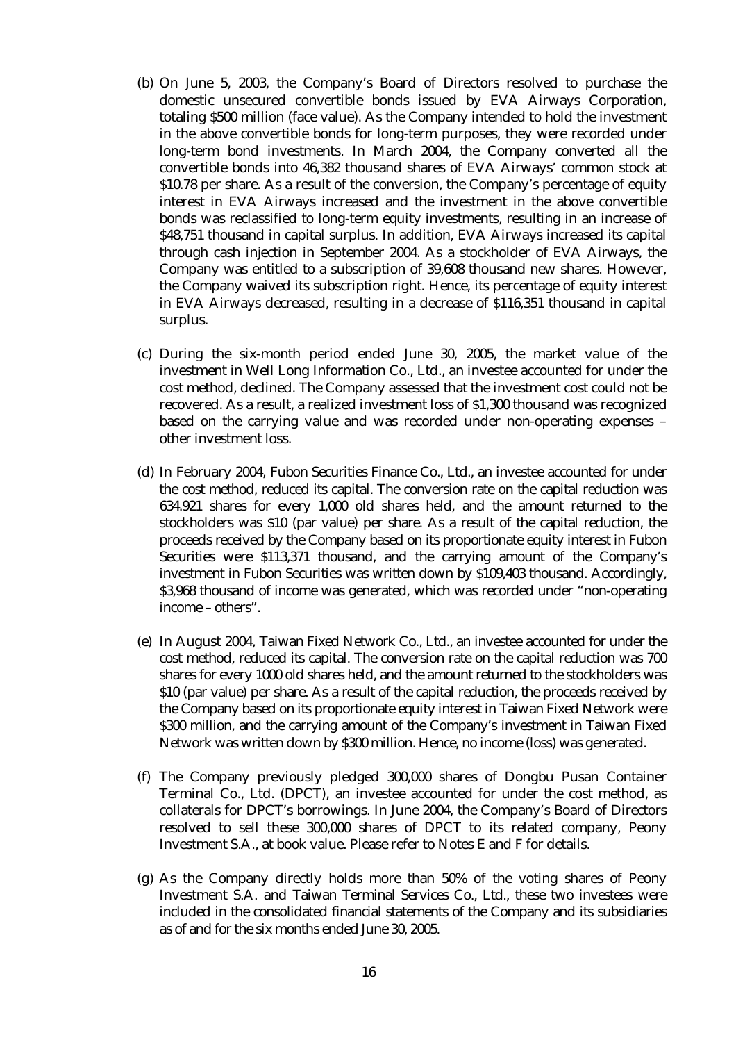- (b) On June 5, 2003, the Company's Board of Directors resolved to purchase the domestic unsecured convertible bonds issued by EVA Airways Corporation, totaling \$500 million (face value). As the Company intended to hold the investment in the above convertible bonds for long-term purposes, they were recorded under long-term bond investments. In March 2004, the Company converted all the convertible bonds into 46,382 thousand shares of EVA Airways' common stock at \$10.78 per share. As a result of the conversion, the Company's percentage of equity interest in EVA Airways increased and the investment in the above convertible bonds was reclassified to long-term equity investments, resulting in an increase of \$48,751 thousand in capital surplus. In addition, EVA Airways increased its capital through cash injection in September 2004. As a stockholder of EVA Airways, the Company was entitled to a subscription of 39,608 thousand new shares. However, the Company waived its subscription right. Hence, its percentage of equity interest in EVA Airways decreased, resulting in a decrease of \$116,351 thousand in capital surplus.
- (c) During the six-month period ended June 30, 2005, the market value of the investment in Well Long Information Co., Ltd., an investee accounted for under the cost method, declined. The Company assessed that the investment cost could not be recovered. As a result, a realized investment loss of \$1,300 thousand was recognized based on the carrying value and was recorded under non-operating expenses – other investment loss.
- (d) In February 2004, Fubon Securities Finance Co., Ltd., an investee accounted for under the cost method, reduced its capital. The conversion rate on the capital reduction was 634.921 shares for every 1,000 old shares held, and the amount returned to the stockholders was \$10 (par value) per share. As a result of the capital reduction, the proceeds received by the Company based on its proportionate equity interest in Fubon Securities were \$113,371 thousand, and the carrying amount of the Company's investment in Fubon Securities was written down by \$109,403 thousand. Accordingly, \$3,968 thousand of income was generated, which was recorded under "non-operating income – others".
- (e) In August 2004, Taiwan Fixed Network Co., Ltd., an investee accounted for under the cost method, reduced its capital. The conversion rate on the capital reduction was 700 shares for every 1000 old shares held, and the amount returned to the stockholders was \$10 (par value) per share. As a result of the capital reduction, the proceeds received by the Company based on its proportionate equity interest in Taiwan Fixed Network were \$300 million, and the carrying amount of the Company's investment in Taiwan Fixed Network was written down by \$300 million. Hence, no income (loss) was generated.
- (f) The Company previously pledged 300,000 shares of Dongbu Pusan Container Terminal Co., Ltd. (DPCT), an investee accounted for under the cost method, as collaterals for DPCT's borrowings. In June 2004, the Company's Board of Directors resolved to sell these 300,000 shares of DPCT to its related company, Peony Investment S.A., at book value. Please refer to Notes E and F for details.
- (g) As the Company directly holds more than 50% of the voting shares of Peony Investment S.A. and Taiwan Terminal Services Co., Ltd., these two investees were included in the consolidated financial statements of the Company and its subsidiaries as of and for the six months ended June 30, 2005.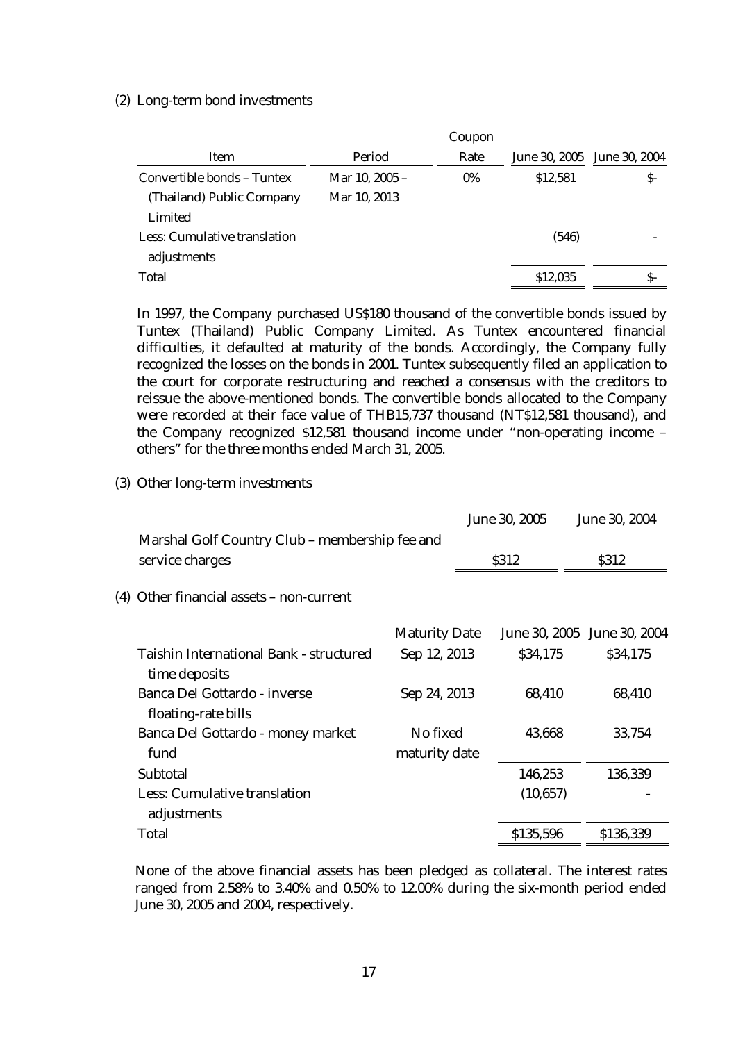#### (2) Long-term bond investments

|                              |                | Coupon |          |                             |
|------------------------------|----------------|--------|----------|-----------------------------|
| Item                         | Period         | Rate   |          | June 30, 2005 June 30, 2004 |
| Convertible bonds - Tuntex   | Mar 10, 2005 – | $0\%$  | \$12,581 | S-                          |
| (Thailand) Public Company    | Mar 10, 2013   |        |          |                             |
| Limited                      |                |        |          |                             |
| Less: Cumulative translation |                |        | (546)    |                             |
| adjustments                  |                |        |          |                             |
| Total                        |                |        | \$12,035 | S-                          |

In 1997, the Company purchased US\$180 thousand of the convertible bonds issued by Tuntex (Thailand) Public Company Limited. As Tuntex encountered financial difficulties, it defaulted at maturity of the bonds. Accordingly, the Company fully recognized the losses on the bonds in 2001. Tuntex subsequently filed an application to the court for corporate restructuring and reached a consensus with the creditors to reissue the above-mentioned bonds. The convertible bonds allocated to the Company were recorded at their face value of THB15,737 thousand (NT\$12,581 thousand), and the Company recognized \$12,581 thousand income under "non-operating income – others" for the three months ended March 31, 2005.

#### (3) Other long-term investments

|                                                | June 30, 2005 | June 30, 2004 |
|------------------------------------------------|---------------|---------------|
| Marshal Golf Country Club – membership fee and |               |               |
| service charges                                | S312          | S312          |
| (4) Other financial assets – non-current       |               |               |

|                                         | <b>Maturity Date</b> |           | June 30, 2005 June 30, 2004 |
|-----------------------------------------|----------------------|-----------|-----------------------------|
| Taishin International Bank - structured | Sep 12, 2013         | \$34,175  | \$34,175                    |
| time deposits                           |                      |           |                             |
| Banca Del Gottardo - inverse            | Sep 24, 2013         | 68,410    | 68,410                      |
| floating-rate bills                     |                      |           |                             |
| Banca Del Gottardo - money market       | No fixed             | 43,668    | 33,754                      |
| fund                                    | maturity date        |           |                             |
| Subtotal                                |                      | 146,253   | 136,339                     |
| Less: Cumulative translation            |                      | (10, 657) |                             |
| adjustments                             |                      |           |                             |
| Total                                   |                      | \$135,596 | \$136,339                   |

None of the above financial assets has been pledged as collateral. The interest rates ranged from 2.58% to 3.40% and 0.50% to 12.00% during the six-month period ended June 30, 2005 and 2004, respectively.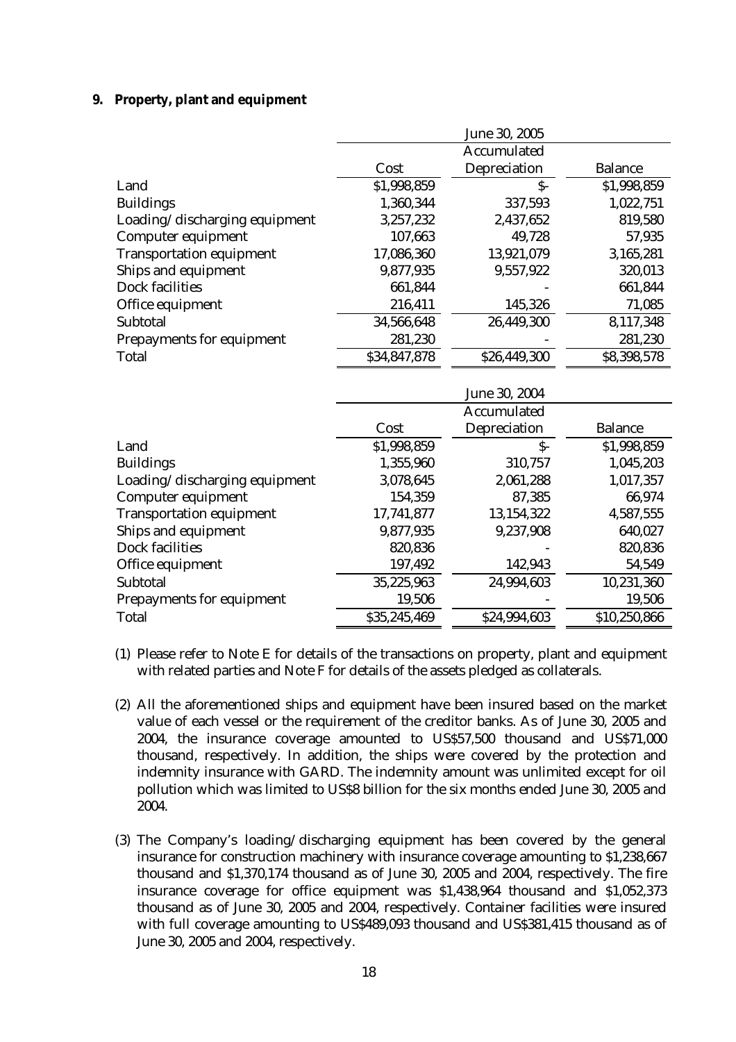### **9. Property, plant and equipment**

|                                 |              | June 30, 2005 |                |
|---------------------------------|--------------|---------------|----------------|
|                                 |              | Accumulated   |                |
|                                 | Cost         | Depreciation  | <b>Balance</b> |
| Land                            | \$1,998,859  | $S-$          | \$1,998,859    |
| <b>Buildings</b>                | 1,360,344    | 337,593       | 1,022,751      |
| Loading/discharging equipment   | 3,257,232    | 2,437,652     | 819,580        |
| Computer equipment              | 107,663      | 49,728        | 57,935         |
| <b>Transportation equipment</b> | 17,086,360   | 13,921,079    | 3,165,281      |
| Ships and equipment             | 9,877,935    | 9,557,922     | 320,013        |
| Dock facilities                 | 661,844      |               | 661,844        |
| Office equipment                | 216,411      | 145,326       | 71,085         |
| Subtotal                        | 34,566,648   | 26,449,300    | 8,117,348      |
| Prepayments for equipment       | 281,230      |               | 281,230        |
| <b>Total</b>                    | \$34,847,878 | \$26,449,300  | \$8,398,578    |
|                                 |              | June 30, 2004 |                |
|                                 |              | Accumulated   |                |
|                                 | Cost         | Depreciation  | <b>Balance</b> |
| Land                            | \$1,998,859  | $S-$          | \$1,998,859    |
| <b>Buildings</b>                | 1,355,960    | 310,757       | 1,045,203      |
| Loading/discharging equipment   | 3,078,645    | 2,061,288     | 1,017,357      |
| Computer equipment              | 154,359      | 87,385        | 66,974         |
| <b>Transportation equipment</b> | 17,741,877   | 13,154,322    | 4,587,555      |
| Ships and equipment             | 9,877,935    | 9,237,908     | 640,027        |
| Dock facilities                 | 820,836      |               | 820,836        |
| Office equipment                | 197,492      | 142,943       | 54,549         |
| Subtotal                        | 35,225,963   | 24,994,603    | 10,231,360     |
| Prepayments for equipment       | 19,506       |               | 19,506         |
|                                 |              |               |                |

- (1) Please refer to Note E for details of the transactions on property, plant and equipment with related parties and Note F for details of the assets pledged as collaterals.
- (2) All the aforementioned ships and equipment have been insured based on the market value of each vessel or the requirement of the creditor banks. As of June 30, 2005 and 2004, the insurance coverage amounted to US\$57,500 thousand and US\$71,000 thousand, respectively. In addition, the ships were covered by the protection and indemnity insurance with GARD. The indemnity amount was unlimited except for oil pollution which was limited to US\$8 billion for the six months ended June 30, 2005 and 2004.
- (3) The Company's loading/discharging equipment has been covered by the general insurance for construction machinery with insurance coverage amounting to \$1,238,667 thousand and \$1,370,174 thousand as of June 30, 2005 and 2004, respectively. The fire insurance coverage for office equipment was \$1,438,964 thousand and \$1,052,373 thousand as of June 30, 2005 and 2004, respectively. Container facilities were insured with full coverage amounting to US\$489,093 thousand and US\$381,415 thousand as of June 30, 2005 and 2004, respectively.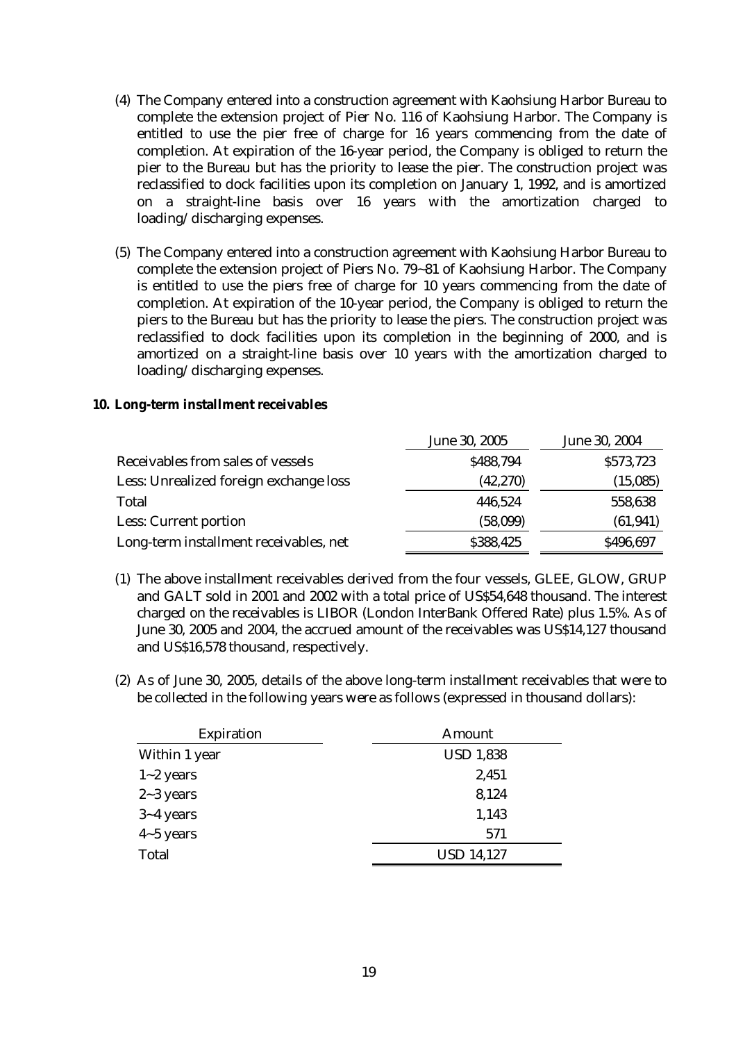- (4) The Company entered into a construction agreement with Kaohsiung Harbor Bureau to complete the extension project of Pier No. 116 of Kaohsiung Harbor. The Company is entitled to use the pier free of charge for 16 years commencing from the date of completion. At expiration of the 16-year period, the Company is obliged to return the pier to the Bureau but has the priority to lease the pier. The construction project was reclassified to dock facilities upon its completion on January 1, 1992, and is amortized on a straight-line basis over 16 years with the amortization charged to loading/discharging expenses.
- (5) The Company entered into a construction agreement with Kaohsiung Harbor Bureau to complete the extension project of Piers No. 79~81 of Kaohsiung Harbor. The Company is entitled to use the piers free of charge for 10 years commencing from the date of completion. At expiration of the 10-year period, the Company is obliged to return the piers to the Bureau but has the priority to lease the piers. The construction project was reclassified to dock facilities upon its completion in the beginning of 2000, and is amortized on a straight-line basis over 10 years with the amortization charged to loading/discharging expenses.

### **10. Long-term installment receivables**

|                                        | June 30, 2005 | June 30, 2004 |
|----------------------------------------|---------------|---------------|
| Receivables from sales of vessels      | \$488,794     | \$573,723     |
| Less: Unrealized foreign exchange loss | (42, 270)     | (15,085)      |
| Total                                  | 446,524       | 558,638       |
| Less: Current portion                  | (58,099)      | (61, 941)     |
| Long-term installment receivables, net | \$388,425     | \$496,697     |

- (1) The above installment receivables derived from the four vessels, GLEE, GLOW, GRUP and GALT sold in 2001 and 2002 with a total price of US\$54,648 thousand. The interest charged on the receivables is LIBOR (London InterBank Offered Rate) plus 1.5%. As of June 30, 2005 and 2004, the accrued amount of the receivables was US\$14,127 thousand and US\$16,578 thousand, respectively.
- (2) As of June 30, 2005, details of the above long-term installment receivables that were to be collected in the following years were as follows (expressed in thousand dollars):

| Amount            |
|-------------------|
| <b>USD 1,838</b>  |
| 2,451             |
| 8,124             |
| 1,143             |
| 571               |
| <b>USD 14,127</b> |
|                   |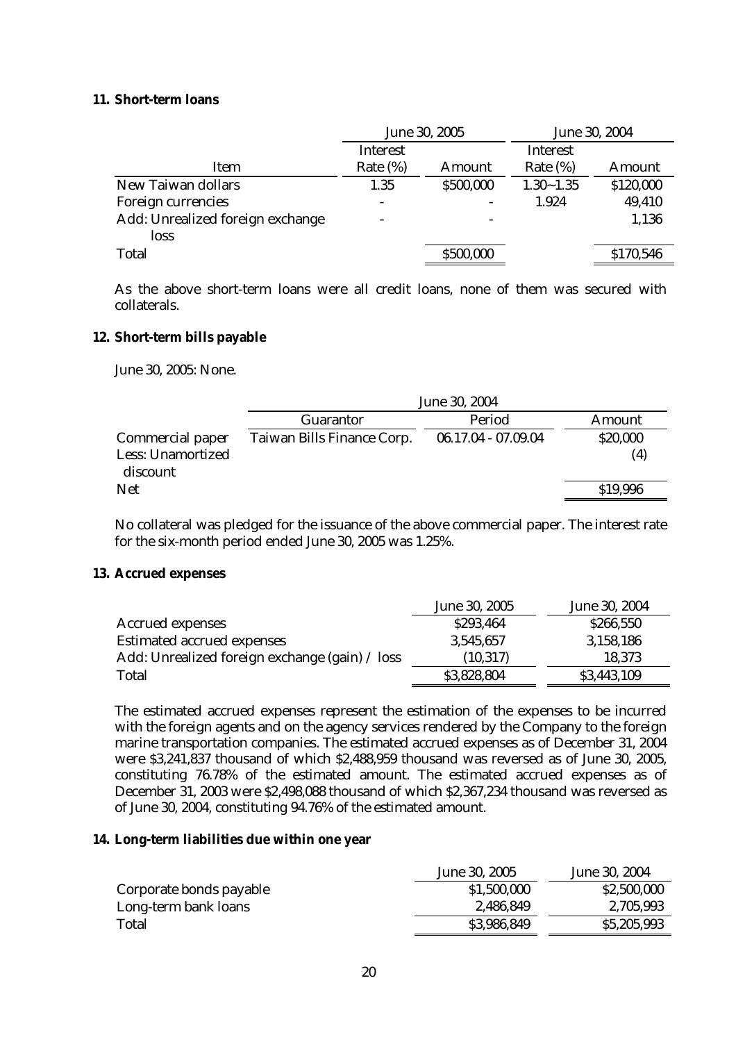### **11. Short-term loans**

|                                  | June 30, 2005            |           | June 30, 2004 |           |
|----------------------------------|--------------------------|-----------|---------------|-----------|
|                                  | Interest                 |           | Interest      |           |
| Item                             | Rate $(\%)$              | Amount    | Rate $(\%)$   | Amount    |
| New Taiwan dollars               | 1.35                     | \$500,000 | $1.30 - 1.35$ | \$120,000 |
| Foreign currencies               | $\overline{\phantom{a}}$ |           | 1.924         | 49,410    |
| Add: Unrealized foreign exchange |                          |           |               | 1,136     |
| loss                             |                          |           |               |           |
| Total                            |                          | \$500,000 |               | \$170,546 |

As the above short-term loans were all credit loans, none of them was secured with collaterals.

### **12. Short-term bills payable**

June 30, 2005: None.

|                               | June 30, 2004              |                     |          |
|-------------------------------|----------------------------|---------------------|----------|
|                               | Guarantor                  | Period              | Amount   |
| Commercial paper              | Taiwan Bills Finance Corp. | 06.17.04 - 07.09.04 | \$20,000 |
| Less: Unamortized<br>discount |                            |                     | (4)      |
| <b>Net</b>                    |                            |                     | \$19,996 |

No collateral was pledged for the issuance of the above commercial paper. The interest rate for the six-month period ended June 30, 2005 was 1.25%.

### **13. Accrued expenses**

|                                                | June 30, 2005 | June 30, 2004 |
|------------------------------------------------|---------------|---------------|
| <b>Accrued expenses</b>                        | \$293,464     | \$266,550     |
| <b>Estimated accrued expenses</b>              | 3,545,657     | 3,158,186     |
| Add: Unrealized foreign exchange (gain) / loss | (10, 317)     | 18,373        |
| Total                                          | \$3,828,804   | \$3,443,109   |

The estimated accrued expenses represent the estimation of the expenses to be incurred with the foreign agents and on the agency services rendered by the Company to the foreign marine transportation companies. The estimated accrued expenses as of December 31, 2004 were \$3,241,837 thousand of which \$2,488,959 thousand was reversed as of June 30, 2005, constituting 76.78% of the estimated amount. The estimated accrued expenses as of December 31, 2003 were \$2,498,088 thousand of which \$2,367,234 thousand was reversed as of June 30, 2004, constituting 94.76% of the estimated amount.

### **14. Long-term liabilities due within one year**

|                         | June 30, 2005 | June 30, 2004 |
|-------------------------|---------------|---------------|
| Corporate bonds payable | \$1,500,000   | \$2,500,000   |
| Long-term bank loans    | 2,486,849     | 2,705,993     |
| Total                   | \$3,986,849   | \$5,205,993   |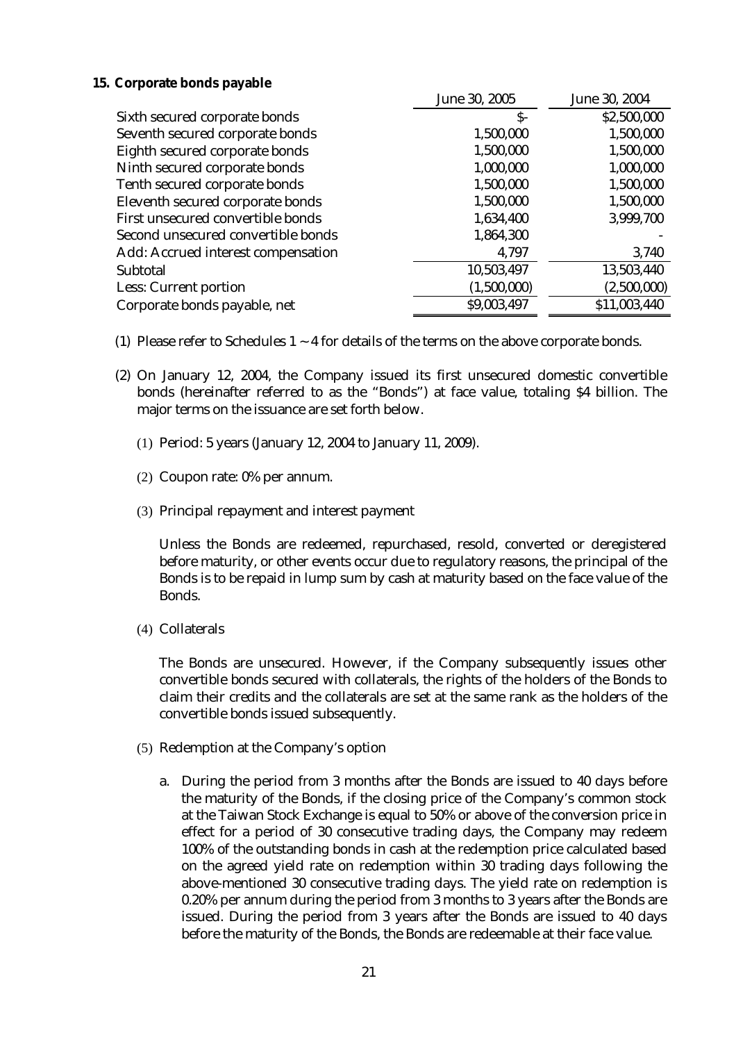### **15. Corporate bonds payable**

|                                    | June 30, 2005 | June 30, 2004 |
|------------------------------------|---------------|---------------|
| Sixth secured corporate bonds      | $S-$          | \$2,500,000   |
| Seventh secured corporate bonds    | 1,500,000     | 1,500,000     |
| Eighth secured corporate bonds     | 1,500,000     | 1,500,000     |
| Ninth secured corporate bonds      | 1,000,000     | 1,000,000     |
| Tenth secured corporate bonds      | 1,500,000     | 1,500,000     |
| Eleventh secured corporate bonds   | 1,500,000     | 1,500,000     |
| First unsecured convertible bonds  | 1,634,400     | 3,999,700     |
| Second unsecured convertible bonds | 1,864,300     |               |
| Add: Accrued interest compensation | 4,797         | 3,740         |
| Subtotal                           | 10,503,497    | 13,503,440    |
| Less: Current portion              | (1,500,000)   | (2,500,000)   |
| Corporate bonds payable, net       | \$9,003,497   | \$11,003,440  |

- (1) Please refer to Schedules  $1 \sim 4$  for details of the terms on the above corporate bonds.
- (2) On January 12, 2004, the Company issued its first unsecured domestic convertible bonds (hereinafter referred to as the "Bonds") at face value, totaling \$4 billion. The major terms on the issuance are set forth below.
	- (1) Period: 5 years (January 12, 2004 to January 11, 2009).
	- (2) Coupon rate: 0% per annum.
	- (3) Principal repayment and interest payment

Unless the Bonds are redeemed, repurchased, resold, converted or deregistered before maturity, or other events occur due to regulatory reasons, the principal of the Bonds is to be repaid in lump sum by cash at maturity based on the face value of the Bonds.

(4) Collaterals

The Bonds are unsecured. However, if the Company subsequently issues other convertible bonds secured with collaterals, the rights of the holders of the Bonds to claim their credits and the collaterals are set at the same rank as the holders of the convertible bonds issued subsequently.

- (5) Redemption at the Company's option
	- a. During the period from 3 months after the Bonds are issued to 40 days before the maturity of the Bonds, if the closing price of the Company's common stock at the Taiwan Stock Exchange is equal to 50% or above of the conversion price in effect for a period of 30 consecutive trading days, the Company may redeem 100% of the outstanding bonds in cash at the redemption price calculated based on the agreed yield rate on redemption within 30 trading days following the above-mentioned 30 consecutive trading days. The yield rate on redemption is 0.20% per annum during the period from 3 months to 3 years after the Bonds are issued. During the period from 3 years after the Bonds are issued to 40 days before the maturity of the Bonds, the Bonds are redeemable at their face value.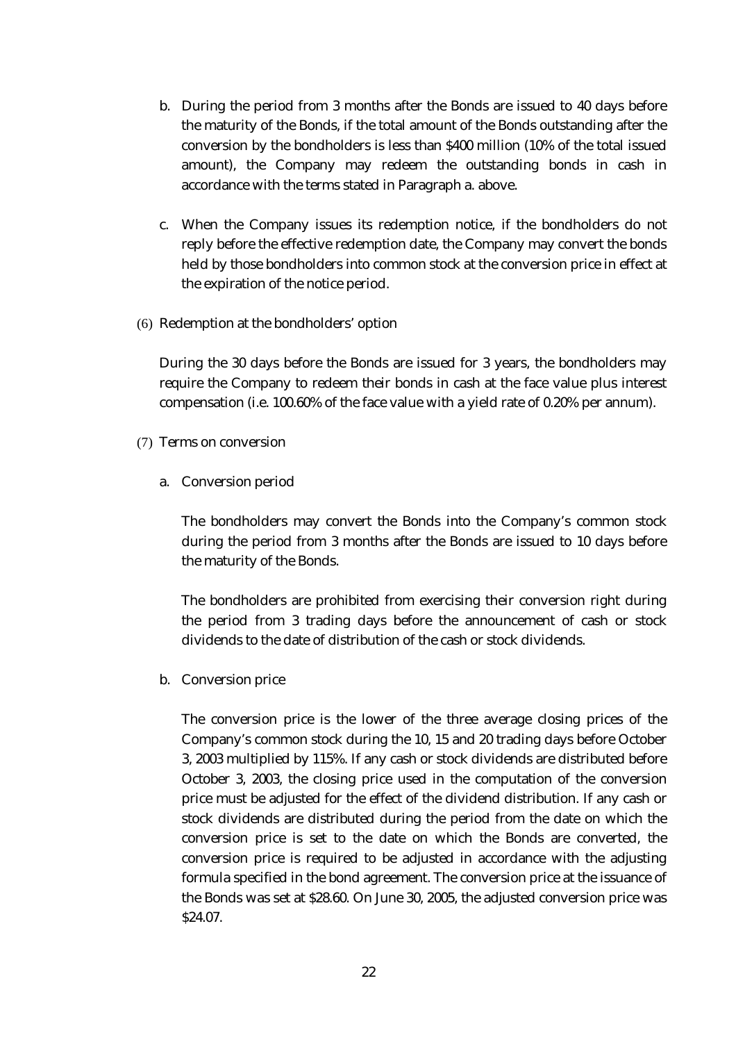- b. During the period from 3 months after the Bonds are issued to 40 days before the maturity of the Bonds, if the total amount of the Bonds outstanding after the conversion by the bondholders is less than \$400 million (10% of the total issued amount), the Company may redeem the outstanding bonds in cash in accordance with the terms stated in Paragraph a. above.
- c. When the Company issues its redemption notice, if the bondholders do not reply before the effective redemption date, the Company may convert the bonds held by those bondholders into common stock at the conversion price in effect at the expiration of the notice period.
- (6) Redemption at the bondholders' option

During the 30 days before the Bonds are issued for 3 years, the bondholders may require the Company to redeem their bonds in cash at the face value plus interest compensation (i.e. 100.60% of the face value with a yield rate of 0.20% per annum).

- (7) Terms on conversion
	- a. Conversion period

The bondholders may convert the Bonds into the Company's common stock during the period from 3 months after the Bonds are issued to 10 days before the maturity of the Bonds.

The bondholders are prohibited from exercising their conversion right during the period from 3 trading days before the announcement of cash or stock dividends to the date of distribution of the cash or stock dividends.

b. Conversion price

The conversion price is the lower of the three average closing prices of the Company's common stock during the 10, 15 and 20 trading days before October 3, 2003 multiplied by 115%. If any cash or stock dividends are distributed before October 3, 2003, the closing price used in the computation of the conversion price must be adjusted for the effect of the dividend distribution. If any cash or stock dividends are distributed during the period from the date on which the conversion price is set to the date on which the Bonds are converted, the conversion price is required to be adjusted in accordance with the adjusting formula specified in the bond agreement. The conversion price at the issuance of the Bonds was set at \$28.60. On June 30, 2005, the adjusted conversion price was \$24.07.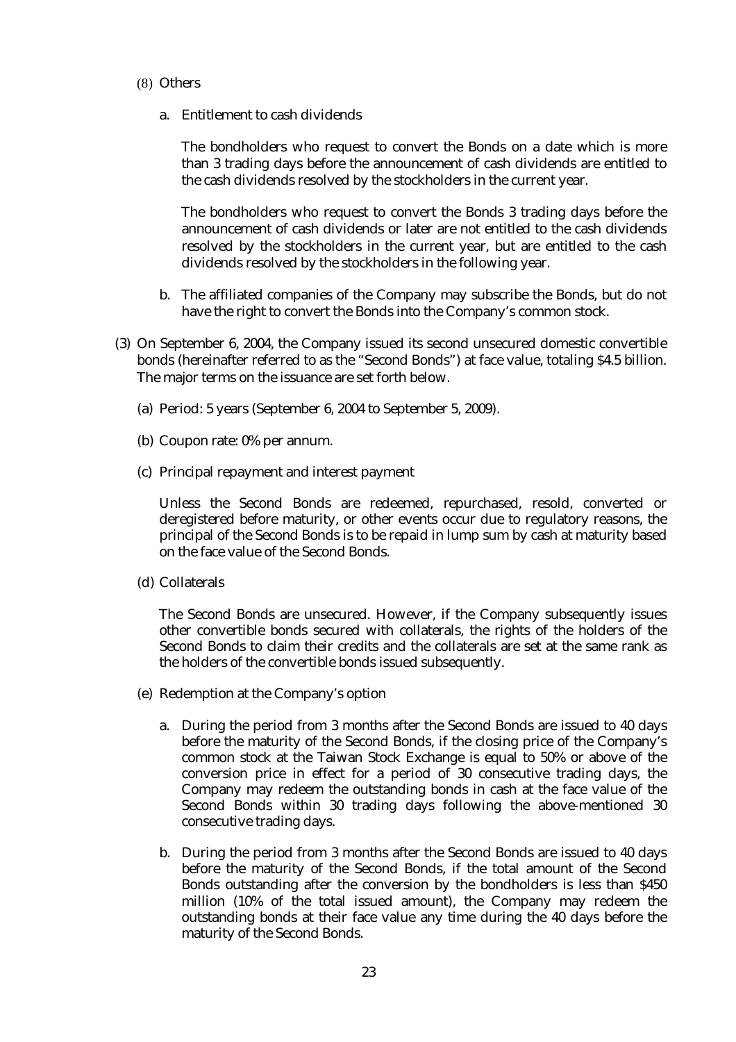### (8) Others

a. Entitlement to cash dividends

The bondholders who request to convert the Bonds on a date which is more than 3 trading days before the announcement of cash dividends are entitled to the cash dividends resolved by the stockholders in the current year.

The bondholders who request to convert the Bonds 3 trading days before the announcement of cash dividends or later are not entitled to the cash dividends resolved by the stockholders in the current year, but are entitled to the cash dividends resolved by the stockholders in the following year.

- b. The affiliated companies of the Company may subscribe the Bonds, but do not have the right to convert the Bonds into the Company's common stock.
- (3) On September 6, 2004, the Company issued its second unsecured domestic convertible bonds (hereinafter referred to as the "Second Bonds") at face value, totaling \$4.5 billion. The major terms on the issuance are set forth below.
	- (a) Period: 5 years (September 6, 2004 to September 5, 2009).
	- (b) Coupon rate: 0% per annum.
	- (c) Principal repayment and interest payment

Unless the Second Bonds are redeemed, repurchased, resold, converted or deregistered before maturity, or other events occur due to regulatory reasons, the principal of the Second Bonds is to be repaid in lump sum by cash at maturity based on the face value of the Second Bonds.

(d) Collaterals

The Second Bonds are unsecured. However, if the Company subsequently issues other convertible bonds secured with collaterals, the rights of the holders of the Second Bonds to claim their credits and the collaterals are set at the same rank as the holders of the convertible bonds issued subsequently.

- (e) Redemption at the Company's option
	- a. During the period from 3 months after the Second Bonds are issued to 40 days before the maturity of the Second Bonds, if the closing price of the Company's common stock at the Taiwan Stock Exchange is equal to 50% or above of the conversion price in effect for a period of 30 consecutive trading days, the Company may redeem the outstanding bonds in cash at the face value of the Second Bonds within 30 trading days following the above-mentioned 30 consecutive trading days.
	- b. During the period from 3 months after the Second Bonds are issued to 40 days before the maturity of the Second Bonds, if the total amount of the Second Bonds outstanding after the conversion by the bondholders is less than \$450 million (10% of the total issued amount), the Company may redeem the outstanding bonds at their face value any time during the 40 days before the maturity of the Second Bonds.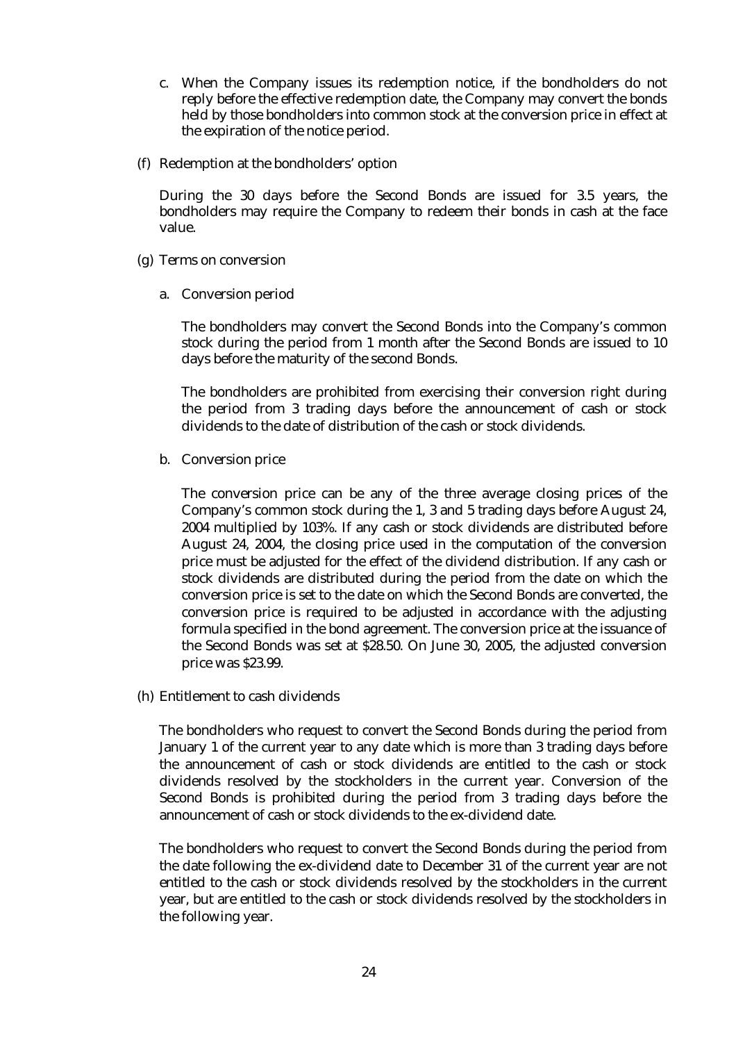- c. When the Company issues its redemption notice, if the bondholders do not reply before the effective redemption date, the Company may convert the bonds held by those bondholders into common stock at the conversion price in effect at the expiration of the notice period.
- (f) Redemption at the bondholders' option

During the 30 days before the Second Bonds are issued for 3.5 years, the bondholders may require the Company to redeem their bonds in cash at the face value.

- (g) Terms on conversion
	- a. Conversion period

The bondholders may convert the Second Bonds into the Company's common stock during the period from 1 month after the Second Bonds are issued to 10 days before the maturity of the second Bonds.

The bondholders are prohibited from exercising their conversion right during the period from 3 trading days before the announcement of cash or stock dividends to the date of distribution of the cash or stock dividends.

b. Conversion price

The conversion price can be any of the three average closing prices of the Company's common stock during the 1, 3 and 5 trading days before August 24, 2004 multiplied by 103%. If any cash or stock dividends are distributed before August 24, 2004, the closing price used in the computation of the conversion price must be adjusted for the effect of the dividend distribution. If any cash or stock dividends are distributed during the period from the date on which the conversion price is set to the date on which the Second Bonds are converted, the conversion price is required to be adjusted in accordance with the adjusting formula specified in the bond agreement. The conversion price at the issuance of the Second Bonds was set at \$28.50. On June 30, 2005, the adjusted conversion price was \$23.99.

(h) Entitlement to cash dividends

The bondholders who request to convert the Second Bonds during the period from January 1 of the current year to any date which is more than 3 trading days before the announcement of cash or stock dividends are entitled to the cash or stock dividends resolved by the stockholders in the current year. Conversion of the Second Bonds is prohibited during the period from 3 trading days before the announcement of cash or stock dividends to the ex-dividend date.

The bondholders who request to convert the Second Bonds during the period from the date following the ex-dividend date to December 31 of the current year are not entitled to the cash or stock dividends resolved by the stockholders in the current year, but are entitled to the cash or stock dividends resolved by the stockholders in the following year.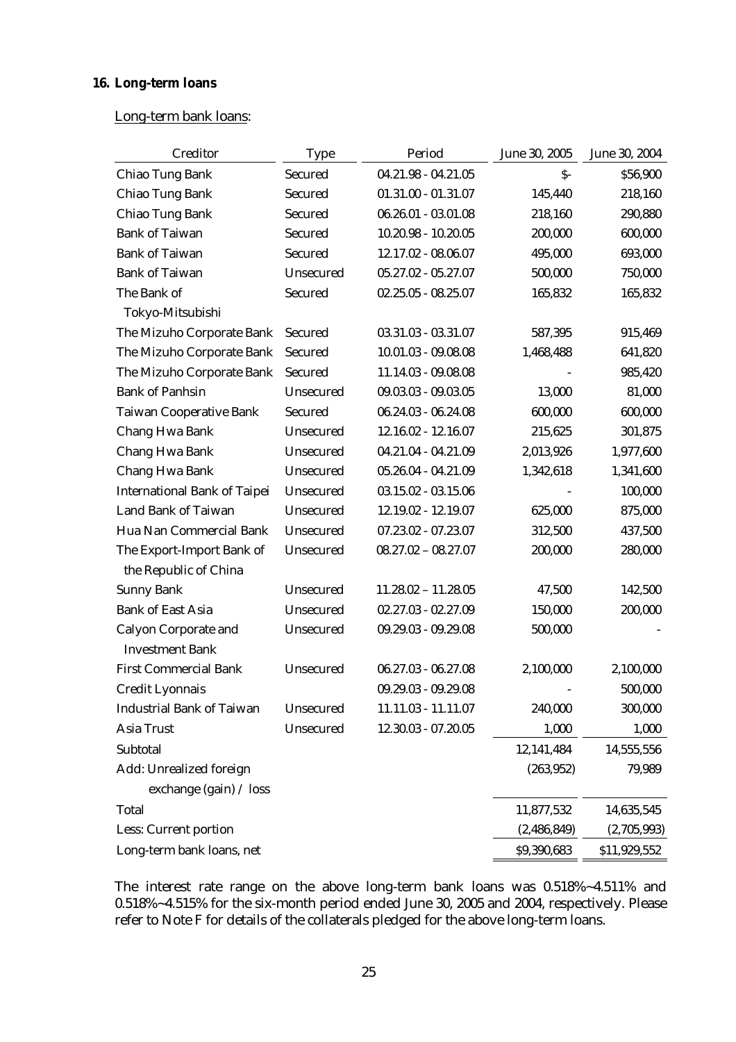# **16. Long-term loans**

# Long-term bank loans:

| Creditor                            | <b>Type</b> | Period                | June 30, 2005 | June 30, 2004 |
|-------------------------------------|-------------|-----------------------|---------------|---------------|
| Chiao Tung Bank                     | Secured     | $04.21.98 - 04.21.05$ | $S-$          | \$56,900      |
| Chiao Tung Bank                     | Secured     | $01.31.00 - 01.31.07$ | 145,440       | 218,160       |
| Chiao Tung Bank                     | Secured     | $06.26.01 - 03.01.08$ | 218,160       | 290,880       |
| <b>Bank of Taiwan</b>               | Secured     | $10.20.98 - 10.20.05$ | 200,000       | 600,000       |
| <b>Bank of Taiwan</b>               | Secured     | 12.17.02 - 08.06.07   | 495,000       | 693,000       |
| <b>Bank of Taiwan</b>               | Unsecured   | $05.27.02 - 05.27.07$ | 500,000       | 750,000       |
| The Bank of                         | Secured     | $02.25.05 - 08.25.07$ | 165,832       | 165,832       |
| Tokyo-Mitsubishi                    |             |                       |               |               |
| The Mizuho Corporate Bank           | Secured     | 03.31.03 - 03.31.07   | 587,395       | 915,469       |
| The Mizuho Corporate Bank           | Secured     | $10.01.03 - 09.08.08$ | 1,468,488     | 641,820       |
| The Mizuho Corporate Bank           | Secured     | 11.14.03 - 09.08.08   |               | 985,420       |
| <b>Bank of Panhsin</b>              | Unsecured   | $09.03.03 - 09.03.05$ | 13,000        | 81,000        |
| <b>Taiwan Cooperative Bank</b>      | Secured     | $06.24.03 - 06.24.08$ | 600,000       | 600,000       |
| Chang Hwa Bank                      | Unsecured   | 12.16.02 - 12.16.07   | 215,625       | 301,875       |
| Chang Hwa Bank                      | Unsecured   | 04.21.04 - 04.21.09   | 2,013,926     | 1,977,600     |
| Chang Hwa Bank                      | Unsecured   | 05.26.04 - 04.21.09   | 1,342,618     | 1,341,600     |
| <b>International Bank of Taipei</b> | Unsecured   | $03.15.02 - 03.15.06$ |               | 100,000       |
| Land Bank of Taiwan                 | Unsecured   | 12.19.02 - 12.19.07   | 625,000       | 875,000       |
| Hua Nan Commercial Bank             | Unsecured   | 07.23.02 - 07.23.07   | 312,500       | 437,500       |
| The Export-Import Bank of           | Unsecured   | $08.27.02 - 08.27.07$ | 200,000       | 280,000       |
| the Republic of China               |             |                       |               |               |
| <b>Sunny Bank</b>                   | Unsecured   | $11.28.02 - 11.28.05$ | 47,500        | 142,500       |
| <b>Bank of East Asia</b>            | Unsecured   | $02.27.03 - 02.27.09$ | 150,000       | 200,000       |
| <b>Calyon Corporate and</b>         | Unsecured   | 09.29.03 - 09.29.08   | 500,000       |               |
| <b>Investment Bank</b>              |             |                       |               |               |
| <b>First Commercial Bank</b>        | Unsecured   | $06.27.03 - 06.27.08$ | 2,100,000     | 2,100,000     |
| Credit Lyonnais                     |             | 09.29.03 - 09.29.08   |               | 500,000       |
| <b>Industrial Bank of Taiwan</b>    | Unsecured   | 11.11.03 - 11.11.07   | 240,000       | 300,000       |
| Asia Trust                          | Unsecured   | 12.30.03 - 07.20.05   | 1,000         | 1,000         |
| Subtotal                            |             |                       | 12,141,484    | 14,555,556    |
| Add: Unrealized foreign             |             |                       | (263, 952)    | 79,989        |
| exchange (gain) / loss              |             |                       |               |               |
| Total                               |             |                       | 11,877,532    | 14,635,545    |
| Less: Current portion               |             |                       | (2,486,849)   | (2,705,993)   |
| Long-term bank loans, net           |             |                       | \$9,390,683   | \$11,929,552  |

The interest rate range on the above long-term bank loans was 0.518%~4.511% and 0.518%~4.515% for the six-month period ended June 30, 2005 and 2004, respectively. Please refer to Note F for details of the collaterals pledged for the above long-term loans.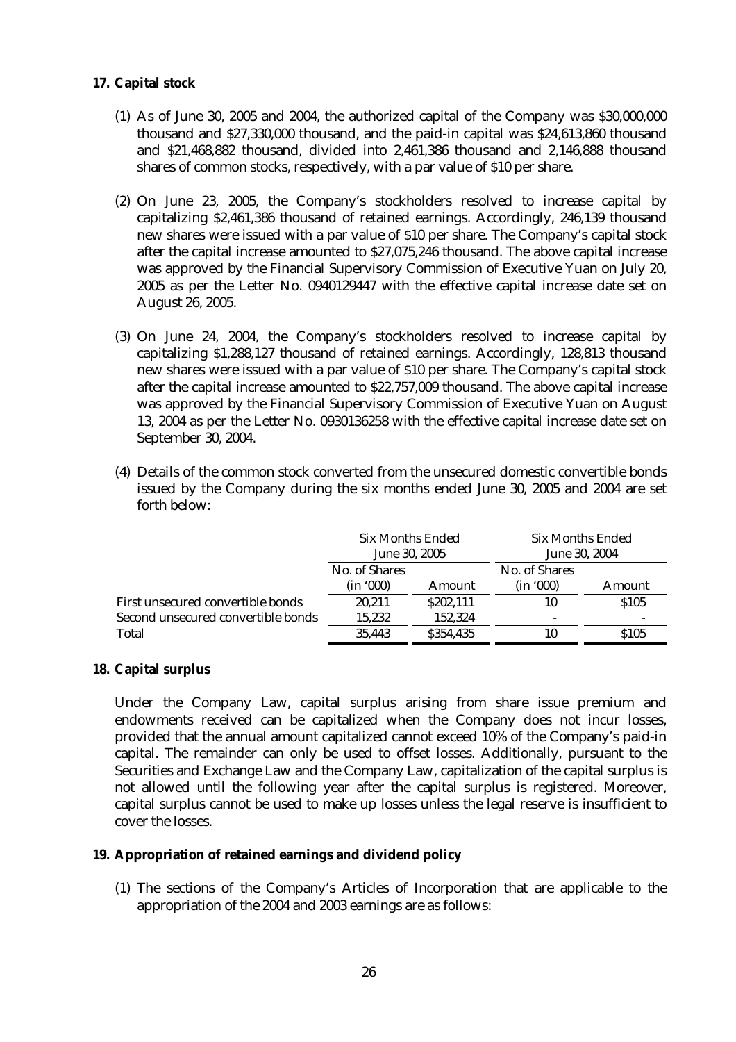# **17. Capital stock**

- (1) As of June 30, 2005 and 2004, the authorized capital of the Company was \$30,000,000 thousand and \$27,330,000 thousand, and the paid-in capital was \$24,613,860 thousand and \$21,468,882 thousand, divided into 2,461,386 thousand and 2,146,888 thousand shares of common stocks, respectively, with a par value of \$10 per share.
- (2) On June 23, 2005, the Company's stockholders resolved to increase capital by capitalizing \$2,461,386 thousand of retained earnings. Accordingly, 246,139 thousand new shares were issued with a par value of \$10 per share. The Company's capital stock after the capital increase amounted to \$27,075,246 thousand. The above capital increase was approved by the Financial Supervisory Commission of Executive Yuan on July 20, 2005 as per the Letter No. 0940129447 with the effective capital increase date set on August 26, 2005.
- (3) On June 24, 2004, the Company's stockholders resolved to increase capital by capitalizing \$1,288,127 thousand of retained earnings. Accordingly, 128,813 thousand new shares were issued with a par value of \$10 per share. The Company's capital stock after the capital increase amounted to \$22,757,009 thousand. The above capital increase was approved by the Financial Supervisory Commission of Executive Yuan on August 13, 2004 as per the Letter No. 0930136258 with the effective capital increase date set on September 30, 2004.
- (4) Details of the common stock converted from the unsecured domestic convertible bonds issued by the Company during the six months ended June 30, 2005 and 2004 are set forth below:

|                                    | Six Months Ended<br>June 30, 2005 |           | <b>Six Months Ended</b><br>June 30, 2004 |             |
|------------------------------------|-----------------------------------|-----------|------------------------------------------|-------------|
|                                    | No. of Shares                     |           | No. of Shares                            |             |
|                                    | (in '000)                         | Amount    | (in '000)                                | Amount      |
| First unsecured convertible bonds  | 20.211                            | \$202,111 | 10                                       | <b>S105</b> |
| Second unsecured convertible bonds | 15.232                            | 152.324   |                                          |             |
| Total                              | 35.443                            | \$354.435 | 10                                       | <b>S105</b> |

# **18. Capital surplus**

Under the Company Law, capital surplus arising from share issue premium and endowments received can be capitalized when the Company does not incur losses, provided that the annual amount capitalized cannot exceed 10% of the Company's paid-in capital. The remainder can only be used to offset losses. Additionally, pursuant to the Securities and Exchange Law and the Company Law, capitalization of the capital surplus is not allowed until the following year after the capital surplus is registered. Moreover, capital surplus cannot be used to make up losses unless the legal reserve is insufficient to cover the losses.

### **19. Appropriation of retained earnings and dividend policy**

(1) The sections of the Company's Articles of Incorporation that are applicable to the appropriation of the 2004 and 2003 earnings are as follows: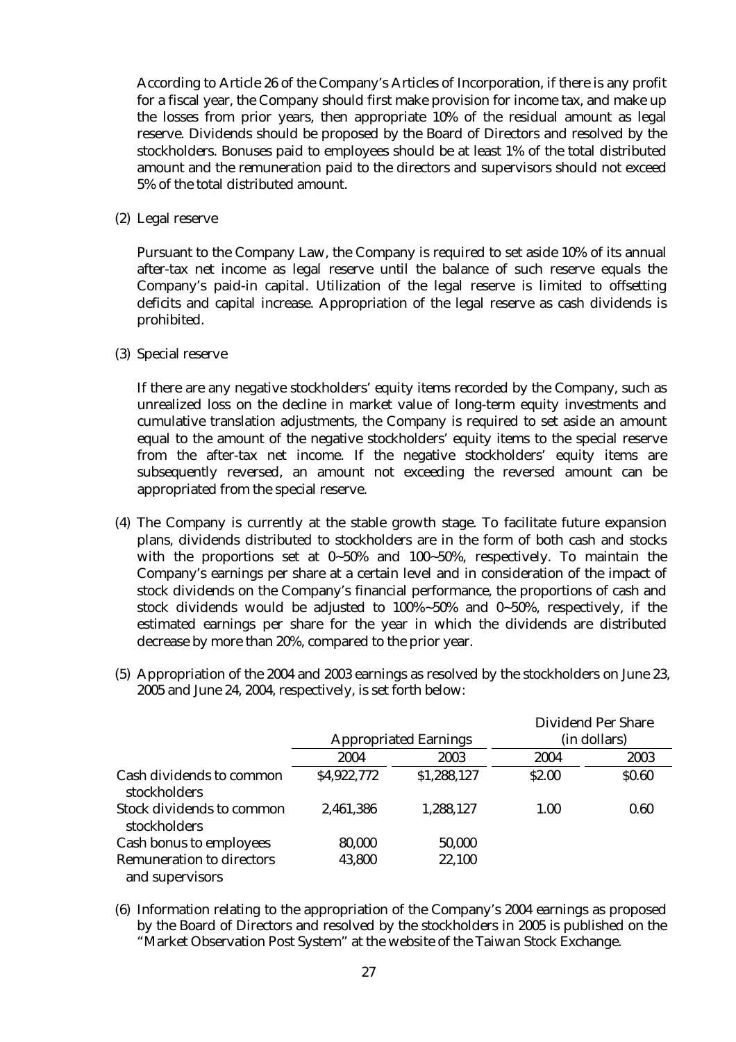According to Article 26 of the Company's Articles of Incorporation, if there is any profit for a fiscal year, the Company should first make provision for income tax, and make up the losses from prior years, then appropriate 10% of the residual amount as legal reserve. Dividends should be proposed by the Board of Directors and resolved by the stockholders. Bonuses paid to employees should be at least 1% of the total distributed amount and the remuneration paid to the directors and supervisors should not exceed 5% of the total distributed amount.

(2) Legal reserve

Pursuant to the Company Law, the Company is required to set aside 10% of its annual after-tax net income as legal reserve until the balance of such reserve equals the Company's paid-in capital. Utilization of the legal reserve is limited to offsetting deficits and capital increase. Appropriation of the legal reserve as cash dividends is prohibited.

(3) Special reserve

If there are any negative stockholders' equity items recorded by the Company, such as unrealized loss on the decline in market value of long-term equity investments and cumulative translation adjustments, the Company is required to set aside an amount equal to the amount of the negative stockholders' equity items to the special reserve from the after-tax net income. If the negative stockholders' equity items are subsequently reversed, an amount not exceeding the reversed amount can be appropriated from the special reserve.

- (4) The Company is currently at the stable growth stage. To facilitate future expansion plans, dividends distributed to stockholders are in the form of both cash and stocks with the proportions set at 0~50% and 100~50%, respectively. To maintain the Company's earnings per share at a certain level and in consideration of the impact of stock dividends on the Company's financial performance, the proportions of cash and stock dividends would be adjusted to 100%~50% and 0~50%, respectively, if the estimated earnings per share for the year in which the dividends are distributed decrease by more than 20%, compared to the prior year.
- (5) Appropriation of the 2004 and 2003 earnings as resolved by the stockholders on June 23, 2005 and June 24, 2004, respectively, is set forth below:

|                                                     |                              |             |        | Dividend Per Share |
|-----------------------------------------------------|------------------------------|-------------|--------|--------------------|
|                                                     | <b>Appropriated Earnings</b> |             |        | (in dollars)       |
|                                                     | 2004                         | 2003        | 2004   | 2003               |
| Cash dividends to common<br><b>stockholders</b>     | \$4,922,772                  | \$1,288,127 | \$2.00 | \$0.60             |
| Stock dividends to common<br>stockholders           | 2,461,386                    | 1,288,127   | 1.00   | 0.60               |
| Cash bonus to employees                             | 80,000                       | 50,000      |        |                    |
| <b>Remuneration to directors</b><br>and supervisors | 43,800                       | 22,100      |        |                    |

(6) Information relating to the appropriation of the Company's 2004 earnings as proposed by the Board of Directors and resolved by the stockholders in 2005 is published on the "Market Observation Post System" at the website of the Taiwan Stock Exchange.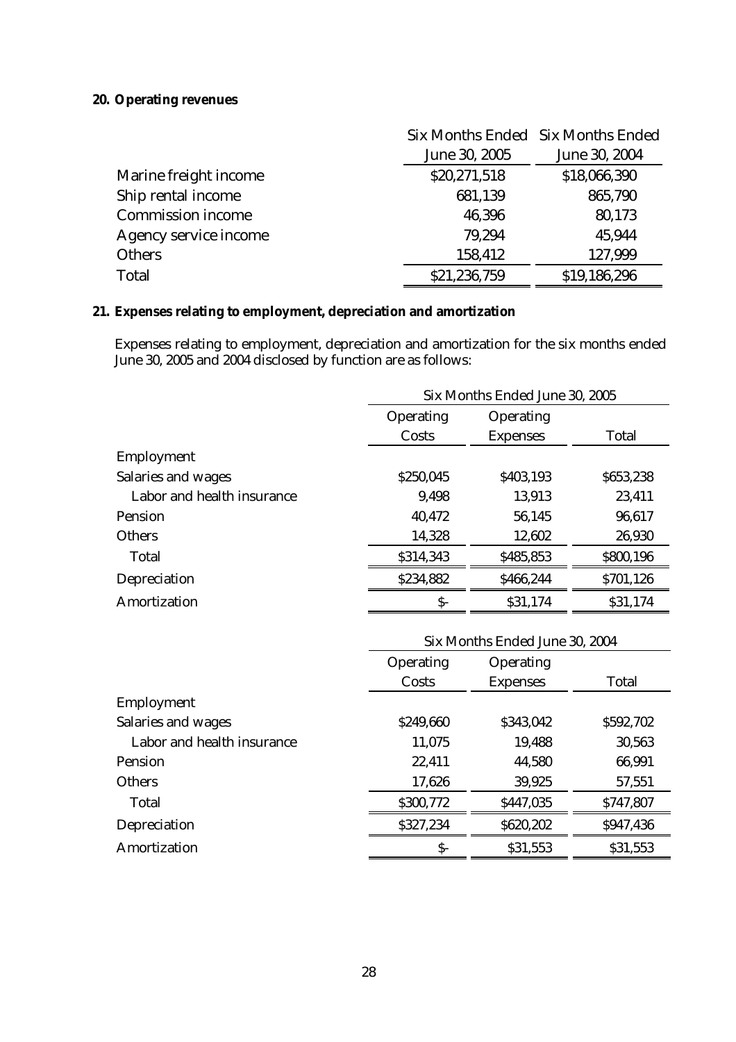# **20. Operating revenues**

|                          |               | Six Months Ended Six Months Ended |
|--------------------------|---------------|-----------------------------------|
|                          | June 30, 2005 | June 30, 2004                     |
| Marine freight income    | \$20,271,518  | \$18,066,390                      |
| Ship rental income       | 681,139       | 865,790                           |
| <b>Commission income</b> | 46,396        | 80,173                            |
| Agency service income    | 79,294        | 45,944                            |
| <b>Others</b>            | 158,412       | 127,999                           |
| Total                    | \$21,236,759  | \$19,186,296                      |

# **21. Expenses relating to employment, depreciation and amortization**

Expenses relating to employment, depreciation and amortization for the six months ended June 30, 2005 and 2004 disclosed by function are as follows:

|                            | Six Months Ended June 30, 2005 |                 |           |
|----------------------------|--------------------------------|-----------------|-----------|
|                            | Operating<br>Operating         |                 |           |
|                            | Costs                          | <b>Expenses</b> | Total     |
| Employment                 |                                |                 |           |
| Salaries and wages         | \$250,045                      | \$403,193       | \$653,238 |
| Labor and health insurance | 9.498                          | 13,913          | 23,411    |
| Pension                    | 40,472                         | 56,145          | 96,617    |
| <b>Others</b>              | 14,328                         | 12,602          | 26,930    |
| Total                      | \$314,343                      | \$485,853       | \$800,196 |
| Depreciation               | \$234,882                      | \$466,244       | \$701,126 |
| Amortization               | $\mathsf{S}$ -                 | \$31,174        | \$31,174  |

|                            | Six Months Ended June 30, 2004 |                 |           |
|----------------------------|--------------------------------|-----------------|-----------|
|                            | Operating<br>Operating         |                 |           |
|                            | Costs                          | <b>Expenses</b> | Total     |
| Employment                 |                                |                 |           |
| Salaries and wages         | \$249,660                      | \$343,042       | \$592,702 |
| Labor and health insurance | 11,075                         | 19,488          | 30,563    |
| <b>Pension</b>             | 22,411                         | 44,580          | 66,991    |
| <b>Others</b>              | 17,626                         | 39,925          | 57,551    |
| Total                      | \$300,772                      | \$447,035       | \$747,807 |
| Depreciation               | \$327,234                      | \$620,202       | \$947,436 |
| Amortization               | $\mathsf{S}$ -                 | \$31,553        | \$31,553  |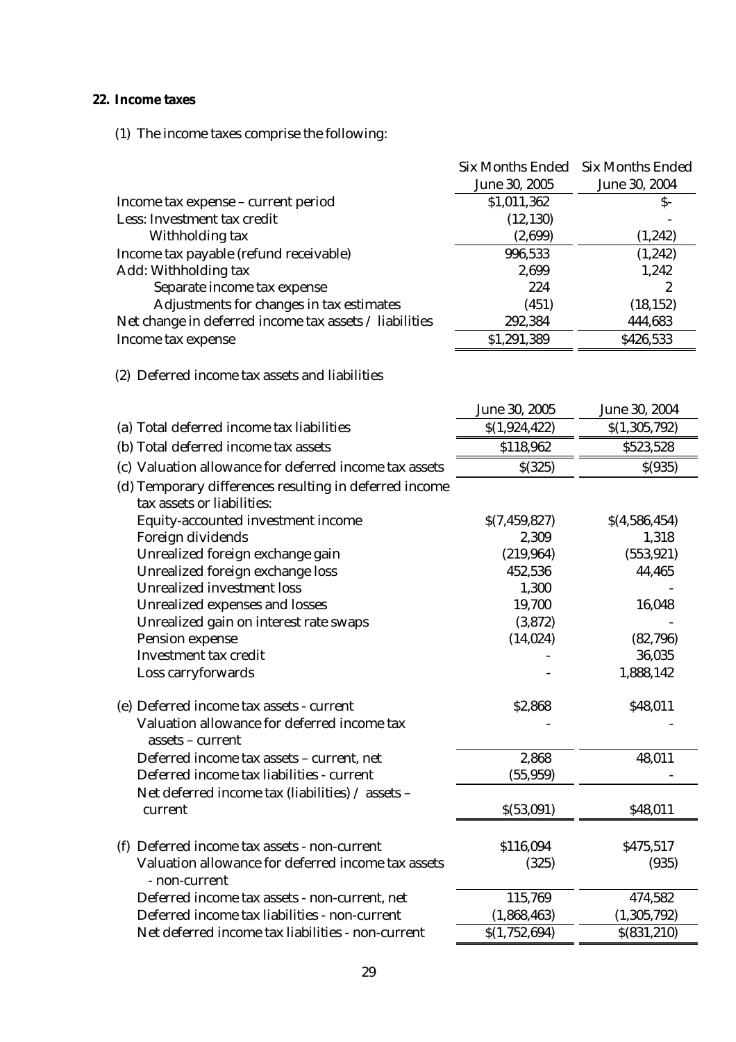# **22. Income taxes**

(1) The income taxes comprise the following:

|                                                                                      | <b>Six Months Ended</b> | <b>Six Months Ended</b> |
|--------------------------------------------------------------------------------------|-------------------------|-------------------------|
|                                                                                      | June 30, 2005           | June 30, 2004           |
| Income tax expense – current period                                                  | \$1,011,362             | \$-                     |
| Less: Investment tax credit                                                          | (12, 130)               |                         |
| Withholding tax                                                                      | (2,699)                 | (1,242)                 |
| Income tax payable (refund receivable)                                               | 996,533                 | (1,242)                 |
| Add: Withholding tax                                                                 | 2,699                   | 1,242                   |
| Separate income tax expense                                                          | 224                     | 2                       |
| Adjustments for changes in tax estimates                                             | (451)                   | (18, 152)               |
| Net change in deferred income tax assets / liabilities                               | 292,384                 | 444,683                 |
| Income tax expense                                                                   | \$1,291,389             | \$426,533               |
| (2) Deferred income tax assets and liabilities                                       |                         |                         |
|                                                                                      |                         |                         |
|                                                                                      | June 30, 2005           | June 30, 2004           |
| (a) Total deferred income tax liabilities                                            | \$(1,924,422)           | \$(1,305,792)           |
| (b) Total deferred income tax assets                                                 | \$118,962               | \$523,528               |
| (c) Valuation allowance for deferred income tax assets                               | \$(325)                 | \$(935)                 |
| (d) Temporary differences resulting in deferred income<br>tax assets or liabilities: |                         |                         |
| Equity-accounted investment income                                                   | \$(7, 459, 827)         | \$(4,586,454)           |
| Foreign dividends                                                                    | 2,309                   | 1,318                   |
| Unrealized foreign exchange gain                                                     | (219, 964)              | (553, 921)              |
| Unrealized foreign exchange loss                                                     | 452,536                 | 44,465                  |
| <b>Unrealized investment loss</b>                                                    | 1,300                   |                         |
| Unrealized expenses and losses                                                       | 19,700                  | 16,048                  |
| Unrealized gain on interest rate swaps                                               | (3,872)                 |                         |
| Pension expense                                                                      | (14, 024)               | (82, 796)               |
| Investment tax credit                                                                |                         | 36,035                  |
| Loss carryforwards                                                                   |                         | 1,888,142               |
| (e) Deferred income tax assets - current                                             | \$2,868                 | \$48,011                |
| Valuation allowance for deferred income tax                                          |                         |                         |
| assets - current                                                                     |                         |                         |
| Deferred income tax assets - current, net                                            | 2,868                   | 48,011                  |
| Deferred income tax liabilities - current                                            | (55, 959)               |                         |
| Net deferred income tax (liabilities) / assets -                                     |                         |                         |
| current                                                                              | \$(53,091)              | \$48,011                |
|                                                                                      |                         |                         |
| (f) Deferred income tax assets - non-current                                         | \$116,094               | \$475,517               |
| Valuation allowance for deferred income tax assets<br>- non-current                  | (325)                   | (935)                   |
| Deferred income tax assets - non-current, net                                        | 115,769                 | 474,582                 |
| Deferred income tax liabilities - non-current                                        | (1,868,463)             | (1,305,792)             |
| Net deferred income tax liabilities - non-current                                    | \$(1,752,694)           | \$ (831, 210)           |
|                                                                                      |                         |                         |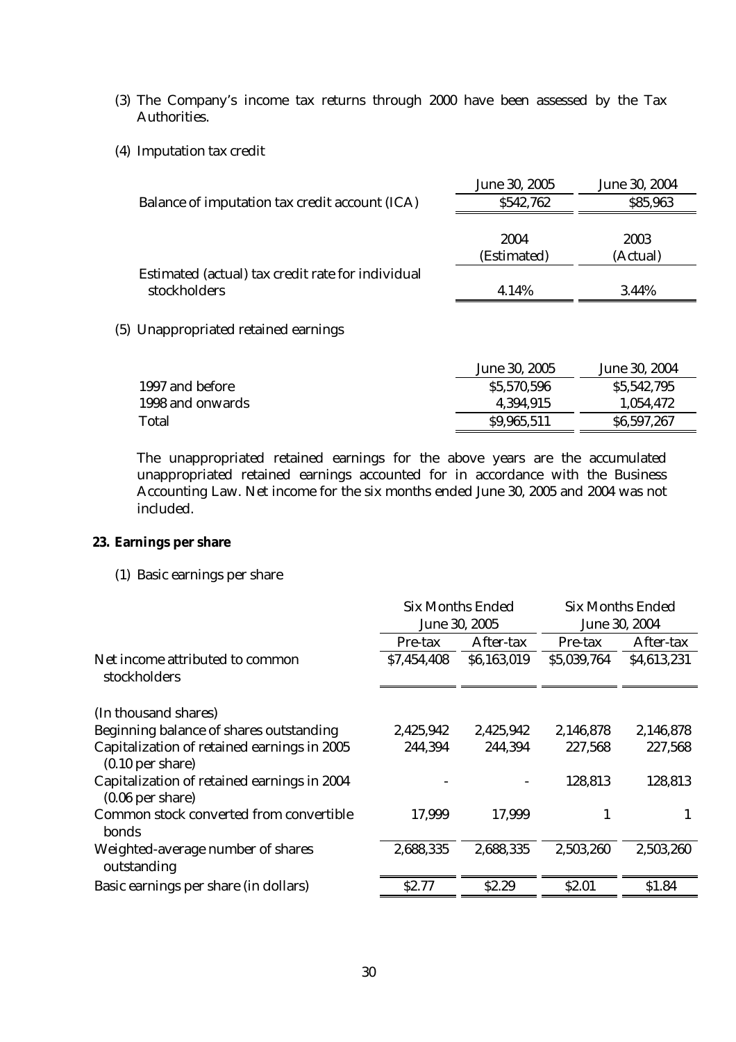- (3) The Company's income tax returns through 2000 have been assessed by the Tax Authorities.
- (4) Imputation tax credit

|                                                   | June 30, 2005 | June 30, 2004 |
|---------------------------------------------------|---------------|---------------|
| Balance of imputation tax credit account (ICA)    | \$542,762     | \$85,963      |
|                                                   |               |               |
|                                                   | 2004          | 2003          |
|                                                   | (Estimated)   | (Actual)      |
| Estimated (actual) tax credit rate for individual |               |               |
| stockholders                                      | 4.14%         | 3.44%         |

(5) Unappropriated retained earnings

|                  | June 30, 2005 | June 30, 2004 |
|------------------|---------------|---------------|
| 1997 and before  | \$5,570,596   | \$5,542,795   |
| 1998 and onwards | 4,394,915     | 1.054.472     |
| Total            | \$9,965,511   | \$6,597,267   |

The unappropriated retained earnings for the above years are the accumulated unappropriated retained earnings accounted for in accordance with the Business Accounting Law. Net income for the six months ended June 30, 2005 and 2004 was not included.

# **23. Earnings per share**

(1) Basic earnings per share

|                                                                           | Six Months Ended |             | Six Months Ended |             |
|---------------------------------------------------------------------------|------------------|-------------|------------------|-------------|
|                                                                           | June 30, 2005    |             | June 30, 2004    |             |
|                                                                           | Pre-tax          | After-tax   | Pre-tax          | After-tax   |
| Net income attributed to common<br>stockholders                           | \$7,454,408      | \$6,163,019 | \$5,039,764      | \$4,613,231 |
| (In thousand shares)                                                      |                  |             |                  |             |
| Beginning balance of shares outstanding                                   | 2,425,942        | 2,425,942   | 2,146,878        | 2,146,878   |
| Capitalization of retained earnings in 2005<br>$(0.10 \text{ per share})$ | 244,394          | 244,394     | 227,568          | 227,568     |
| Capitalization of retained earnings in 2004<br>$(0.06$ per share)         |                  |             | 128,813          | 128,813     |
| Common stock converted from convertible<br><b>bonds</b>                   | 17,999           | 17,999      | 1                |             |
| Weighted-average number of shares<br>outstanding                          | 2,688,335        | 2,688,335   | 2,503,260        | 2,503,260   |
| Basic earnings per share (in dollars)                                     | <b>S2.77</b>     | \$2.29      | \$2.01           | \$1.84      |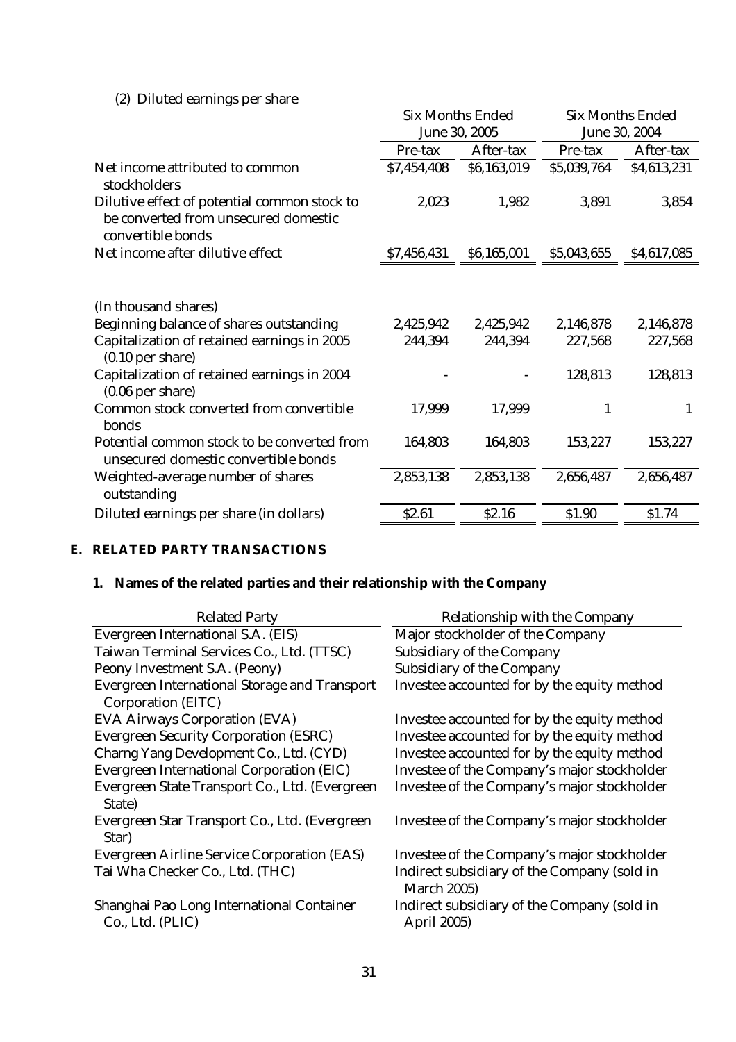# (2) Diluted earnings per share

|                                                                                                                                                                                                           | <b>Six Months Ended</b><br>June 30, 2005 |                      | <b>Six Months Ended</b><br>June 30, 2004 |                                 |
|-----------------------------------------------------------------------------------------------------------------------------------------------------------------------------------------------------------|------------------------------------------|----------------------|------------------------------------------|---------------------------------|
|                                                                                                                                                                                                           | Pre-tax                                  | After-tax            | Pre-tax                                  | After-tax                       |
| Net income attributed to common<br>stockholders                                                                                                                                                           | \$7,454,408                              | \$6,163,019          | \$5,039,764                              | \$4,613,231                     |
| Dilutive effect of potential common stock to<br>be converted from unsecured domestic<br>convertible bonds                                                                                                 | 2,023                                    | 1,982                | 3,891                                    | 3,854                           |
| Net income after dilutive effect                                                                                                                                                                          | \$7,456,431                              | \$6,165,001          | \$5,043,655                              | \$4,617,085                     |
| (In thousand shares)<br>Beginning balance of shares outstanding<br>Capitalization of retained earnings in 2005<br>$(0.10$ per share)<br>Capitalization of retained earnings in 2004<br>$(0.06$ per share) | 2,425,942<br>244,394                     | 2,425,942<br>244,394 | 2,146,878<br>227,568<br>128,813          | 2,146,878<br>227,568<br>128,813 |
| Common stock converted from convertible<br>bonds                                                                                                                                                          | 17,999                                   | 17,999               | 1                                        | 1                               |
| Potential common stock to be converted from<br>unsecured domestic convertible bonds                                                                                                                       | 164,803                                  | 164,803              | 153,227                                  | 153,227                         |
| Weighted-average number of shares<br>outstanding                                                                                                                                                          | 2,853,138                                | 2,853,138            | 2,656,487                                | 2,656,487                       |
| Diluted earnings per share (in dollars)                                                                                                                                                                   | \$2.61                                   | \$2.16               | \$1.90                                   | \$1.74                          |

# **E. RELATED PARTY TRANSACTIONS**

# **1. Names of the related parties and their relationship with the Company**

| <b>Related Party</b>                                          | Relationship with the Company                                     |
|---------------------------------------------------------------|-------------------------------------------------------------------|
| Evergreen International S.A. (EIS)                            | Major stockholder of the Company                                  |
| Taiwan Terminal Services Co., Ltd. (TTSC)                     | Subsidiary of the Company                                         |
| Peony Investment S.A. (Peony)                                 | Subsidiary of the Company                                         |
| <b>Evergreen International Storage and Transport</b>          | Investee accounted for by the equity method                       |
| Corporation (EITC)                                            |                                                                   |
| <b>EVA Airways Corporation (EVA)</b>                          | Investee accounted for by the equity method                       |
| <b>Evergreen Security Corporation (ESRC)</b>                  | Investee accounted for by the equity method                       |
| Charng Yang Development Co., Ltd. (CYD)                       | Investee accounted for by the equity method                       |
| Evergreen International Corporation (EIC)                     | Investee of the Company's major stockholder                       |
| Evergreen State Transport Co., Ltd. (Evergreen<br>State)      | Investee of the Company's major stockholder                       |
| Evergreen Star Transport Co., Ltd. (Evergreen<br>Star)        | Investee of the Company's major stockholder                       |
| <b>Evergreen Airline Service Corporation (EAS)</b>            | Investee of the Company's major stockholder                       |
| Tai Wha Checker Co., Ltd. (THC)                               | Indirect subsidiary of the Company (sold in<br><b>March 2005)</b> |
| Shanghai Pao Long International Container<br>Co., Ltd. (PLIC) | Indirect subsidiary of the Company (sold in<br><b>April 2005)</b> |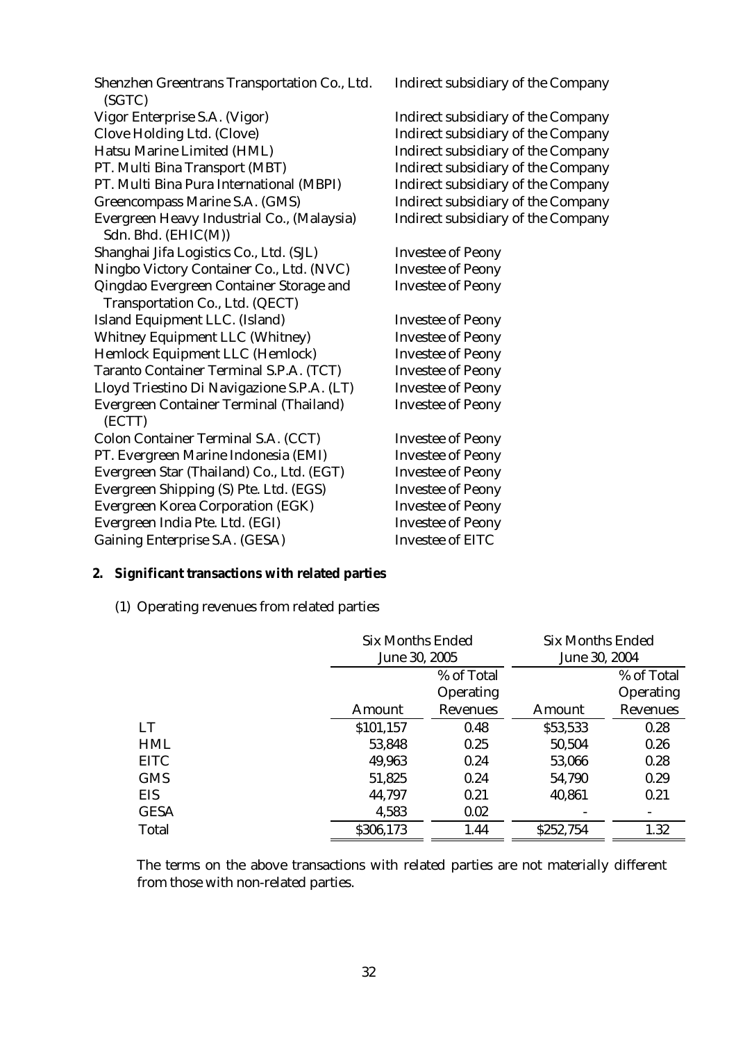Shenzhen Greentrans Transportation Co., Ltd. (SGTC) Vigor Enterprise S.A. (Vigor) Indirect subsidiary of the Company Clove Holding Ltd. (Clove) Indirect subsidiary of the Company Hatsu Marine Limited (HML) Indirect subsidiary of the Company PT. Multi Bina Transport (MBT) Indirect subsidiary of the Company PT. Multi Bina Pura International (MBPI) Indirect subsidiary of the Company Greencompass Marine S.A. (GMS) Indirect subsidiary of the Company Evergreen Heavy Industrial Co., (Malaysia) Sdn. Bhd. (EHIC(M)) Shanghai Jifa Logistics Co., Ltd. (SJL) Investee of Peony Ningbo Victory Container Co., Ltd. (NVC) Investee of Peony Qingdao Evergreen Container Storage and Transportation Co., Ltd. (QECT) Investee of Peony Island Equipment LLC. (Island) Investee of Peony Whitney Equipment LLC (Whitney) Investee of Peony Hemlock Equipment LLC (Hemlock) Investee of Peony Taranto Container Terminal S.P.A. (TCT) Investee of Peony Lloyd Triestino Di Navigazione S.P.A. (LT) Investee of Peony Evergreen Container Terminal (Thailand) (ECTT) Colon Container Terminal S.A. (CCT) Investee of Peony PT. Evergreen Marine Indonesia (EMI) Investee of Peony Evergreen Star (Thailand) Co., Ltd. (EGT) Investee of Peony Evergreen Shipping (S) Pte. Ltd. (EGS) Investee of Peony Evergreen Korea Corporation (EGK) Investee of Peony Evergreen India Pte. Ltd. (EGI) Investee of Peony Gaining Enterprise S.A. (GESA) Investee of EITC

Indirect subsidiary of the Company

Indirect subsidiary of the Company

Investee of Peony

### **2. Significant transactions with related parties**

(1) Operating revenues from related parties

|             | <b>Six Months Ended</b> |            | Six Months Ended |            |
|-------------|-------------------------|------------|------------------|------------|
|             | June 30, 2005           |            | June 30, 2004    |            |
|             |                         | % of Total |                  | % of Total |
|             |                         | Operating  |                  | Operating  |
|             | Amount                  | Revenues   | Amount           | Revenues   |
| <b>LT</b>   | \$101,157               | 0.48       | \$53,533         | 0.28       |
| <b>HML</b>  | 53,848                  | 0.25       | 50,504           | 0.26       |
| <b>EITC</b> | 49,963                  | 0.24       | 53,066           | 0.28       |
| <b>GMS</b>  | 51,825                  | 0.24       | 54,790           | 0.29       |
| <b>EIS</b>  | 44,797                  | 0.21       | 40,861           | 0.21       |
| <b>GESA</b> | 4,583                   | 0.02       |                  |            |
| Total       | \$306,173               | 1.44       | \$252,754        | 1.32       |

The terms on the above transactions with related parties are not materially different from those with non-related parties.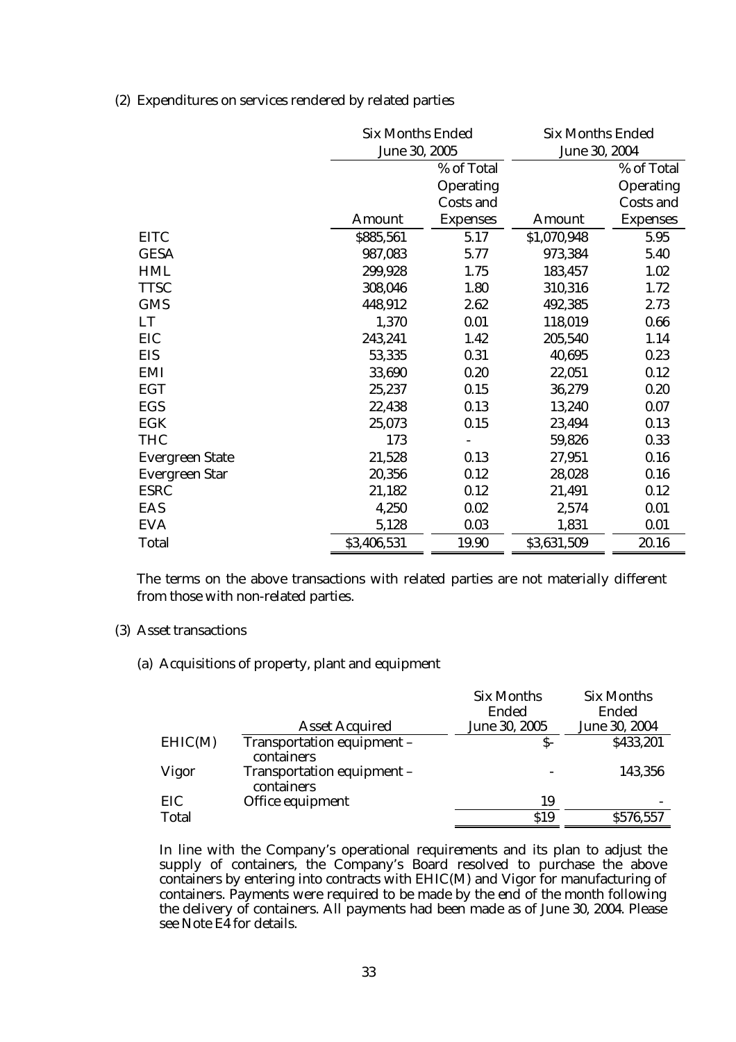(2) Expenditures on services rendered by related parties

|                        | <b>Six Months Ended</b><br>June 30, 2005 |                 | <b>Six Months Ended</b><br>June 30, 2004 |                 |
|------------------------|------------------------------------------|-----------------|------------------------------------------|-----------------|
|                        |                                          | % of Total      |                                          | % of Total      |
|                        |                                          | Operating       |                                          | Operating       |
|                        |                                          | Costs and       |                                          | Costs and       |
|                        | Amount                                   | <b>Expenses</b> | Amount                                   | <b>Expenses</b> |
| <b>EITC</b>            | \$885,561                                | 5.17            | \$1,070,948                              | 5.95            |
| <b>GESA</b>            | 987,083                                  | 5.77            | 973,384                                  | 5.40            |
| <b>HML</b>             | 299,928                                  | 1.75            | 183,457                                  | 1.02            |
| <b>TTSC</b>            | 308,046                                  | 1.80            | 310,316                                  | 1.72            |
| <b>GMS</b>             | 448,912                                  | 2.62            | 492,385                                  | 2.73            |
| LT                     | 1,370                                    | 0.01            | 118,019                                  | 0.66            |
| EIC                    | 243,241                                  | 1.42            | 205,540                                  | 1.14            |
| <b>EIS</b>             | 53,335                                   | 0.31            | 40,695                                   | 0.23            |
| EMI                    | 33,690                                   | 0.20            | 22,051                                   | 0.12            |
| <b>EGT</b>             | 25,237                                   | 0.15            | 36,279                                   | 0.20            |
| EGS                    | 22,438                                   | 0.13            | 13,240                                   | 0.07            |
| <b>EGK</b>             | 25,073                                   | 0.15            | 23,494                                   | 0.13            |
| <b>THC</b>             | 173                                      |                 | 59,826                                   | 0.33            |
| <b>Evergreen State</b> | 21,528                                   | 0.13            | 27,951                                   | 0.16            |
| <b>Evergreen Star</b>  | 20,356                                   | 0.12            | 28,028                                   | 0.16            |
| <b>ESRC</b>            | 21,182                                   | 0.12            | 21,491                                   | 0.12            |
| EAS                    | 4,250                                    | 0.02            | 2,574                                    | 0.01            |
| <b>EVA</b>             | 5,128                                    | 0.03            | 1,831                                    | 0.01            |
| Total                  | \$3,406,531                              | 19.90           | \$3,631,509                              | 20.16           |

The terms on the above transactions with related parties are not materially different from those with non-related parties.

### (3) Asset transactions

(a) Acquisitions of property, plant and equipment

|         |                                          | <b>Six Months</b> | Six Months    |
|---------|------------------------------------------|-------------------|---------------|
|         |                                          | Ended             | Ended         |
|         | <b>Asset Acquired</b>                    | June 30, 2005     | June 30, 2004 |
| EHIC(M) | Transportation equipment -<br>containers | $S-$              | \$433,201     |
| Vigor   | Transportation equipment -<br>containers |                   | 143,356       |
| EIC     | Office equipment                         | 19                |               |
| Total   |                                          | \$19              | \$576,557     |

In line with the Company's operational requirements and its plan to adjust the supply of containers, the Company's Board resolved to purchase the above containers by entering into contracts with EHIC(M) and Vigor for manufacturing of containers. Payments were required to be made by the end of the month following the delivery of containers. All payments had been made as of June 30, 2004. Please see Note E4 for details.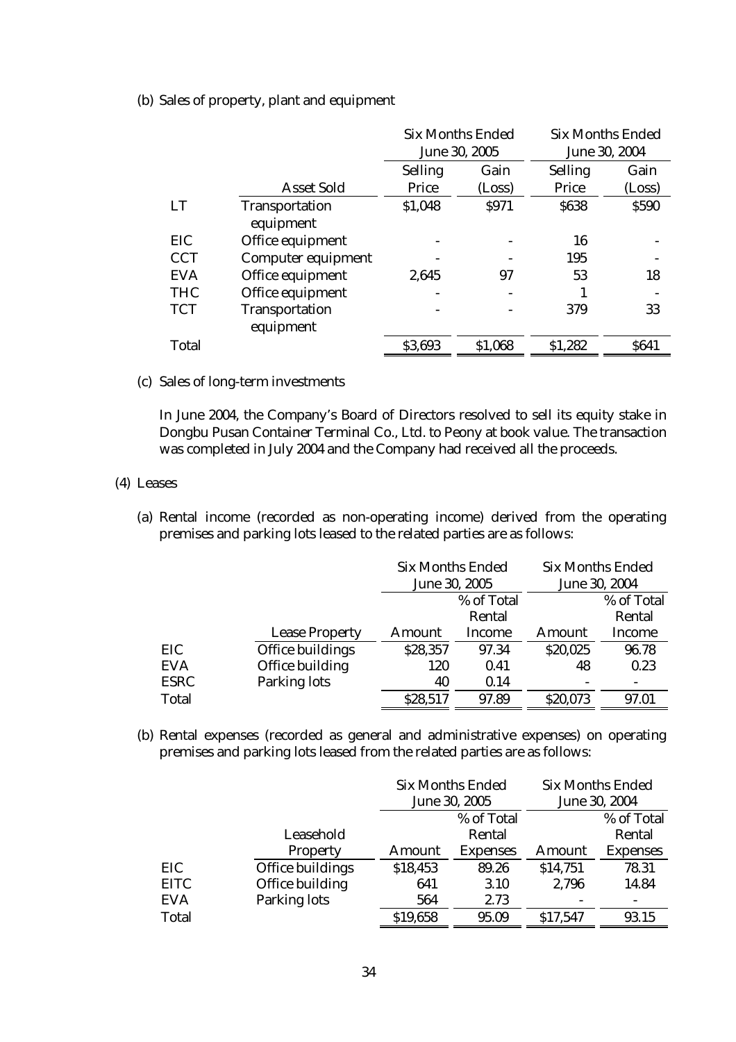(b) Sales of property, plant and equipment

|            |                    | <b>Six Months Ended</b> |               | <b>Six Months Ended</b> |              |
|------------|--------------------|-------------------------|---------------|-------------------------|--------------|
|            |                    |                         | June 30, 2005 | June 30, 2004           |              |
|            |                    | Selling                 | Gain          | Selling                 | Gain         |
|            | <b>Asset Sold</b>  | Price                   | (Loss)        | Price                   | (Loss)       |
| <b>LT</b>  | Transportation     | \$1,048                 | <b>S971</b>   | \$638                   | <b>\$590</b> |
|            | equipment          |                         |               |                         |              |
| <b>EIC</b> | Office equipment   |                         |               | 16                      |              |
| <b>CCT</b> | Computer equipment |                         |               | 195                     |              |
| <b>EVA</b> | Office equipment   | 2,645                   | 97            | 53                      | 18           |
| <b>THC</b> | Office equipment   |                         |               |                         |              |
| <b>TCT</b> | Transportation     |                         |               | 379                     | 33           |
|            | equipment          |                         |               |                         |              |
| Total      |                    | \$3,693                 | \$1,068       | \$1,282                 | <b>S641</b>  |

(c) Sales of long-term investments

In June 2004, the Company's Board of Directors resolved to sell its equity stake in Dongbu Pusan Container Terminal Co., Ltd. to Peony at book value. The transaction was completed in July 2004 and the Company had received all the proceeds.

# (4) Leases

(a) Rental income (recorded as non-operating income) derived from the operating premises and parking lots leased to the related parties are as follows:

|             |                       |          | <b>Six Months Ended</b><br>June 30, 2005 |          | <b>Six Months Ended</b><br>June 30, 2004 |  |
|-------------|-----------------------|----------|------------------------------------------|----------|------------------------------------------|--|
|             |                       |          | % of Total                               |          | % of Total                               |  |
|             |                       |          | Rental                                   |          | Rental                                   |  |
|             | <b>Lease Property</b> | Amount   | Income                                   | Amount   | Income                                   |  |
| EIC         | Office buildings      | \$28,357 | 97.34                                    | \$20,025 | 96.78                                    |  |
| <b>EVA</b>  | Office building       | 120      | 0.41                                     | 48       | 0.23                                     |  |
| <b>ESRC</b> | Parking lots          | 40       | 0.14                                     |          |                                          |  |
| Total       |                       | \$28,517 | 97.89                                    | \$20,073 | 97.01                                    |  |

(b) Rental expenses (recorded as general and administrative expenses) on operating premises and parking lots leased from the related parties are as follows:

|             |                  |          | <b>Six Months Ended</b><br>June 30, 2005 |          | <b>Six Months Ended</b><br>June 30, 2004 |
|-------------|------------------|----------|------------------------------------------|----------|------------------------------------------|
|             |                  |          | % of Total                               |          | % of Total                               |
|             | Leasehold        |          | Rental                                   |          | Rental                                   |
|             | Property         | Amount   | <b>Expenses</b>                          | Amount   | <b>Expenses</b>                          |
| EIC         | Office buildings | \$18,453 | 89.26                                    | \$14,751 | 78.31                                    |
| <b>EITC</b> | Office building  | 641      | 3.10                                     | 2,796    | 14.84                                    |
| <b>EVA</b>  | Parking lots     | 564      | 2.73                                     |          |                                          |
| Total       |                  | \$19,658 | 95.09                                    | \$17,547 | 93.15                                    |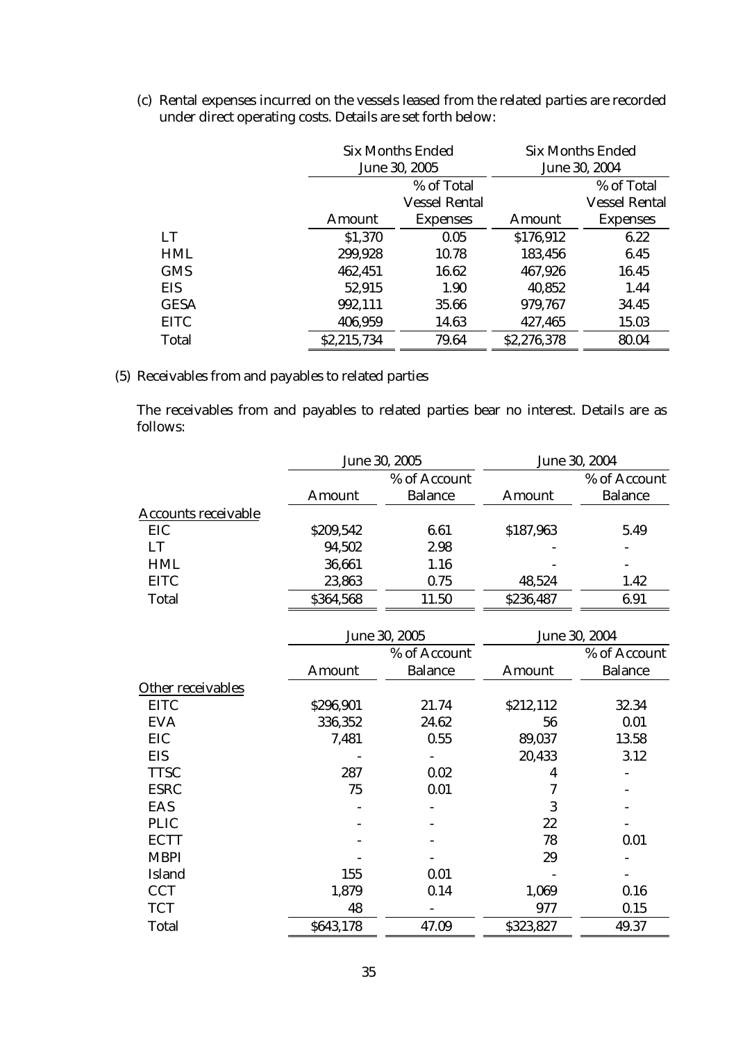|             | Six Months Ended<br>June 30, 2005 |                      |             | <b>Six Months Ended</b><br>June 30, 2004 |  |
|-------------|-----------------------------------|----------------------|-------------|------------------------------------------|--|
|             |                                   | % of Total           |             | % of Total                               |  |
|             |                                   | <b>Vessel Rental</b> |             | <b>Vessel Rental</b>                     |  |
|             | Amount                            | <b>Expenses</b>      | Amount      | <b>Expenses</b>                          |  |
| LT          | \$1,370                           | 0.05                 | \$176,912   | 6.22                                     |  |
| <b>HML</b>  | 299,928                           | 10.78                | 183,456     | 6.45                                     |  |
| <b>GMS</b>  | 462,451                           | 16.62                | 467,926     | 16.45                                    |  |
| EIS         | 52,915                            | 1.90                 | 40,852      | 1.44                                     |  |
| <b>GESA</b> | 992,111                           | 35.66                | 979,767     | 34.45                                    |  |
| <b>EITC</b> | 406,959                           | 14.63                | 427,465     | 15.03                                    |  |
| Total       | \$2,215,734                       | 79.64                | \$2,276,378 | 80.04                                    |  |

(c) Rental expenses incurred on the vessels leased from the related parties are recorded under direct operating costs. Details are set forth below:

(5) Receivables from and payables to related parties

The receivables from and payables to related parties bear no interest. Details are as follows:

|                     | June 30, 2005 |                | June 30, 2004 |                          |
|---------------------|---------------|----------------|---------------|--------------------------|
|                     | % of Account  |                |               | % of Account             |
|                     | Amount        | <b>Balance</b> | Amount        | <b>Balance</b>           |
| Accounts receivable |               |                |               |                          |
| EIC                 | \$209,542     | 6.61           | \$187,963     | 5.49                     |
| LT                  | 94,502        | 2.98           |               |                          |
| <b>HML</b>          | 36,661        | 1.16           |               | $\overline{\phantom{a}}$ |
| <b>EITC</b>         | 23,863        | 0.75           | 48,524        | 1.42                     |
| Total               | \$364,568     | 11.50          | \$236,487     | 6.91                     |

|                   | June 30, 2005 |                |           | June 30, 2004  |  |
|-------------------|---------------|----------------|-----------|----------------|--|
|                   |               | % of Account   |           | % of Account   |  |
|                   | Amount        | <b>Balance</b> | Amount    | <b>Balance</b> |  |
| Other receivables |               |                |           |                |  |
| <b>EITC</b>       | \$296,901     | 21.74          | \$212,112 | 32.34          |  |
| <b>EVA</b>        | 336,352       | 24.62          | 56        | 0.01           |  |
| <b>EIC</b>        | 7,481         | 0.55           | 89,037    | 13.58          |  |
| <b>EIS</b>        |               |                | 20,433    | 3.12           |  |
| <b>TTSC</b>       | 287           | 0.02           | 4         |                |  |
| <b>ESRC</b>       | 75            | 0.01           | 7         |                |  |
| EAS               |               |                | 3         |                |  |
| <b>PLIC</b>       |               |                | 22        |                |  |
| <b>ECTT</b>       |               |                | 78        | 0.01           |  |
| <b>MBPI</b>       |               |                | 29        |                |  |
| Island            | 155           | 0.01           |           |                |  |
| <b>CCT</b>        | 1,879         | 0.14           | 1,069     | 0.16           |  |
| <b>TCT</b>        | 48            |                | 977       | 0.15           |  |
| Total             | \$643,178     | 47.09          | \$323,827 | 49.37          |  |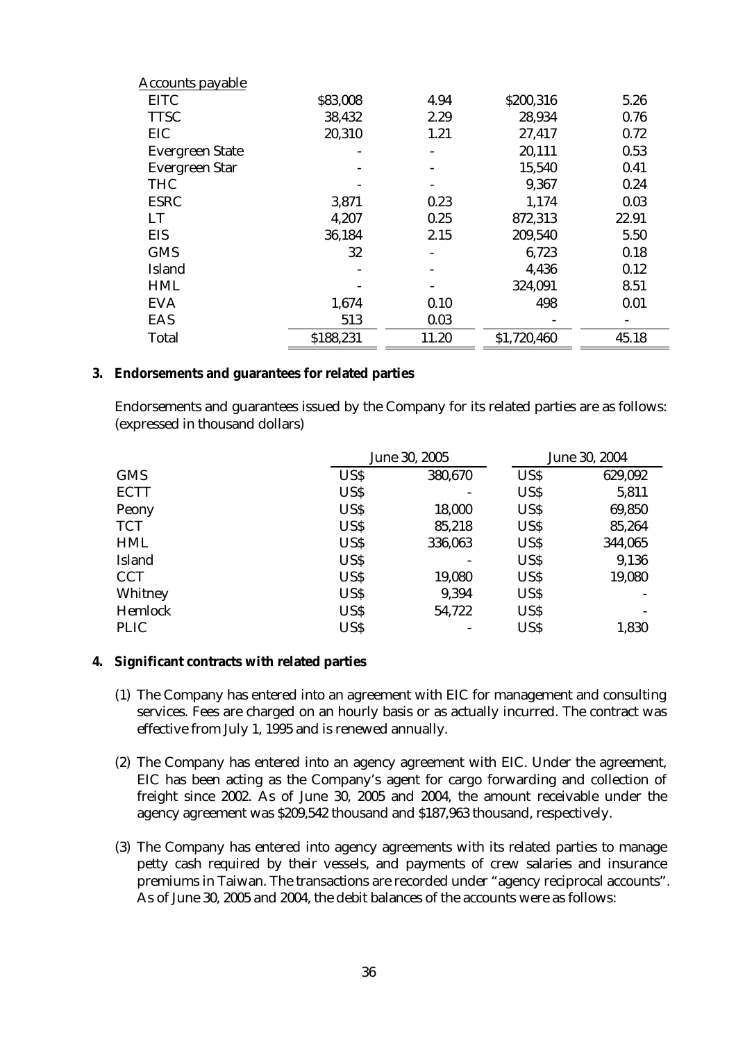| <b>Accounts payable</b> |                          |                          |             |       |
|-------------------------|--------------------------|--------------------------|-------------|-------|
| <b>EITC</b>             | \$83,008                 | 4.94                     | \$200,316   | 5.26  |
| <b>TTSC</b>             | 38,432                   | 2.29                     | 28,934      | 0.76  |
| EIC                     | 20,310                   | 1.21                     | 27,417      | 0.72  |
| <b>Evergreen State</b>  | $\overline{\phantom{a}}$ | $\overline{\phantom{a}}$ | 20,111      | 0.53  |
| <b>Evergreen Star</b>   |                          |                          | 15,540      | 0.41  |
| <b>THC</b>              |                          |                          | 9,367       | 0.24  |
| <b>ESRC</b>             | 3,871                    | 0.23                     | 1,174       | 0.03  |
| <b>LT</b>               | 4,207                    | 0.25                     | 872,313     | 22.91 |
| <b>EIS</b>              | 36,184                   | 2.15                     | 209,540     | 5.50  |
| <b>GMS</b>              | 32                       |                          | 6,723       | 0.18  |
| Island                  |                          |                          | 4,436       | 0.12  |
| <b>HML</b>              |                          |                          | 324,091     | 8.51  |
| <b>EVA</b>              | 1,674                    | 0.10                     | 498         | 0.01  |
| EAS                     | 513                      | 0.03                     |             |       |
| Total                   | \$188,231                | 11.20                    | \$1,720,460 | 45.18 |

#### **3. Endorsements and guarantees for related parties**

Endorsements and guarantees issued by the Company for its related parties are as follows: (expressed in thousand dollars)

|             | June 30, 2005 |         | June 30, 2004 |         |
|-------------|---------------|---------|---------------|---------|
| <b>GMS</b>  | US\$          | 380,670 | US\$          | 629,092 |
| <b>ECTT</b> | US\$          |         | US\$          | 5,811   |
| Peony       | US\$          | 18,000  | US\$          | 69,850  |
| <b>TCT</b>  | US\$          | 85,218  | US\$          | 85,264  |
| <b>HML</b>  | US\$          | 336,063 | US\$          | 344,065 |
| Island      | US\$          |         | US\$          | 9,136   |
| <b>CCT</b>  | US\$          | 19,080  | US\$          | 19,080  |
| Whitney     | US\$          | 9,394   | US\$          |         |
| Hemlock     | US\$          | 54,722  | US\$          |         |
| <b>PLIC</b> | US\$          |         | US\$          | 1,830   |

### **4. Significant contracts with related parties**

- (1) The Company has entered into an agreement with EIC for management and consulting services. Fees are charged on an hourly basis or as actually incurred. The contract was effective from July 1, 1995 and is renewed annually.
- (2) The Company has entered into an agency agreement with EIC. Under the agreement, EIC has been acting as the Company's agent for cargo forwarding and collection of freight since 2002. As of June 30, 2005 and 2004, the amount receivable under the agency agreement was \$209,542 thousand and \$187,963 thousand, respectively.
- (3) The Company has entered into agency agreements with its related parties to manage petty cash required by their vessels, and payments of crew salaries and insurance premiums in Taiwan. The transactions are recorded under "agency reciprocal accounts". As of June 30, 2005 and 2004, the debit balances of the accounts were as follows: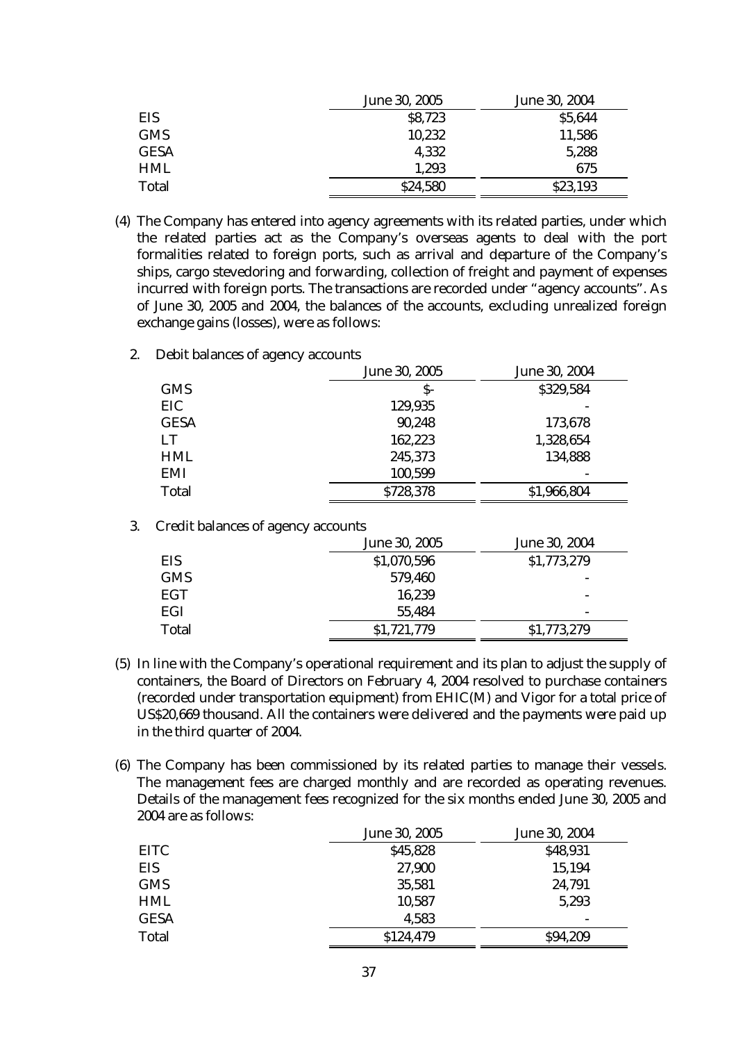|             | June 30, 2005 | June 30, 2004 |
|-------------|---------------|---------------|
| EIS         | \$8,723       | \$5,644       |
| <b>GMS</b>  | 10,232        | 11,586        |
| <b>GESA</b> | 4,332         | 5,288         |
| <b>HML</b>  | 1,293         | 675           |
| Total       | \$24,580      | \$23,193      |

- (4) The Company has entered into agency agreements with its related parties, under which the related parties act as the Company's overseas agents to deal with the port formalities related to foreign ports, such as arrival and departure of the Company's ships, cargo stevedoring and forwarding, collection of freight and payment of expenses incurred with foreign ports. The transactions are recorded under "agency accounts". As of June 30, 2005 and 2004, the balances of the accounts, excluding unrealized foreign exchange gains (losses), were as follows:
	- 2. Debit balances of agency accounts

|             | June 30, 2005 | June 30, 2004 |
|-------------|---------------|---------------|
| <b>GMS</b>  | $S-$          | \$329,584     |
| EIC         | 129,935       |               |
| <b>GESA</b> | 90,248        | 173,678       |
| LT          | 162,223       | 1,328,654     |
| <b>HML</b>  | 245,373       | 134,888       |
| <b>EMI</b>  | 100,599       |               |
| Total       | \$728,378     | \$1,966,804   |

| 3. | Credit balances of agency accounts |               |                          |  |  |
|----|------------------------------------|---------------|--------------------------|--|--|
|    |                                    | June 30, 2005 | June 30, 2004            |  |  |
|    | <b>EIS</b>                         | \$1,070,596   | \$1,773,279              |  |  |
|    | <b>GMS</b>                         | 579,460       |                          |  |  |
|    | EGT                                | 16,239        | ۰                        |  |  |
|    | EGI                                | 55,484        | $\overline{\phantom{0}}$ |  |  |
|    | Total                              | \$1,721,779   | \$1,773,279              |  |  |

- (5) In line with the Company's operational requirement and its plan to adjust the supply of containers, the Board of Directors on February 4, 2004 resolved to purchase containers (recorded under transportation equipment) from EHIC(M) and Vigor for a total price of US\$20,669 thousand. All the containers were delivered and the payments were paid up in the third quarter of 2004.
- (6) The Company has been commissioned by its related parties to manage their vessels. The management fees are charged monthly and are recorded as operating revenues. Details of the management fees recognized for the six months ended June 30, 2005 and 2004 are as follows:

|             | June 30, 2005 | June 30, 2004 |
|-------------|---------------|---------------|
| <b>EITC</b> | \$45,828      | \$48,931      |
| <b>EIS</b>  | 27,900        | 15,194        |
| <b>GMS</b>  | 35,581        | 24,791        |
| <b>HML</b>  | 10,587        | 5,293         |
| <b>GESA</b> | 4,583         |               |
| Total       | \$124,479     | \$94,209      |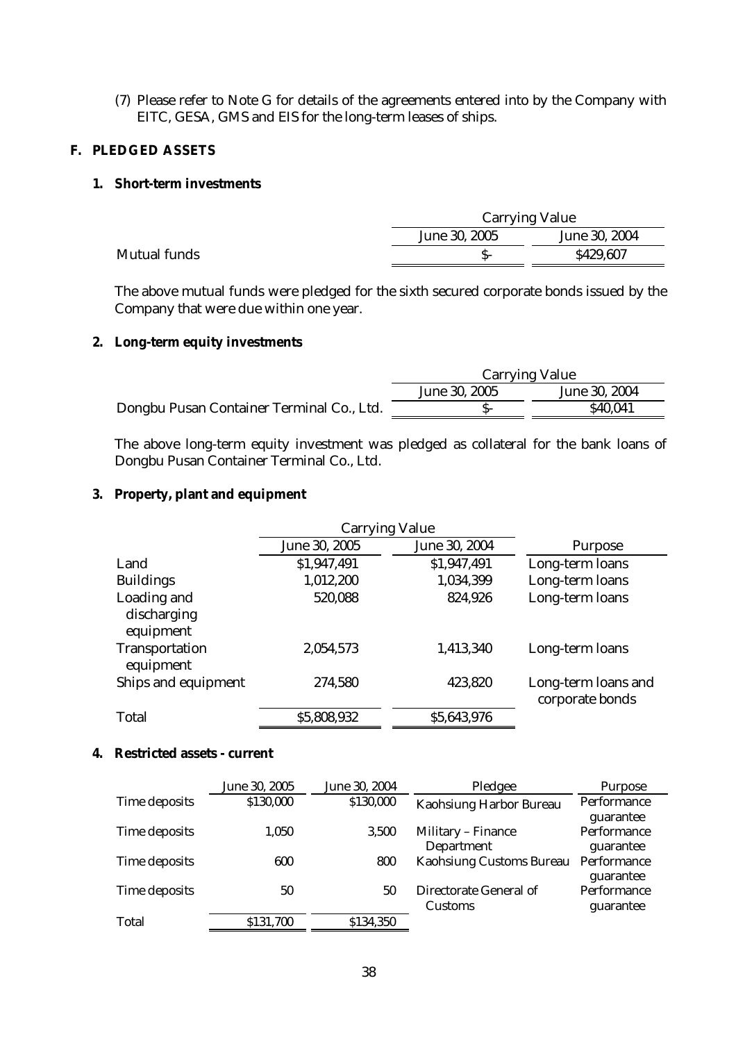(7) Please refer to Note G for details of the agreements entered into by the Company with EITC, GESA, GMS and EIS for the long-term leases of ships.

# **F. PLEDGED ASSETS**

# **1. Short-term investments**

|                     |               | <b>Carrying Value</b> |  |  |
|---------------------|---------------|-----------------------|--|--|
|                     | June 30, 2005 | June 30, 2004         |  |  |
| <b>Mutual funds</b> |               | \$429,607             |  |  |

The above mutual funds were pledged for the sixth secured corporate bonds issued by the Company that were due within one year.

# **2. Long-term equity investments**

|                                           | <b>Carrying Value</b> |               |  |
|-------------------------------------------|-----------------------|---------------|--|
|                                           | June 30, 2005         | June 30, 2004 |  |
| Dongbu Pusan Container Terminal Co., Ltd. |                       | \$40,041      |  |

The above long-term equity investment was pledged as collateral for the bank loans of Dongbu Pusan Container Terminal Co., Ltd.

# **3. Property, plant and equipment**

|                                         | <b>Carrying Value</b> |               |                                        |
|-----------------------------------------|-----------------------|---------------|----------------------------------------|
|                                         | June 30, 2005         | June 30, 2004 | <b>Purpose</b>                         |
| Land                                    | \$1,947,491           | \$1,947,491   | Long-term loans                        |
| <b>Buildings</b>                        | 1,012,200             | 1,034,399     | Long-term loans                        |
| Loading and<br>discharging<br>equipment | 520,088               | 824,926       | Long-term loans                        |
| Transportation<br>equipment             | 2,054,573             | 1,413,340     | Long-term loans                        |
| Ships and equipment                     | 274,580               | 423,820       | Long-term loans and<br>corporate bonds |
| Total                                   | \$5,808,932           | \$5,643,976   |                                        |

# **4. Restricted assets - current**

|               | June 30, 2005 | June 30, 2004 | Pledgee                  | Purpose     |
|---------------|---------------|---------------|--------------------------|-------------|
| Time deposits | \$130,000     | \$130,000     | Kaohsiung Harbor Bureau  | Performance |
|               |               |               |                          | guarantee   |
| Time deposits | 1,050         | 3.500         | Military - Finance       | Performance |
|               |               |               | Department               | guarantee   |
| Time deposits | 600           | 800           | Kaohsiung Customs Bureau | Performance |
|               |               |               |                          | guarantee   |
| Time deposits | 50            | 50            | Directorate General of   | Performance |
|               |               |               | Customs                  | guarantee   |
| Total         | \$131,700     | \$134,350     |                          |             |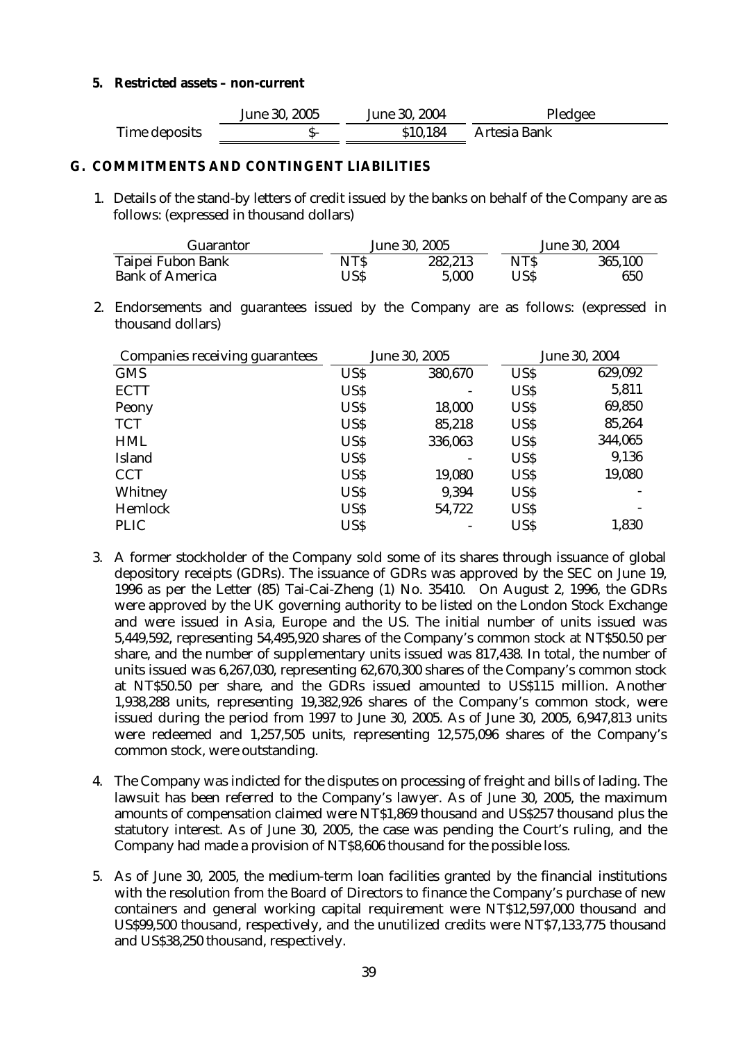# **5. Restricted assets – non-current**

|               | June 30, 2005 | June 30, 2004 | Pledgee      |
|---------------|---------------|---------------|--------------|
| Time deposits |               | \$10,184      | Artesia Bank |

# **G. COMMITMENTS AND CONTINGENT LIABILITIES**

1. Details of the stand-by letters of credit issued by the banks on behalf of the Company are as follows: (expressed in thousand dollars)

| <b>Guarantor</b>       | June 30, 2005 |         | June 30, 2004 |         |
|------------------------|---------------|---------|---------------|---------|
| Taipei Fubon Bank      | NTS           | 282,213 | NTS.          | 365,100 |
| <b>Bank of America</b> | USS           | 5.000   | USS           | 650     |

2. Endorsements and guarantees issued by the Company are as follows: (expressed in thousand dollars)

| Companies receiving guarantees | June 30, 2005 |         |      | June 30, 2004 |
|--------------------------------|---------------|---------|------|---------------|
| <b>GMS</b>                     | US\$          | 380,670 | US\$ | 629,092       |
| <b>ECTT</b>                    | US\$          |         | US\$ | 5,811         |
| Peony                          | <b>USS</b>    | 18,000  | US\$ | 69,850        |
| <b>TCT</b>                     | US\$          | 85,218  | US\$ | 85,264        |
| <b>HML</b>                     | US\$          | 336,063 | US\$ | 344,065       |
| Island                         | US\$          |         | US\$ | 9,136         |
| <b>CCT</b>                     | US\$          | 19,080  | US\$ | 19,080        |
| Whitney                        | US\$          | 9,394   | US\$ |               |
| Hemlock                        | US\$          | 54,722  | US\$ |               |
| <b>PLIC</b>                    | US\$          |         | US\$ | 1,830         |

- 3. A former stockholder of the Company sold some of its shares through issuance of global depository receipts (GDRs). The issuance of GDRs was approved by the SEC on June 19, 1996 as per the Letter (85) Tai-Cai-Zheng (1) No. 35410. On August 2, 1996, the GDRs were approved by the UK governing authority to be listed on the London Stock Exchange and were issued in Asia, Europe and the US. The initial number of units issued was 5,449,592, representing 54,495,920 shares of the Company's common stock at NT\$50.50 per share, and the number of supplementary units issued was 817,438. In total, the number of units issued was 6,267,030, representing 62,670,300 shares of the Company's common stock at NT\$50.50 per share, and the GDRs issued amounted to US\$115 million. Another 1,938,288 units, representing 19,382,926 shares of the Company's common stock, were issued during the period from 1997 to June 30, 2005. As of June 30, 2005, 6,947,813 units were redeemed and 1,257,505 units, representing 12,575,096 shares of the Company's common stock, were outstanding.
- 4. The Company was indicted for the disputes on processing of freight and bills of lading. The lawsuit has been referred to the Company's lawyer. As of June 30, 2005, the maximum amounts of compensation claimed were NT\$1,869 thousand and US\$257 thousand plus the statutory interest. As of June 30, 2005, the case was pending the Court's ruling, and the Company had made a provision of NT\$8,606 thousand for the possible loss.
- 5. As of June 30, 2005, the medium-term loan facilities granted by the financial institutions with the resolution from the Board of Directors to finance the Company's purchase of new containers and general working capital requirement were NT\$12,597,000 thousand and US\$99,500 thousand, respectively, and the unutilized credits were NT\$7,133,775 thousand and US\$38,250 thousand, respectively.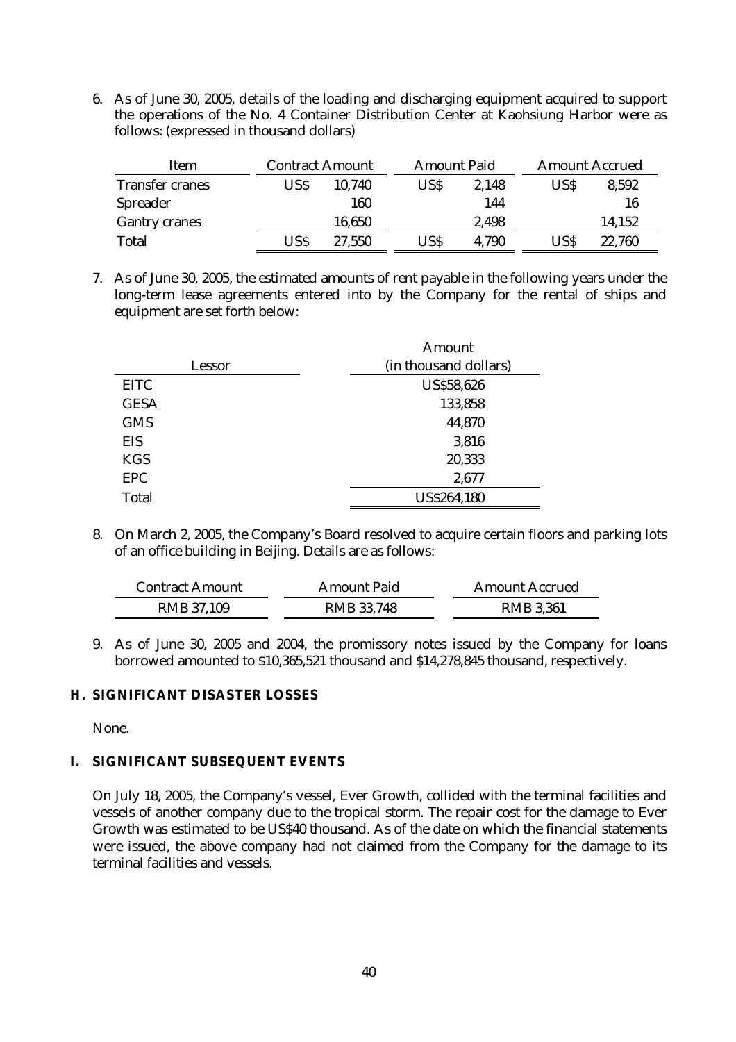6. As of June 30, 2005, details of the loading and discharging equipment acquired to support the operations of the No. 4 Container Distribution Center at Kaohsiung Harbor were as follows: (expressed in thousand dollars)

| Item                   | <b>Contract Amount</b> |        |      | <b>Amount Paid</b> |      | <b>Amount Accrued</b> |  |
|------------------------|------------------------|--------|------|--------------------|------|-----------------------|--|
| <b>Transfer cranes</b> | USS.                   | 10,740 | US\$ | 2,148              | US\$ | 8,592                 |  |
| Spreader               |                        | 160    |      | 144                |      | 16                    |  |
| <b>Gantry cranes</b>   |                        | 16,650 |      | 2,498              |      | 14,152                |  |
| Total                  | USS                    | 27,550 | US\$ | 4,790              | USS  | 22,760                |  |

7. As of June 30, 2005, the estimated amounts of rent payable in the following years under the long-term lease agreements entered into by the Company for the rental of ships and equipment are set forth below:

|             | Amount                |
|-------------|-----------------------|
| Lessor      | (in thousand dollars) |
| <b>EITC</b> | <b>US\$58,626</b>     |
| <b>GESA</b> | 133,858               |
| <b>GMS</b>  | 44,870                |
| EIS         | 3,816                 |
| <b>KGS</b>  | 20,333                |
| <b>EPC</b>  | 2,677                 |
| Total       | US\$264,180           |

8. On March 2, 2005, the Company's Board resolved to acquire certain floors and parking lots of an office building in Beijing. Details are as follows:

| <b>Contract Amount</b> | <b>Amount Paid</b> | <b>Amount Accrued</b> |
|------------------------|--------------------|-----------------------|
| RMB 37,109             | <b>RMB 33,748</b>  | <b>RMB 3,361</b>      |

9. As of June 30, 2005 and 2004, the promissory notes issued by the Company for loans borrowed amounted to \$10,365,521 thousand and \$14,278,845 thousand, respectively.

# **H. SIGNIFICANT DISASTER LOSSES**

None.

# **I. SIGNIFICANT SUBSEQUENT EVENTS**

On July 18, 2005, the Company's vessel, Ever Growth, collided with the terminal facilities and vessels of another company due to the tropical storm. The repair cost for the damage to Ever Growth was estimated to be US\$40 thousand. As of the date on which the financial statements were issued, the above company had not claimed from the Company for the damage to its terminal facilities and vessels.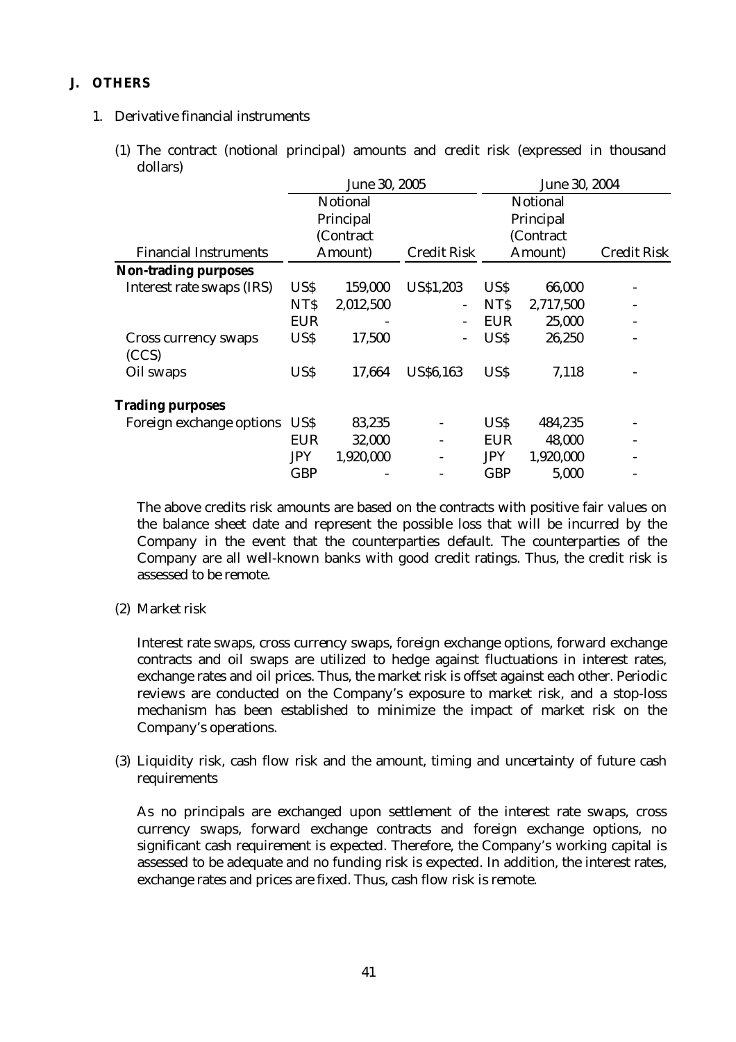# **J. OTHERS**

# 1. Derivative financial instruments

(1) The contract (notional principal) amounts and credit risk (expressed in thousand dollars)

|                               | June 30, 2005 |           |                    | June 30, 2004 |           |                    |  |
|-------------------------------|---------------|-----------|--------------------|---------------|-----------|--------------------|--|
|                               |               | Notional  |                    |               | Notional  |                    |  |
|                               |               | Principal |                    |               | Principal |                    |  |
|                               |               | (Contract |                    |               | (Contract |                    |  |
| <b>Financial Instruments</b>  |               | Amount)   | <b>Credit Risk</b> |               | Amount)   | <b>Credit Risk</b> |  |
| <b>Non-trading purposes</b>   |               |           |                    |               |           |                    |  |
| Interest rate swaps (IRS)     | US\$          | 159,000   | US\$1,203          | <b>USS</b>    | 66,000    |                    |  |
|                               | <b>NTS</b>    | 2,012,500 |                    | NT\$          | 2,717,500 |                    |  |
|                               | EUR           |           |                    | <b>EUR</b>    | 25,000    |                    |  |
| Cross currency swaps<br>(CCS) | <b>USS</b>    | 17,500    |                    | <b>USS</b>    | 26,250    |                    |  |
| Oil swaps                     | US\$          | 17,664    | <b>US\$6,163</b>   | US\$          | 7,118     |                    |  |
| <b>Trading purposes</b>       |               |           |                    |               |           |                    |  |
| Foreign exchange options      | US\$          | 83,235    |                    | US\$          | 484,235   |                    |  |
|                               | <b>EUR</b>    | 32,000    |                    | <b>EUR</b>    | 48,000    |                    |  |
|                               | <b>JPY</b>    | 1,920,000 |                    | <b>JPY</b>    | 1,920,000 |                    |  |
|                               | <b>GBP</b>    |           |                    | <b>GBP</b>    | 5,000     |                    |  |
|                               |               |           |                    |               |           |                    |  |

The above credits risk amounts are based on the contracts with positive fair values on the balance sheet date and represent the possible loss that will be incurred by the Company in the event that the counterparties default. The counterparties of the Company are all well-known banks with good credit ratings. Thus, the credit risk is assessed to be remote.

(2) Market risk

Interest rate swaps, cross currency swaps, foreign exchange options, forward exchange contracts and oil swaps are utilized to hedge against fluctuations in interest rates, exchange rates and oil prices. Thus, the market risk is offset against each other. Periodic reviews are conducted on the Company's exposure to market risk, and a stop-loss mechanism has been established to minimize the impact of market risk on the Company's operations.

(3) Liquidity risk, cash flow risk and the amount, timing and uncertainty of future cash requirements

As no principals are exchanged upon settlement of the interest rate swaps, cross currency swaps, forward exchange contracts and foreign exchange options, no significant cash requirement is expected. Therefore, the Company's working capital is assessed to be adequate and no funding risk is expected. In addition, the interest rates, exchange rates and prices are fixed. Thus, cash flow risk is remote.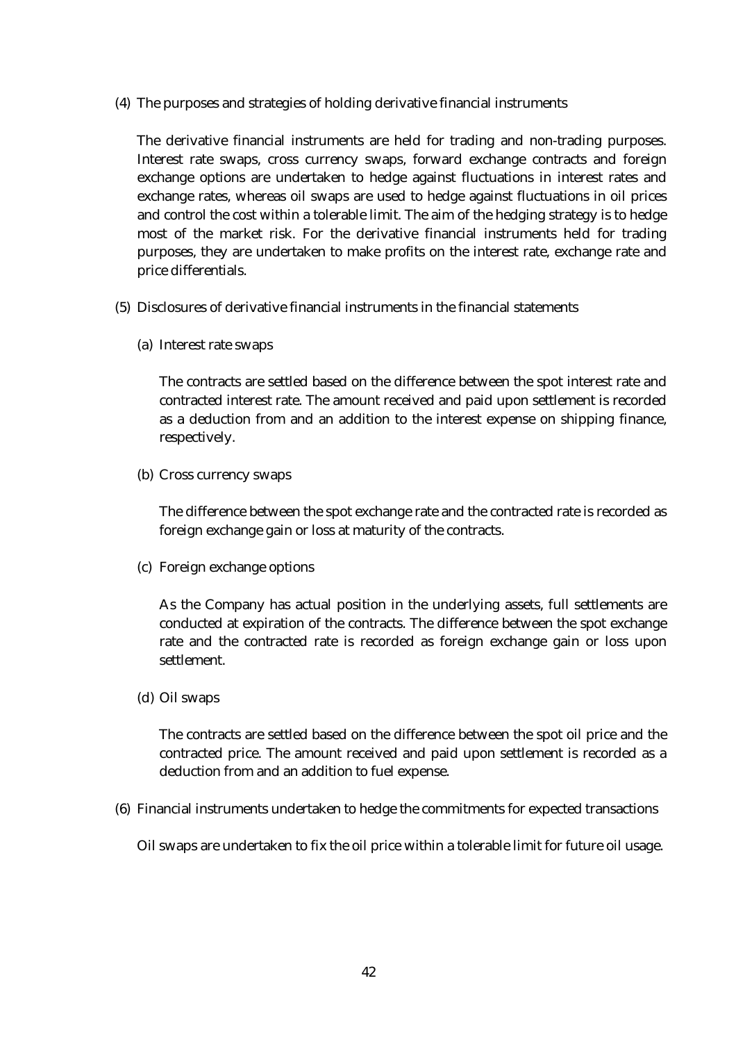(4) The purposes and strategies of holding derivative financial instruments

The derivative financial instruments are held for trading and non-trading purposes. Interest rate swaps, cross currency swaps, forward exchange contracts and foreign exchange options are undertaken to hedge against fluctuations in interest rates and exchange rates, whereas oil swaps are used to hedge against fluctuations in oil prices and control the cost within a tolerable limit. The aim of the hedging strategy is to hedge most of the market risk. For the derivative financial instruments held for trading purposes, they are undertaken to make profits on the interest rate, exchange rate and price differentials.

- (5) Disclosures of derivative financial instruments in the financial statements
	- (a) Interest rate swaps

The contracts are settled based on the difference between the spot interest rate and contracted interest rate. The amount received and paid upon settlement is recorded as a deduction from and an addition to the interest expense on shipping finance, respectively.

(b) Cross currency swaps

The difference between the spot exchange rate and the contracted rate is recorded as foreign exchange gain or loss at maturity of the contracts.

(c) Foreign exchange options

As the Company has actual position in the underlying assets, full settlements are conducted at expiration of the contracts. The difference between the spot exchange rate and the contracted rate is recorded as foreign exchange gain or loss upon settlement.

(d) Oil swaps

The contracts are settled based on the difference between the spot oil price and the contracted price. The amount received and paid upon settlement is recorded as a deduction from and an addition to fuel expense.

(6) Financial instruments undertaken to hedge the commitments for expected transactions

Oil swaps are undertaken to fix the oil price within a tolerable limit for future oil usage.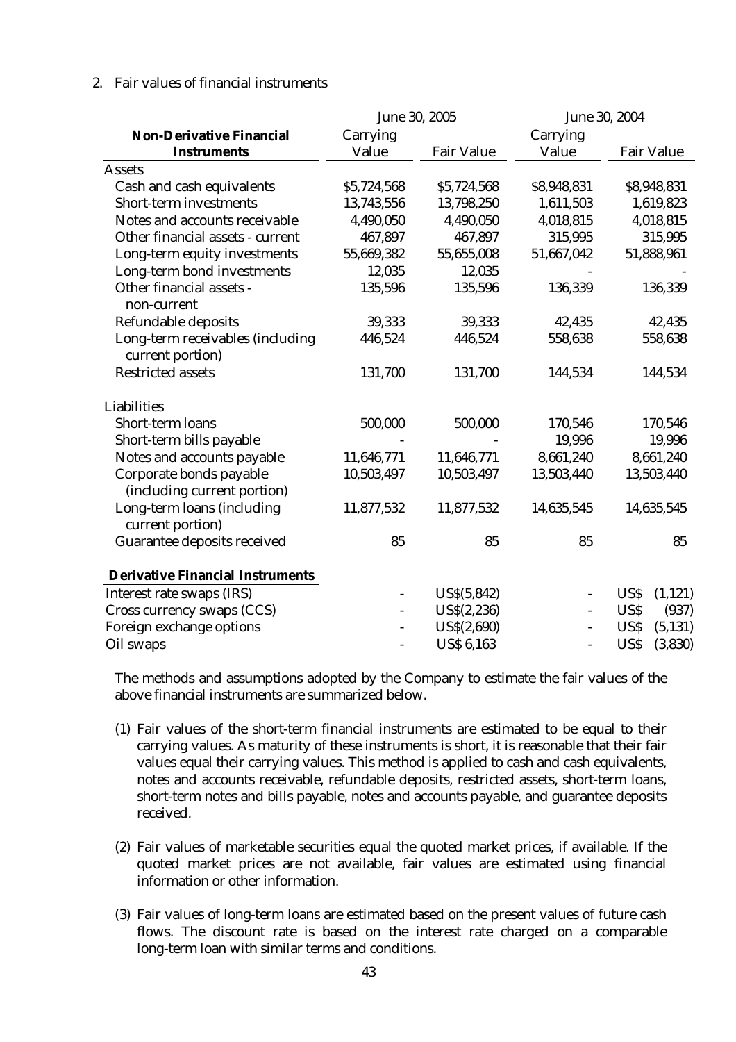# 2. Fair values of financial instruments

|                                                        | June 30, 2005 |                   |                          | June 30, 2004     |
|--------------------------------------------------------|---------------|-------------------|--------------------------|-------------------|
| <b>Non-Derivative Financial</b>                        | Carrying      |                   | Carrying                 |                   |
| <b>Instruments</b>                                     | Value         | <b>Fair Value</b> | Value                    | <b>Fair Value</b> |
| <b>Assets</b>                                          |               |                   |                          |                   |
| Cash and cash equivalents                              | \$5,724,568   | \$5,724,568       | \$8,948,831              | \$8,948,831       |
| Short-term investments                                 | 13,743,556    | 13,798,250        | 1,611,503                | 1,619,823         |
| Notes and accounts receivable                          | 4,490,050     | 4,490,050         | 4,018,815                | 4,018,815         |
| Other financial assets - current                       | 467,897       | 467,897           | 315,995                  | 315,995           |
| Long-term equity investments                           | 55,669,382    | 55,655,008        | 51,667,042               | 51,888,961        |
| Long-term bond investments                             | 12,035        | 12,035            |                          |                   |
| Other financial assets -<br>non-current                | 135,596       | 135,596           | 136,339                  | 136,339           |
| Refundable deposits                                    | 39,333        | 39,333            | 42,435                   | 42,435            |
| Long-term receivables (including<br>current portion)   | 446,524       | 446,524           | 558,638                  | 558,638           |
| <b>Restricted assets</b>                               | 131,700       | 131,700           | 144,534                  | 144,534           |
| Liabilities                                            |               |                   |                          |                   |
| Short-term loans                                       | 500,000       | 500,000           | 170,546                  | 170,546           |
| Short-term bills payable                               |               |                   | 19,996                   | 19,996            |
| Notes and accounts payable                             | 11,646,771    | 11,646,771        | 8,661,240                | 8,661,240         |
| Corporate bonds payable<br>(including current portion) | 10,503,497    | 10,503,497        | 13,503,440               | 13,503,440        |
| Long-term loans (including<br>current portion)         | 11,877,532    | 11,877,532        | 14,635,545               | 14,635,545        |
| Guarantee deposits received                            | 85            | 85                | 85                       | 85                |
| <b>Derivative Financial Instruments</b>                |               |                   |                          |                   |
| Interest rate swaps (IRS)                              |               | US\$(5,842)       |                          | (1, 121)<br>US\$  |
| Cross currency swaps (CCS)                             |               | US\$(2,236)       | $\overline{\phantom{0}}$ | US\$<br>(937)     |
| Foreign exchange options                               |               | US\$(2,690)       | $\overline{\phantom{0}}$ | US\$<br>(5, 131)  |
| Oil swaps                                              |               | <b>US\$ 6,163</b> | $\overline{a}$           | US\$<br>(3,830)   |

The methods and assumptions adopted by the Company to estimate the fair values of the above financial instruments are summarized below.

- (1) Fair values of the short-term financial instruments are estimated to be equal to their carrying values. As maturity of these instruments is short, it is reasonable that their fair values equal their carrying values. This method is applied to cash and cash equivalents, notes and accounts receivable, refundable deposits, restricted assets, short-term loans, short-term notes and bills payable, notes and accounts payable, and guarantee deposits received.
- (2) Fair values of marketable securities equal the quoted market prices, if available. If the quoted market prices are not available, fair values are estimated using financial information or other information.
- (3) Fair values of long-term loans are estimated based on the present values of future cash flows. The discount rate is based on the interest rate charged on a comparable long-term loan with similar terms and conditions.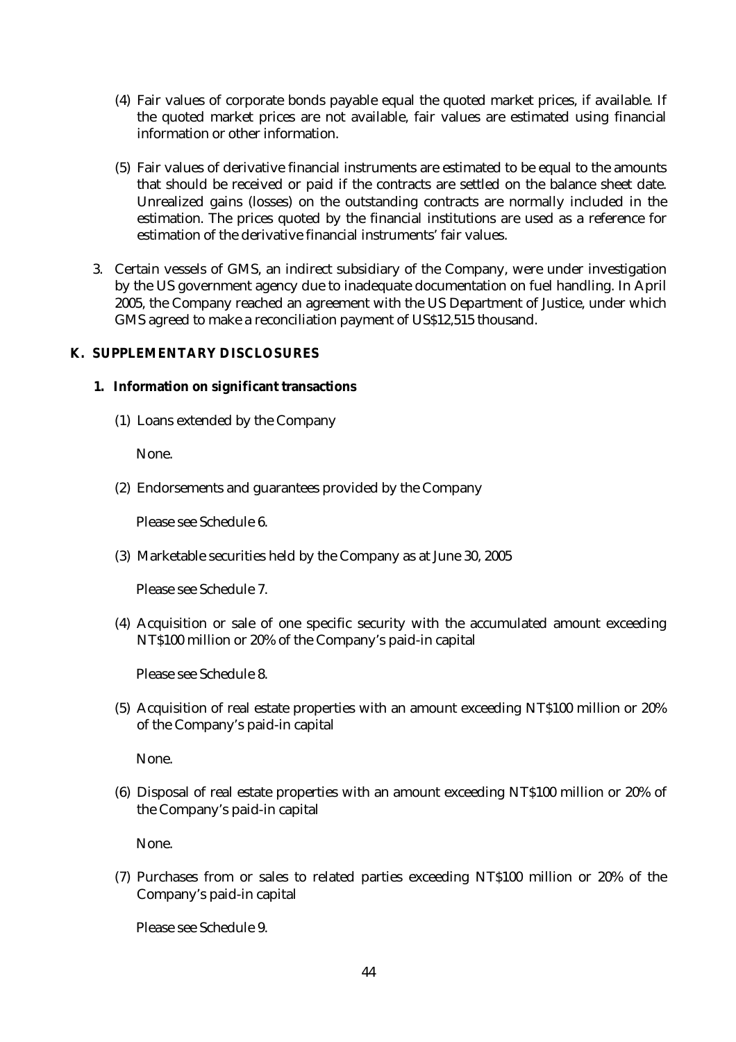- (4) Fair values of corporate bonds payable equal the quoted market prices, if available. If the quoted market prices are not available, fair values are estimated using financial information or other information.
- (5) Fair values of derivative financial instruments are estimated to be equal to the amounts that should be received or paid if the contracts are settled on the balance sheet date. Unrealized gains (losses) on the outstanding contracts are normally included in the estimation. The prices quoted by the financial institutions are used as a reference for estimation of the derivative financial instruments' fair values.
- 3. Certain vessels of GMS, an indirect subsidiary of the Company, were under investigation by the US government agency due to inadequate documentation on fuel handling. In April 2005, the Company reached an agreement with the US Department of Justice, under which GMS agreed to make a reconciliation payment of US\$12,515 thousand.

# **K. SUPPLEMENTARY DISCLOSURES**

# **1. Information on significant transactions**

(1) Loans extended by the Company

None.

(2) Endorsements and guarantees provided by the Company

Please see Schedule 6.

(3) Marketable securities held by the Company as at June 30, 2005

Please see Schedule 7.

(4) Acquisition or sale of one specific security with the accumulated amount exceeding NT\$100 million or 20% of the Company's paid-in capital

Please see Schedule 8.

(5) Acquisition of real estate properties with an amount exceeding NT\$100 million or 20% of the Company's paid-in capital

None.

(6) Disposal of real estate properties with an amount exceeding NT\$100 million or 20% of the Company's paid-in capital

None.

(7) Purchases from or sales to related parties exceeding NT\$100 million or 20% of the Company's paid-in capital

Please see Schedule 9.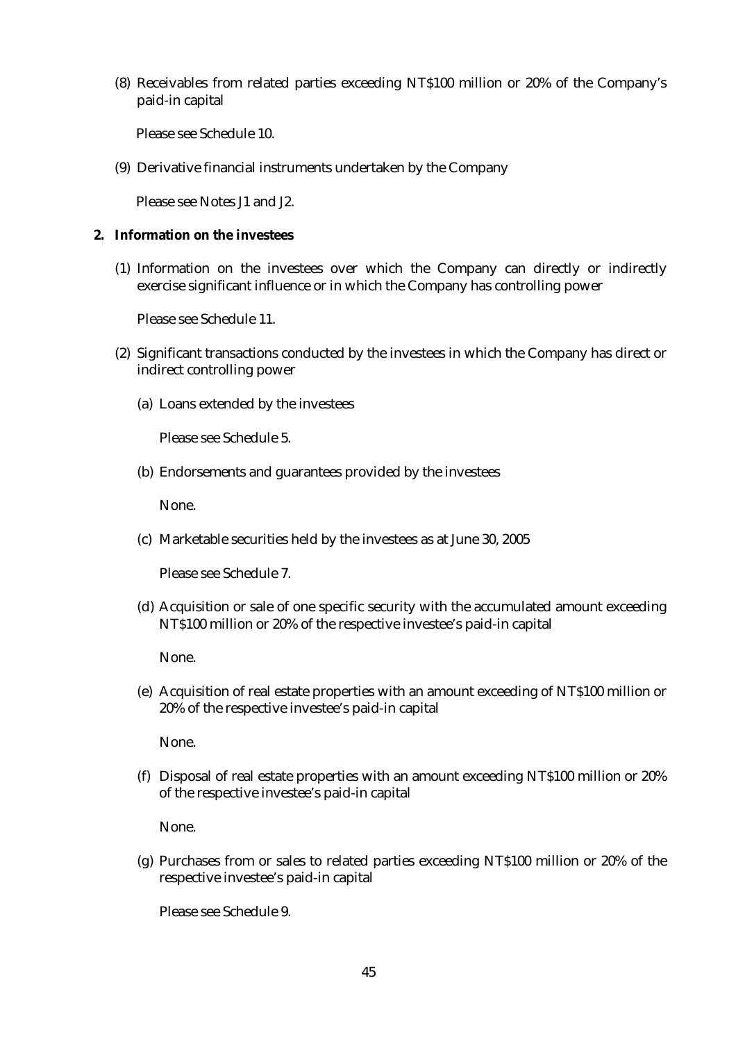(8) Receivables from related parties exceeding NT\$100 million or 20% of the Company's paid-in capital

Please see Schedule 10.

(9) Derivative financial instruments undertaken by the Company

Please see Notes J1 and J2.

### **2. Information on the investees**

(1) Information on the investees over which the Company can directly or indirectly exercise significant influence or in which the Company has controlling power

Please see Schedule 11.

- (2) Significant transactions conducted by the investees in which the Company has direct or indirect controlling power
	- (a) Loans extended by the investees

Please see Schedule 5.

(b) Endorsements and guarantees provided by the investees

None.

(c) Marketable securities held by the investees as at June 30, 2005

Please see Schedule 7.

(d) Acquisition or sale of one specific security with the accumulated amount exceeding NT\$100 million or 20% of the respective investee's paid-in capital

None.

(e) Acquisition of real estate properties with an amount exceeding of NT\$100 million or 20% of the respective investee's paid-in capital

None.

(f) Disposal of real estate properties with an amount exceeding NT\$100 million or 20% of the respective investee's paid-in capital

None.

(g) Purchases from or sales to related parties exceeding NT\$100 million or 20% of the respective investee's paid-in capital

Please see Schedule 9.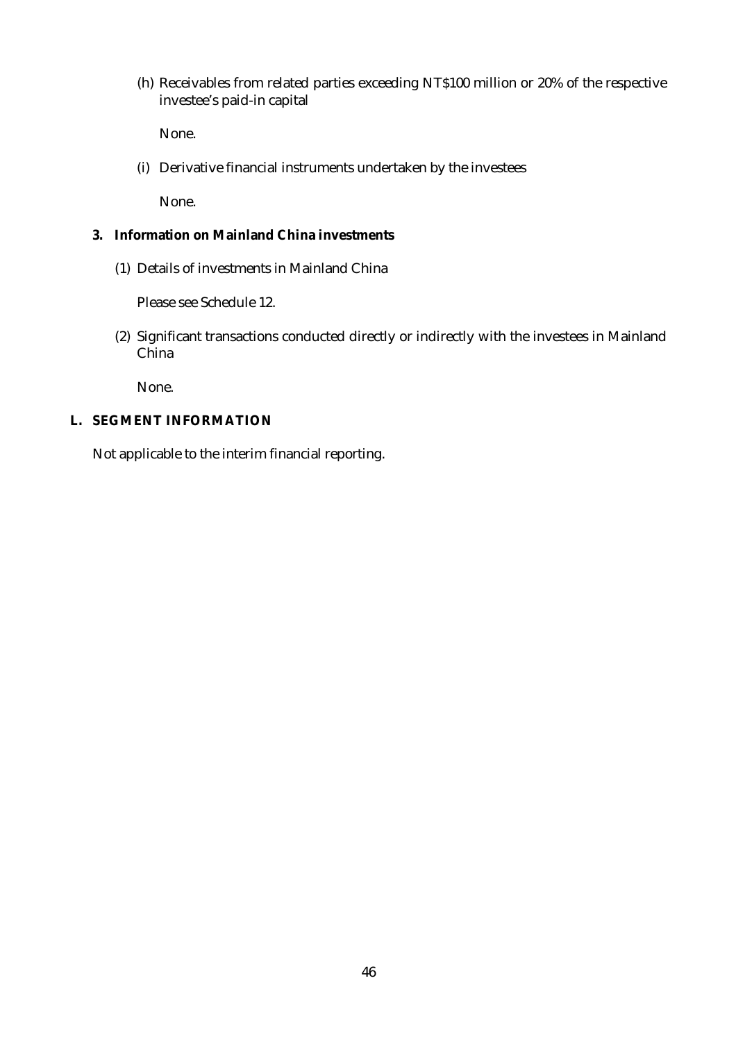(h) Receivables from related parties exceeding NT\$100 million or 20% of the respective investee's paid-in capital

None.

(i) Derivative financial instruments undertaken by the investees

None.

## **3. Information on Mainland China investments**

(1) Details of investments in Mainland China

Please see Schedule 12.

(2) Significant transactions conducted directly or indirectly with the investees in Mainland China

None.

# **L. SEGMENT INFORMATION**

Not applicable to the interim financial reporting.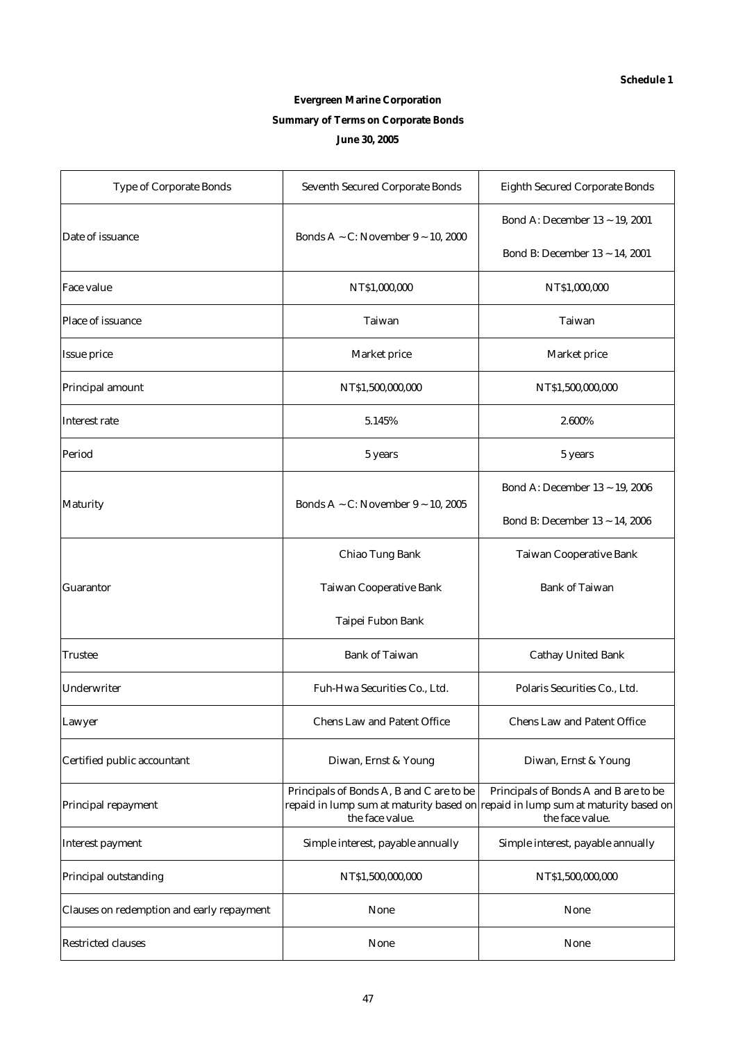# **Evergreen Marine Corporation Summary of Terms on Corporate Bonds June 30, 2005**

| <b>Type of Corporate Bonds</b>            | <b>Seventh Secured Corporate Bonds</b>                      | <b>Eighth Secured Corporate Bonds</b>                                                                                                       |  |  |
|-------------------------------------------|-------------------------------------------------------------|---------------------------------------------------------------------------------------------------------------------------------------------|--|--|
| Date of issuance                          | Bonds A ~ C: November $9 \sim 10,2000$                      | Bond A: December 13 ~ 19, 2001<br>Bond B: December 13 ~ 14, 2001                                                                            |  |  |
| Face value                                | NT\$1,000,000                                               | NT\$1,000,000                                                                                                                               |  |  |
| Place of issuance                         | Taiwan                                                      | Taiwan                                                                                                                                      |  |  |
| Issue price                               | Market price                                                | Market price                                                                                                                                |  |  |
| Principal amount                          | NT\$1,500,000,000                                           | NT\$1,500,000,000                                                                                                                           |  |  |
| Interest rate                             | 5.145%                                                      | 2.600%                                                                                                                                      |  |  |
| Period                                    | 5 years                                                     | 5 years                                                                                                                                     |  |  |
|                                           |                                                             | Bond A: December 13 ~ 19, 2006                                                                                                              |  |  |
| Maturity                                  | Bonds A ~ C: November $9 \sim 10$ , 2005                    | Bond B: December 13 ~ 14, 2006                                                                                                              |  |  |
|                                           | Chiao Tung Bank                                             | Taiwan Cooperative Bank                                                                                                                     |  |  |
| Guarantor                                 | Taiwan Cooperative Bank                                     | <b>Bank of Taiwan</b>                                                                                                                       |  |  |
|                                           | Taipei Fubon Bank                                           |                                                                                                                                             |  |  |
| Trustee                                   | <b>Bank of Taiwan</b>                                       | <b>Cathay United Bank</b>                                                                                                                   |  |  |
| Underwriter                               | Fuh-Hwa Securities Co., Ltd.                                | Polaris Securities Co., Ltd.                                                                                                                |  |  |
| Lawyer                                    | Chens Law and Patent Office                                 | <b>Chens Law and Patent Office</b>                                                                                                          |  |  |
| Certified public accountant               | Diwan, Ernst & Young                                        | Diwan, Ernst & Young                                                                                                                        |  |  |
| Principal repayment                       | Principals of Bonds A, B and C are to be<br>the face value. | Principals of Bonds A and B are to be<br>repaid in lump sum at maturity based on repaid in lump sum at maturity based on<br>the face value. |  |  |
| Interest payment                          | Simple interest, payable annually                           | Simple interest, payable annually                                                                                                           |  |  |
| Principal outstanding                     | NT\$1,500,000,000                                           | NT\$1,500,000,000                                                                                                                           |  |  |
| Clauses on redemption and early repayment | None                                                        | None                                                                                                                                        |  |  |
| <b>Restricted clauses</b>                 | None                                                        | None                                                                                                                                        |  |  |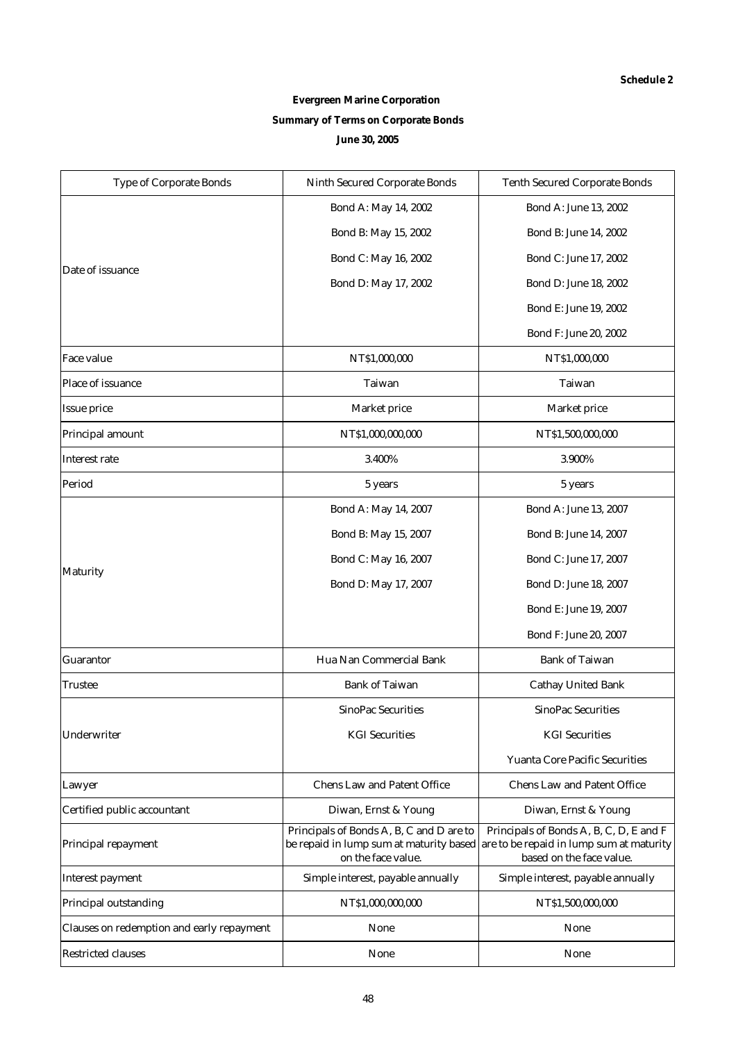# **Evergreen Marine Corporation Summary of Terms on Corporate Bonds June 30, 2005**

| Type of Corporate Bonds                   | Ninth Secured Corporate Bonds                                                                             | <b>Tenth Secured Corporate Bonds</b>                                                                            |
|-------------------------------------------|-----------------------------------------------------------------------------------------------------------|-----------------------------------------------------------------------------------------------------------------|
|                                           | Bond A: May 14, 2002                                                                                      | Bond A: June 13, 2002                                                                                           |
|                                           | Bond B: May 15, 2002                                                                                      | Bond B: June 14, 2002                                                                                           |
|                                           | Bond C: May 16, 2002                                                                                      | Bond C: June 17, 2002                                                                                           |
| Date of issuance                          | Bond D: May 17, 2002                                                                                      | Bond D: June 18, 2002                                                                                           |
|                                           |                                                                                                           | Bond E: June 19, 2002                                                                                           |
|                                           |                                                                                                           | Bond F: June 20, 2002                                                                                           |
| Face value                                | NT\$1,000,000                                                                                             | NT\$1,000,000                                                                                                   |
| Place of issuance                         | Taiwan                                                                                                    | Taiwan                                                                                                          |
| Issue price                               | Market price                                                                                              | Market price                                                                                                    |
| Principal amount                          | NT\$1,000,000,000                                                                                         | NT\$1,500,000,000                                                                                               |
| Interest rate                             | 3.400%                                                                                                    | 3.900%                                                                                                          |
| Period                                    | 5 years                                                                                                   | 5 years                                                                                                         |
|                                           | Bond A: May 14, 2007                                                                                      | Bond A: June 13, 2007                                                                                           |
|                                           | Bond B: May 15, 2007                                                                                      | Bond B: June 14, 2007                                                                                           |
|                                           | Bond C: May 16, 2007                                                                                      | Bond C: June 17, 2007                                                                                           |
| Maturity                                  | Bond D: May 17, 2007                                                                                      | Bond D: June 18, 2007                                                                                           |
|                                           |                                                                                                           | Bond E: June 19, 2007                                                                                           |
|                                           |                                                                                                           | Bond F: June 20, 2007                                                                                           |
| Guarantor                                 | Hua Nan Commercial Bank                                                                                   | <b>Bank of Taiwan</b>                                                                                           |
| Trustee                                   | <b>Bank of Taiwan</b>                                                                                     | <b>Cathay United Bank</b>                                                                                       |
|                                           | <b>SinoPac Securities</b>                                                                                 | <b>SinoPac Securities</b>                                                                                       |
| Underwriter                               | <b>KGI</b> Securities                                                                                     | <b>KGI</b> Securities                                                                                           |
|                                           |                                                                                                           | <b>Yuanta Core Pacific Securities</b>                                                                           |
| Lawyer                                    | Chens Law and Patent Office                                                                               | <b>Chens Law and Patent Office</b>                                                                              |
| Certified public accountant               | Diwan, Ernst & Young                                                                                      | Diwan, Ernst & Young                                                                                            |
| Principal repayment                       | Principals of Bonds A, B, C and D are to<br>be repaid in lump sum at maturity based<br>on the face value. | Principals of Bonds A, B, C, D, E and F<br>are to be repaid in lump sum at maturity<br>based on the face value. |
| Interest payment                          | Simple interest, payable annually                                                                         | Simple interest, payable annually                                                                               |
| Principal outstanding                     | NT\$1,000,000,000                                                                                         | NT\$1,500,000,000                                                                                               |
| Clauses on redemption and early repayment | None                                                                                                      | None                                                                                                            |
| <b>Restricted clauses</b>                 | None                                                                                                      | None                                                                                                            |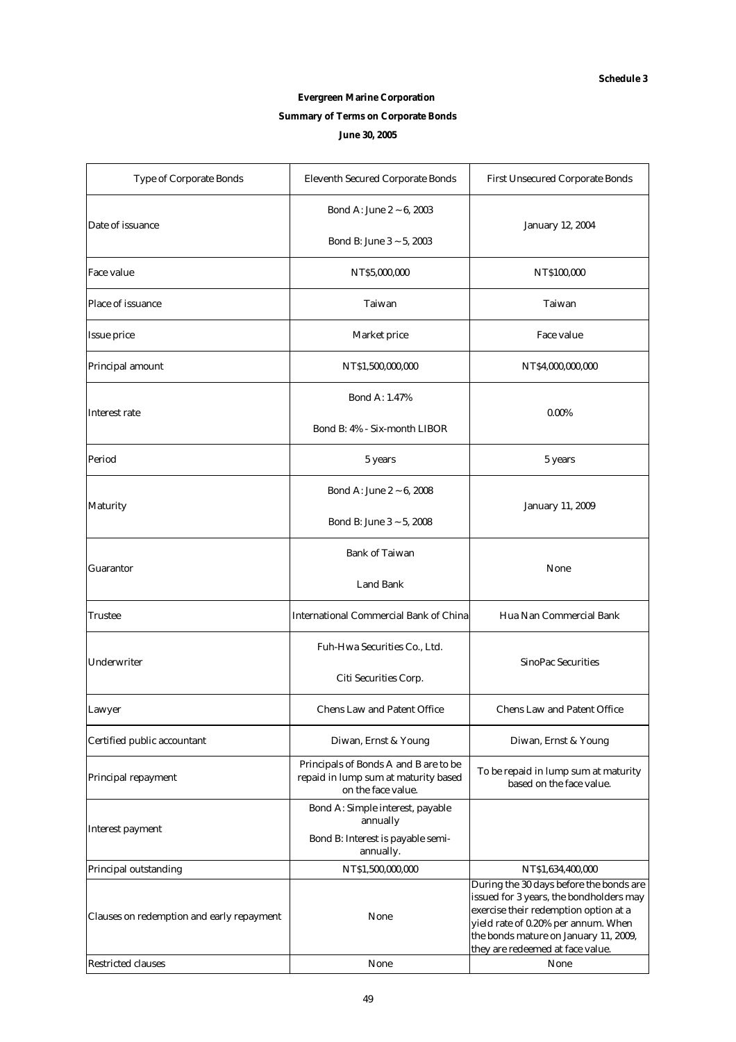# **Evergreen Marine Corporation Summary of Terms on Corporate Bonds June 30, 2005**

| Type of Corporate Bonds                   | Eleventh Secured Corporate Bonds                                                                    | First Unsecured Corporate Bonds                                                                                                                                                                                                                 |  |  |
|-------------------------------------------|-----------------------------------------------------------------------------------------------------|-------------------------------------------------------------------------------------------------------------------------------------------------------------------------------------------------------------------------------------------------|--|--|
| Date of issuance                          | Bond A: June 2 $\sim$ 6, 2003                                                                       |                                                                                                                                                                                                                                                 |  |  |
|                                           | Bond B: June $3 \sim 5$ , 2003                                                                      | January 12, 2004                                                                                                                                                                                                                                |  |  |
| Face value                                | NT\$5,000,000                                                                                       | NT\$100,000                                                                                                                                                                                                                                     |  |  |
| Place of issuance                         | Taiwan                                                                                              | Taiwan                                                                                                                                                                                                                                          |  |  |
| Issue price                               | Market price                                                                                        | Face value                                                                                                                                                                                                                                      |  |  |
| Principal amount                          | NT\$1,500,000,000                                                                                   | NT\$4,000,000,000                                                                                                                                                                                                                               |  |  |
|                                           | Bond A: 1.47%                                                                                       |                                                                                                                                                                                                                                                 |  |  |
| Interest rate                             | Bond B: 4% - Six-month LIBOR                                                                        | $0.00\%$                                                                                                                                                                                                                                        |  |  |
| Period                                    | 5 years                                                                                             | 5 years                                                                                                                                                                                                                                         |  |  |
|                                           | Bond A: June 2 ~ 6, 2008                                                                            |                                                                                                                                                                                                                                                 |  |  |
| Maturity                                  | Bond B: June $3 \sim 5$ , 2008                                                                      | January 11, 2009                                                                                                                                                                                                                                |  |  |
|                                           | <b>Bank of Taiwan</b>                                                                               |                                                                                                                                                                                                                                                 |  |  |
| Guarantor                                 | Land Bank                                                                                           | None                                                                                                                                                                                                                                            |  |  |
| Trustee                                   | <b>International Commercial Bank of China</b>                                                       | Hua Nan Commercial Bank                                                                                                                                                                                                                         |  |  |
|                                           | Fuh-Hwa Securities Co., Ltd.                                                                        |                                                                                                                                                                                                                                                 |  |  |
| Underwriter                               | Citi Securities Corp.                                                                               | SinoPac Securities                                                                                                                                                                                                                              |  |  |
| Lawyer                                    | <b>Chens Law and Patent Office</b>                                                                  | <b>Chens Law and Patent Office</b>                                                                                                                                                                                                              |  |  |
| Certified public accountant               | Diwan, Ernst & Young                                                                                | Diwan, Ernst & Young                                                                                                                                                                                                                            |  |  |
| Principal repayment                       | Principals of Bonds A and B are to be<br>repaid in lump sum at maturity based<br>on the face value. | To be repaid in lump sum at maturity<br>based on the face value.                                                                                                                                                                                |  |  |
|                                           | Bond A: Simple interest, payable<br>annually                                                        |                                                                                                                                                                                                                                                 |  |  |
| Interest payment                          | Bond B: Interest is payable semi-<br>annually.                                                      |                                                                                                                                                                                                                                                 |  |  |
| Principal outstanding                     | NT\$1,500,000,000                                                                                   | NT\$1,634,400,000                                                                                                                                                                                                                               |  |  |
| Clauses on redemption and early repayment | None                                                                                                | During the 30 days before the bonds are<br>issued for 3 years, the bondholders may<br>exercise their redemption option at a<br>yield rate of 0.20% per annum. When<br>the bonds mature on January 11, 2009,<br>they are redeemed at face value. |  |  |
| <b>Restricted clauses</b>                 | None                                                                                                | None                                                                                                                                                                                                                                            |  |  |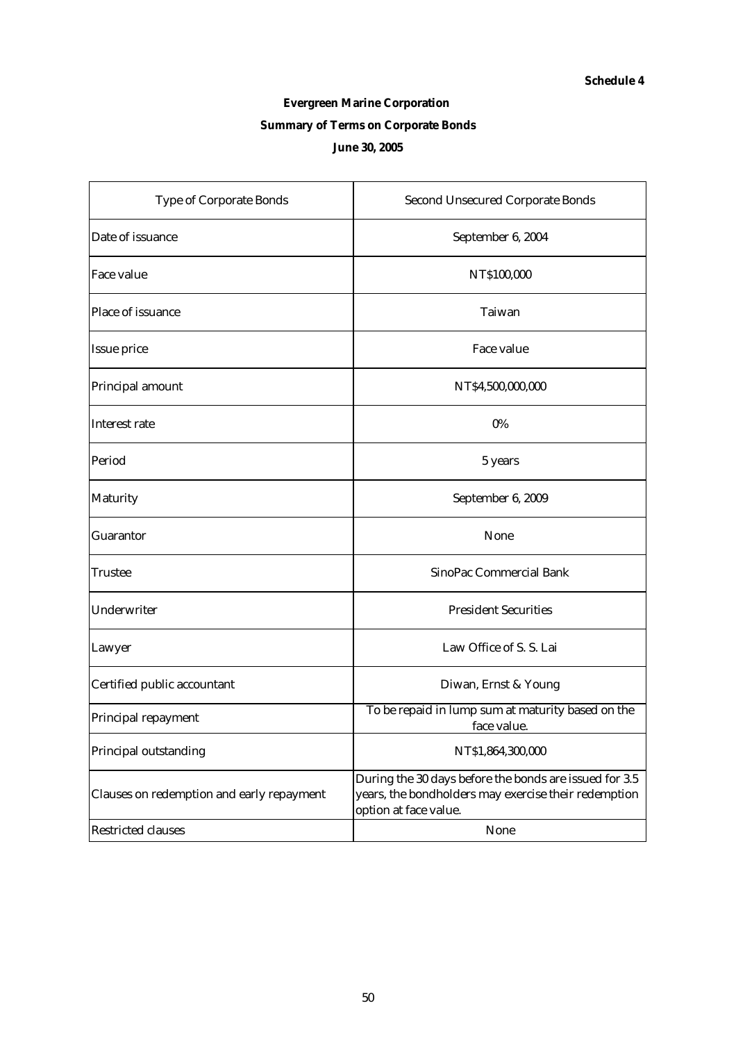# **Evergreen Marine Corporation**

# **Summary of Terms on Corporate Bonds**

# **June 30, 2005**

| <b>Type of Corporate Bonds</b>            | <b>Second Unsecured Corporate Bonds</b>                                                                                                 |
|-------------------------------------------|-----------------------------------------------------------------------------------------------------------------------------------------|
| Date of issuance                          | September 6, 2004                                                                                                                       |
| Face value                                | NT\$100,000                                                                                                                             |
| Place of issuance                         | Taiwan                                                                                                                                  |
| Issue price                               | Face value                                                                                                                              |
| Principal amount                          | NT\$4,500,000,000                                                                                                                       |
| Interest rate                             | $0\%$                                                                                                                                   |
| Period                                    | 5 years                                                                                                                                 |
| Maturity                                  | September 6, 2009                                                                                                                       |
| Guarantor                                 | None                                                                                                                                    |
| Trustee                                   | SinoPac Commercial Bank                                                                                                                 |
| Underwriter                               | <b>President Securities</b>                                                                                                             |
| Lawyer                                    | Law Office of S. S. Lai                                                                                                                 |
| Certified public accountant               | Diwan, Ernst & Young                                                                                                                    |
| Principal repayment                       | To be repaid in lump sum at maturity based on the<br>face value.                                                                        |
| Principal outstanding                     | NT\$1,864,300,000                                                                                                                       |
| Clauses on redemption and early repayment | During the 30 days before the bonds are issued for 3.5<br>years, the bondholders may exercise their redemption<br>option at face value. |
| <b>Restricted clauses</b>                 | None                                                                                                                                    |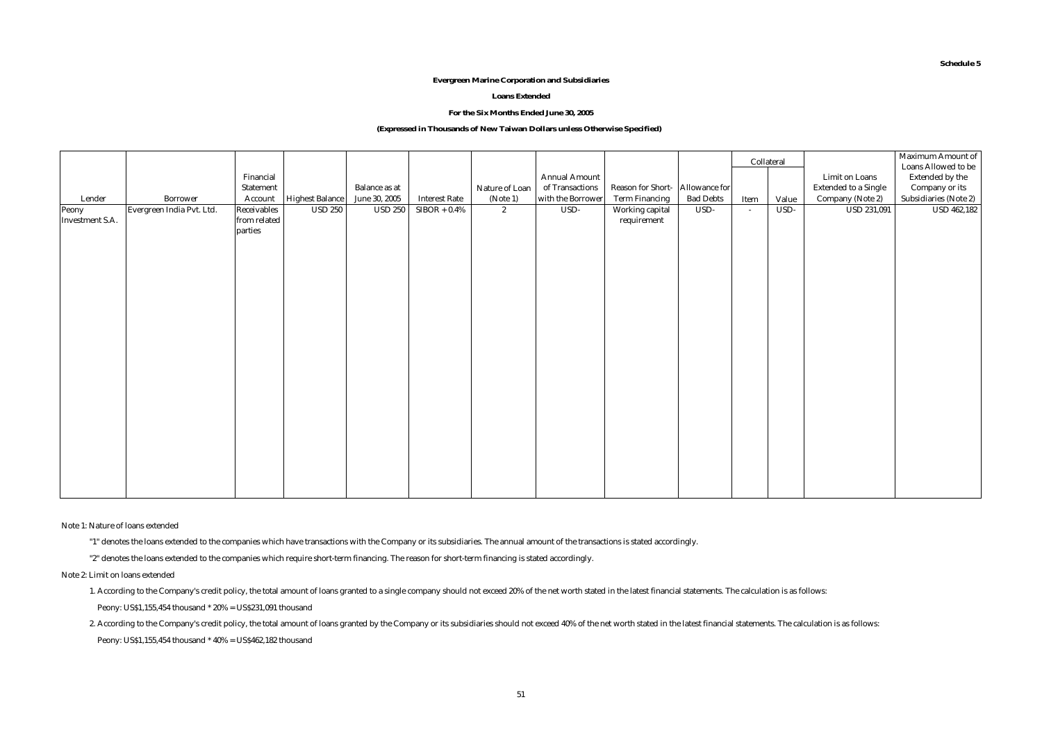#### **Evergreen Marine Corporation and Subsidiaries**

#### **Loans Extended**

#### **For the Six Months Ended June 30, 2005**

#### **(Expressed in Thousands of New Taiwan Dollars unless Otherwise Specified)**

|                          |                           |                             |                        |                |                      |                |                   |                   |                  |        | Collateral |                      | Maximum Amount of<br>Loans Allowed to be |
|--------------------------|---------------------------|-----------------------------|------------------------|----------------|----------------------|----------------|-------------------|-------------------|------------------|--------|------------|----------------------|------------------------------------------|
|                          |                           | Financial                   |                        |                |                      |                | Annual Amount     |                   |                  |        |            | Limit on Loans       | Extended by the                          |
|                          |                           | Statement                   |                        | Balance as at  |                      | Nature of Loan | of Transactions   | Reason for Short- | Allowance for    |        |            | Extended to a Single | Company or its                           |
| Lender                   | Borrower                  | Account                     | <b>Highest Balance</b> | June 30, 2005  | <b>Interest Rate</b> | (Note 1)       | with the Borrower | Term Financing    | <b>Bad Debts</b> | Item   | Value      | Company (Note 2)     | Subsidiaries (Note 2)                    |
| Peony<br>Investment S.A. | Evergreen India Pvt. Ltd. | Receivables<br>from related | <b>USD 250</b>         | <b>USD 250</b> | $SIBOR + 0.4\%$      | $\mathbf{2}$   | $USD -$           | Working capital   | USD-             | $\sim$ | USD-       | <b>USD 231,091</b>   | <b>USD 462,182</b>                       |
|                          |                           | parties                     |                        |                |                      |                |                   | requirement       |                  |        |            |                      |                                          |
|                          |                           |                             |                        |                |                      |                |                   |                   |                  |        |            |                      |                                          |
|                          |                           |                             |                        |                |                      |                |                   |                   |                  |        |            |                      |                                          |
|                          |                           |                             |                        |                |                      |                |                   |                   |                  |        |            |                      |                                          |
|                          |                           |                             |                        |                |                      |                |                   |                   |                  |        |            |                      |                                          |
|                          |                           |                             |                        |                |                      |                |                   |                   |                  |        |            |                      |                                          |
|                          |                           |                             |                        |                |                      |                |                   |                   |                  |        |            |                      |                                          |
|                          |                           |                             |                        |                |                      |                |                   |                   |                  |        |            |                      |                                          |
|                          |                           |                             |                        |                |                      |                |                   |                   |                  |        |            |                      |                                          |
|                          |                           |                             |                        |                |                      |                |                   |                   |                  |        |            |                      |                                          |
|                          |                           |                             |                        |                |                      |                |                   |                   |                  |        |            |                      |                                          |
|                          |                           |                             |                        |                |                      |                |                   |                   |                  |        |            |                      |                                          |
|                          |                           |                             |                        |                |                      |                |                   |                   |                  |        |            |                      |                                          |
|                          |                           |                             |                        |                |                      |                |                   |                   |                  |        |            |                      |                                          |
|                          |                           |                             |                        |                |                      |                |                   |                   |                  |        |            |                      |                                          |
|                          |                           |                             |                        |                |                      |                |                   |                   |                  |        |            |                      |                                          |
|                          |                           |                             |                        |                |                      |                |                   |                   |                  |        |            |                      |                                          |
|                          |                           |                             |                        |                |                      |                |                   |                   |                  |        |            |                      |                                          |
|                          |                           |                             |                        |                |                      |                |                   |                   |                  |        |            |                      |                                          |
|                          |                           |                             |                        |                |                      |                |                   |                   |                  |        |            |                      |                                          |
|                          |                           |                             |                        |                |                      |                |                   |                   |                  |        |            |                      |                                          |
|                          |                           |                             |                        |                |                      |                |                   |                   |                  |        |            |                      |                                          |

Note 1: Nature of loans extended

"1" denotes the loans extended to the companies which have transactions with the Company or its subsidiaries. The annual amount of the transactions is stated accordingly.

"2" denotes the loans extended to the companies which require short-term financing. The reason for short-term financing is stated accordingly.

Note 2: Limit on loans extended

 1. According to the Company's credit policy, the total amount of loans granted to a single company should not exceed 20% of the net worth stated in the latest financial statements. The calculation is as follows: Peony: US\$1,155,454 thousand \* 20% = US\$231,091 thousand

2. According to the Company's credit policy, the total amount of loans granted by the Company or its subsidiaries should not exceed 40% of the net worth stated in the latest financial statements. The calculation is as foll Peony: US\$1,155,454 thousand \* 40% = US\$462,182 thousand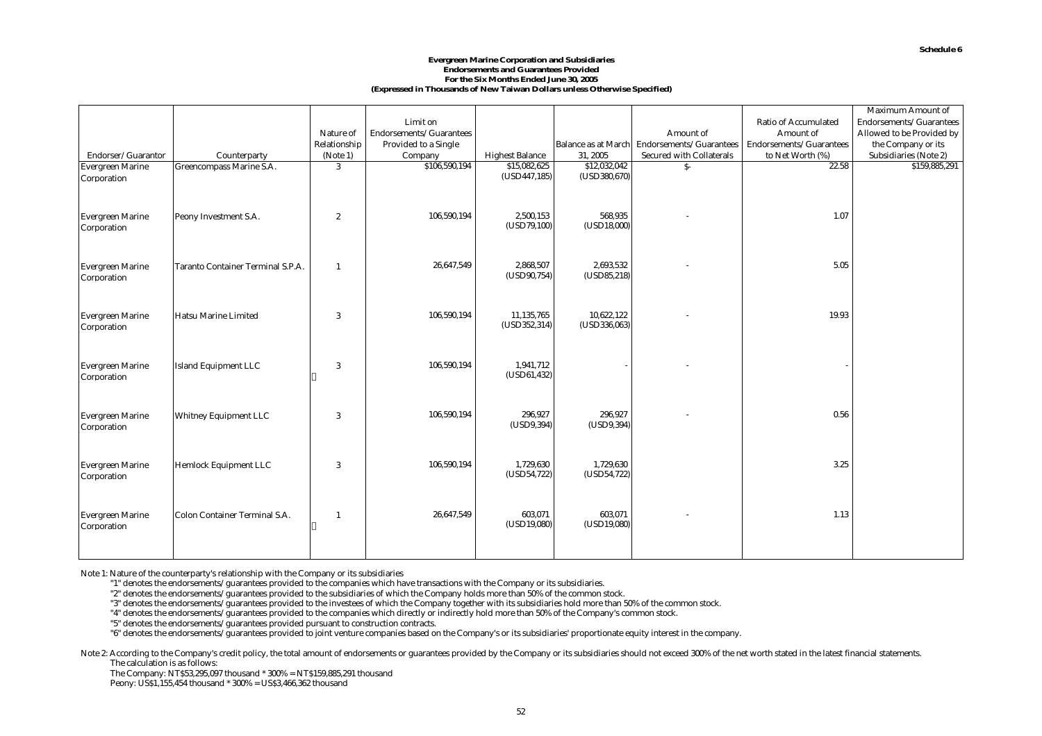#### **Evergreen Marine Corporation and Subsidiaries Endorsements and Guarantees Provided For the Six Months Ended June 30, 2005 (Expressed in Thousands of New Taiwan Dollars unless Otherwise Specified)**

|                         |                                   |                  |                                                         |                            |                            |                                             |                         | Maximum Amount of         |
|-------------------------|-----------------------------------|------------------|---------------------------------------------------------|----------------------------|----------------------------|---------------------------------------------|-------------------------|---------------------------|
|                         |                                   |                  | Limit on                                                |                            |                            |                                             | Ratio of Accumulated    | Endorsements/Guarantees   |
|                         |                                   | Nature of        | $\operatorname{Endorsements}/\operatorname{Guarantees}$ |                            |                            | Amount of                                   | Amount of               | Allowed to be Provided by |
|                         |                                   | Relationship     | Provided to a Single                                    |                            |                            | Balance as at March Endorsements/Guarantees | Endorsements/Guarantees | the Company or its        |
| Endorser/Guarantor      | Counterparty                      | (Note 1)         | Company                                                 | <b>Highest Balance</b>     | 31, 2005                   | Secured with Collaterals                    | to Net Worth (%)        | Subsidiaries (Note 2)     |
| <b>Evergreen Marine</b> | Greencompass Marine S.A.          | 3                | \$106,590,194                                           | \$15,082,625               | \$12,032,042               | $S-$                                        | 22.58                   | \$159,885,291             |
| Corporation             |                                   |                  |                                                         | (USD447,185)               | (USD380, 670)              |                                             |                         |                           |
|                         |                                   |                  |                                                         |                            |                            |                                             |                         |                           |
|                         |                                   |                  |                                                         |                            |                            |                                             |                         |                           |
| <b>Evergreen Marine</b> | Peony Investment S.A.             | $\boldsymbol{2}$ | 106,590,194                                             | 2.500.153                  | 568,935                    |                                             | 1.07                    |                           |
| Corporation             |                                   |                  |                                                         | (USD79, 100)               | (USD18,000)                |                                             |                         |                           |
|                         |                                   |                  |                                                         |                            |                            |                                             |                         |                           |
|                         |                                   |                  |                                                         |                            |                            |                                             |                         |                           |
| <b>Evergreen Marine</b> | Taranto Container Terminal S.P.A. | $\overline{1}$   | 26,647,549                                              | 2,868,507                  | 2,693,532                  |                                             | 5.05                    |                           |
| Corporation             |                                   |                  |                                                         | (USD90,754)                | (USD85, 218)               |                                             |                         |                           |
|                         |                                   |                  |                                                         |                            |                            |                                             |                         |                           |
|                         |                                   |                  |                                                         |                            |                            |                                             |                         |                           |
|                         |                                   |                  |                                                         |                            |                            |                                             |                         |                           |
| <b>Evergreen Marine</b> | Hatsu Marine Limited              | 3                | 106,590,194                                             | 11,135,765<br>(USD352,314) | 10,622,122<br>(USD336,063) |                                             | 19.93                   |                           |
| Corporation             |                                   |                  |                                                         |                            |                            |                                             |                         |                           |
|                         |                                   |                  |                                                         |                            |                            |                                             |                         |                           |
|                         |                                   |                  |                                                         |                            |                            |                                             |                         |                           |
| <b>Evergreen Marine</b> | Island Equipment LLC              | 3                | 106,590,194                                             | 1,941,712                  |                            |                                             |                         |                           |
| Corporation             |                                   |                  |                                                         | (USD61, 432)               |                            |                                             |                         |                           |
|                         |                                   |                  |                                                         |                            |                            |                                             |                         |                           |
|                         |                                   |                  |                                                         |                            |                            |                                             |                         |                           |
| <b>Evergreen Marine</b> | <b>Whitney Equipment LLC</b>      | 3                | 106,590,194                                             | 296,927                    | 296,927                    |                                             | 0.56                    |                           |
| Corporation             |                                   |                  |                                                         | (USD9,394)                 | (USD9,394)                 |                                             |                         |                           |
|                         |                                   |                  |                                                         |                            |                            |                                             |                         |                           |
|                         |                                   |                  |                                                         |                            |                            |                                             |                         |                           |
| <b>Evergreen Marine</b> | Hemlock Equipment LLC             | 3                | 106,590,194                                             | 1,729,630                  | 1,729,630                  |                                             | 3.25                    |                           |
| Corporation             |                                   |                  |                                                         | (USD54,722)                | (USD54, 722)               |                                             |                         |                           |
|                         |                                   |                  |                                                         |                            |                            |                                             |                         |                           |
|                         |                                   |                  |                                                         |                            |                            |                                             |                         |                           |
|                         |                                   |                  | 26,647,549                                              | 603,071                    | 603,071                    |                                             | 1.13                    |                           |
| <b>Evergreen Marine</b> | Colon Container Terminal S.A.     | $\overline{1}$   |                                                         | (USD19,080)                | (USD19,080)                |                                             |                         |                           |
| Corporation             |                                   |                  |                                                         |                            |                            |                                             |                         |                           |
|                         |                                   |                  |                                                         |                            |                            |                                             |                         |                           |
|                         |                                   |                  |                                                         |                            |                            |                                             |                         |                           |

Note 1: Nature of the counterparty's relationship with the Company or its subsidiaries

"1" denotes the endorsements/guarantees provided to the companies which have transactions with the Company or its subsidiaries.

"2" denotes the endorsements/guarantees provided to the subsidiaries of which the Company holds more than 50% of the common stock.

"3" denotes the endorsements/guarantees provided to the investees of which the Company together with its subsidiaries hold more than 50% of the common stock.

"4" denotes the endorsements/guarantees provided to the companies which directly or indirectly hold more than 50% of the Company's common stock.

"5" denotes the endorsements/guarantees provided pursuant to construction contracts.

"6" denotes the endorsements/guarantees provided to joint venture companies based on the Company's or its subsidiaries' proportionate equity interest in the company.

Note 2: According to the Company's credit policy, the total amount of endorsements or guarantees provided by the Company or its subsidiaries should not exceed 300% of the net worth stated in the latest financial statements The calculation is as follows:

The Company: NT\$53,295,097 thousand \* 300% = NT\$159,885,291 thousand

Peony: US\$1,155,454 thousand \* 300% = US\$3,466,362 thousand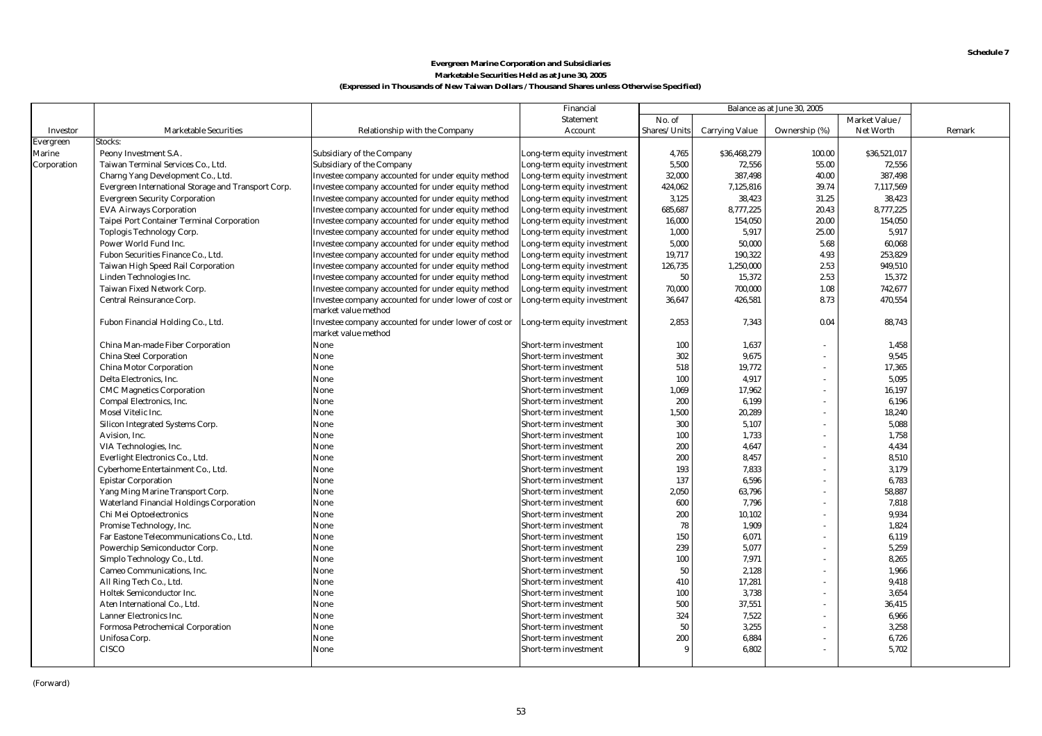#### **Marketable Securities Held as at June 30, 2005 (Expressed in Thousands of New Taiwan Dollars / Thousand Shares unless Otherwise Specified) Evergreen Marine Corporation and Subsidiaries**

|             |                                                     |                                                                              | Financial                   |              |                       | Balance as at June 30, 2005 |                |        |
|-------------|-----------------------------------------------------|------------------------------------------------------------------------------|-----------------------------|--------------|-----------------------|-----------------------------|----------------|--------|
|             |                                                     |                                                                              | Statement                   | No. of       |                       |                             | Market Value / |        |
| Investor    | <b>Marketable Securities</b>                        | Relationship with the Company                                                | Account                     | Shares/Units | <b>Carrying Value</b> | Ownership (%)               | Net Worth      | Remark |
| Evergreen   | Stocks:                                             |                                                                              |                             |              |                       |                             |                |        |
| Marine      | Peony Investment S.A.                               | Subsidiary of the Company                                                    | Long-term equity investment | 4,765        | \$36,468,279          | 100.00                      | \$36,521,017   |        |
| Corporation | Taiwan Terminal Services Co., Ltd.                  | Subsidiary of the Company                                                    | Long-term equity investment | 5,500        | 72,556                | 55.00                       | 72,556         |        |
|             | Charng Yang Development Co., Ltd.                   | Investee company accounted for under equity method                           | Long-term equity investment | 32,000       | 387,498               | 40.00                       | 387,498        |        |
|             | Evergreen International Storage and Transport Corp. | Investee company accounted for under equity method                           | Long-term equity investment | 424,062      | 7,125,816             | 39.74                       | 7,117,569      |        |
|             | <b>Evergreen Security Corporation</b>               | Investee company accounted for under equity method                           | Long-term equity investment | 3,125        | 38,423                | 31.25                       | 38,423         |        |
|             | <b>EVA Airways Corporation</b>                      | Investee company accounted for under equity method                           | Long-term equity investment | 685,687      | 8,777,225             | 20.43                       | 8,777,225      |        |
|             | Taipei Port Container Terminal Corporation          | Investee company accounted for under equity method                           | Long-term equity investment | 16,000       | 154,050               | 20.00                       | 154,050        |        |
|             | Toplogis Technology Corp.                           | Investee company accounted for under equity method                           | Long-term equity investment | 1,000        | 5,917                 | 25.00                       | 5.917          |        |
|             | Power World Fund Inc.                               | Investee company accounted for under equity method                           | Long-term equity investment | 5,000        | 50,000                | 5.68                        | 60,068         |        |
|             | Fubon Securities Finance Co., Ltd.                  | Investee company accounted for under equity method                           | Long-term equity investment | 19,717       | 190,322               | 4.93                        | 253,829        |        |
|             | Taiwan High Speed Rail Corporation                  | Investee company accounted for under equity method                           | Long-term equity investment | 126,735      | 1,250,000             | 2.53                        | 949,510        |        |
|             | Linden Technologies Inc.                            | Investee company accounted for under equity method                           | Long-term equity investment | 50           | 15,372                | 2.53                        | 15.372         |        |
|             | Taiwan Fixed Network Corp.                          | Investee company accounted for under equity method                           | Long-term equity investment | 70,000       | 700,000               | 1.08                        | 742,677        |        |
|             | Central Reinsurance Corp.                           | Investee company accounted for under lower of cost or<br>market value method | Long-term equity investment | 36,647       | 426,581               | 8.73                        | 470.554        |        |
|             | Fubon Financial Holding Co., Ltd.                   | Investee company accounted for under lower of cost or<br>market value method | Long-term equity investment | 2,853        | 7,343                 | 0.04                        | 88,743         |        |
|             | China Man-made Fiber Corporation                    | None                                                                         | Short-term investment       | 100          | 1,637                 |                             | 1,458          |        |
|             | China Steel Corporation                             | None                                                                         | Short-term investment       | 302          | 9,675                 |                             | 9,545          |        |
|             | China Motor Corporation                             | None                                                                         | Short-term investment       | 518          | 19.772                | $\sim$                      | 17.365         |        |
|             | Delta Electronics, Inc.                             | None                                                                         | Short-term investment       | 100          | 4,917                 |                             | 5.095          |        |
|             | <b>CMC Magnetics Corporation</b>                    | None                                                                         | Short-term investment       | 1,069        | 17,962                | $\overline{\phantom{a}}$    | 16,197         |        |
|             | Compal Electronics, Inc.                            | None                                                                         | Short-term investment       | 200          | 6.199                 |                             | 6,196          |        |
|             | Mosel Vitelic Inc.                                  | None                                                                         | Short-term investment       | 1,500        | 20,289                | $\sim$                      | 18,240         |        |
|             | Silicon Integrated Systems Corp.                    | None                                                                         | Short-term investment       | 300          | 5,107                 |                             | 5,088          |        |
|             | Avision, Inc.                                       | None                                                                         | Short-term investment       | 100          | 1,733                 |                             | 1,758          |        |
|             | VIA Technologies, Inc.                              | None                                                                         | Short-term investment       | 200          | 4,647                 |                             | 4,434          |        |
|             | Everlight Electronics Co., Ltd.                     | None                                                                         | Short-term investment       | 200          | 8,457                 | $\sim$                      | 8.510          |        |
|             | Cyberhome Entertainment Co., Ltd.                   | None                                                                         | Short-term investment       | 193          | 7,833                 |                             | 3.179          |        |
|             | <b>Epistar Corporation</b>                          | None                                                                         | Short-term investment       | 137          | 6,596                 | $\overline{\phantom{a}}$    | 6,783          |        |
|             | Yang Ming Marine Transport Corp.                    | None                                                                         | Short-term investment       | 2,050        | 63,796                |                             | 58,887         |        |
|             | Waterland Financial Holdings Corporation            | None                                                                         | Short-term investment       | 600          | 7.796                 | $\sim$                      | 7.818          |        |
|             | Chi Mei Optoelectronics                             | None                                                                         | Short-term investment       | 200          | 10,102                |                             | 9,934          |        |
|             | Promise Technology, Inc.                            | None                                                                         | Short-term investment       | 78           | 1,909                 | $\sim$                      | 1,824          |        |
|             | Far Eastone Telecommunications Co., Ltd.            | None                                                                         | Short-term investment       | 150          | 6,071                 |                             | 6,119          |        |
|             | Powerchip Semiconductor Corp.                       | None                                                                         | Short-term investment       | 239          | 5,077                 |                             | 5,259          |        |
|             | Simplo Technology Co., Ltd.                         | None                                                                         | Short-term investment       | 100          | 7,971                 |                             | 8,265          |        |
|             | Cameo Communications, Inc.                          | None                                                                         | Short-term investment       | 50           | 2,128                 | $\sim$                      | 1,966          |        |
|             | All Ring Tech Co., Ltd.                             | None                                                                         | Short-term investment       | 410          | 17,281                | $\sim$                      | 9,418          |        |
|             | Holtek Semiconductor Inc.                           | None                                                                         | Short-term investment       | 100          | 3.738                 | $\sim$                      | 3.654          |        |
|             | Aten International Co., Ltd.                        | None                                                                         | Short-term investment       | 500          | 37,551                |                             | 36,415         |        |
|             | Lanner Electronics Inc.                             | None                                                                         | Short-term investment       | 324          | 7,522                 | $\sim$                      | 6,966          |        |
|             | Formosa Petrochemical Corporation                   | None                                                                         | Short-term investment       | 50           | 3,255                 |                             | 3,258          |        |
|             | Unifosa Corp.                                       | None                                                                         | Short-term investment       | 200          | 6,884                 |                             | 6,726          |        |
|             | <b>CISCO</b>                                        | None                                                                         | Short-term investment       | 9            | 6.802                 |                             | 5,702          |        |
|             |                                                     |                                                                              |                             |              |                       |                             |                |        |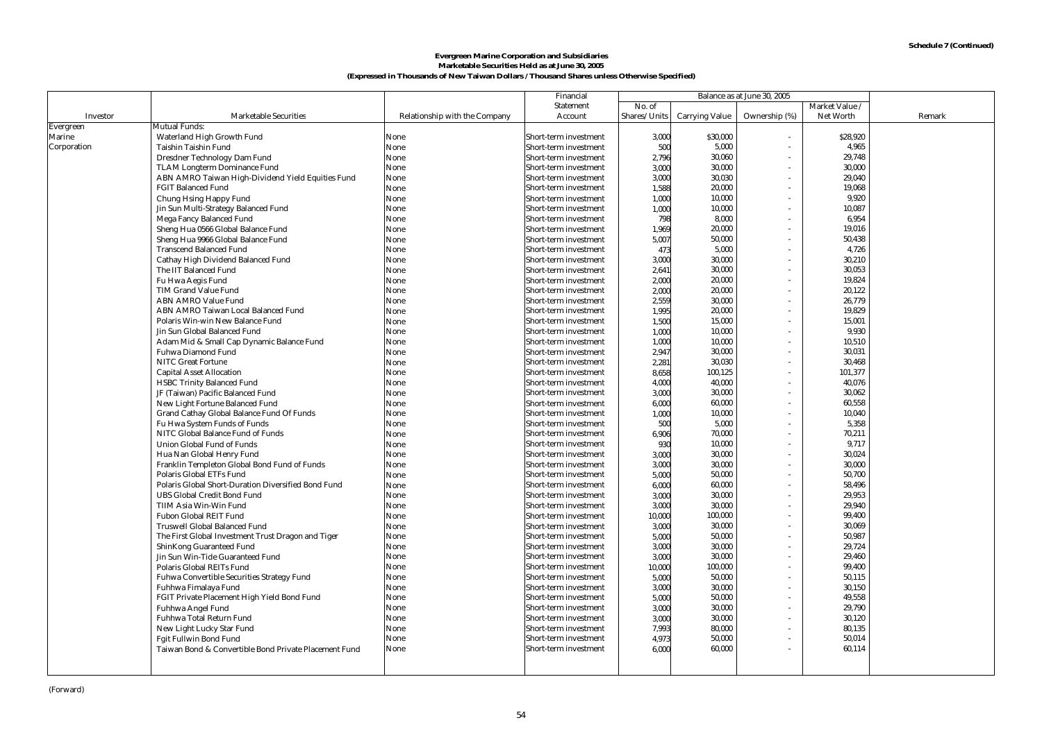#### **Marketable Securities Held as at June 30, 2005 (Expressed in Thousands of New Taiwan Dollars / Thousand Shares unless Otherwise Specified) Evergreen Marine Corporation and Subsidiaries**

|             |                                                       |                               | Financial             |              |                | Balance as at June 30, 2005 |                |        |
|-------------|-------------------------------------------------------|-------------------------------|-----------------------|--------------|----------------|-----------------------------|----------------|--------|
|             |                                                       |                               | Statement             | No. of       |                |                             | Market Value / |        |
| Investor    | <b>Marketable Securities</b>                          | Relationship with the Company | Account               | Shares/Units | Carrying Value | Ownership (%)               | Net Worth      | Remark |
| Evergreen   | Mutual Funds:                                         |                               |                       |              |                |                             |                |        |
| Marine      | Waterland High Growth Fund                            | None                          | Short-term investment | 3,000        | \$30,000       |                             | \$28.920       |        |
| Corporation | Taishin Taishin Fund                                  | None                          | Short-term investment | 500          | 5,000          | $\sim$                      | 4,965          |        |
|             | Dresdner Technology Dam Fund                          | None                          | Short-term investment | 2,796        | 30,060         |                             | 29,748         |        |
|             | TLAM Longterm Dominance Fund                          | None                          | Short-term investment | 3,000        | 30,000         |                             | 30,000         |        |
|             | ABN AMRO Taiwan High-Dividend Yield Equities Fund     | None                          | Short-term investment | 3,000        | 30,030         |                             | 29,040         |        |
|             | <b>FGIT Balanced Fund</b>                             | None                          | Short-term investment | 1,588        | 20,000         |                             | 19,068         |        |
|             | Chung Hsing Happy Fund                                | None                          | Short-term investment | 1.000        | 10,000         |                             | 9.920          |        |
|             | Jin Sun Multi-Strategy Balanced Fund                  | None                          | Short-term investment | 1,000        | 10.000         |                             | 10.087         |        |
|             | Mega Fancy Balanced Fund                              | None                          | Short-term investment | 798          | 8,000          |                             | 6,954          |        |
|             | Sheng Hua 0566 Global Balance Fund                    | None                          | Short-term investment | 1,969        | 20,000         |                             | 19,016         |        |
|             | Sheng Hua 9966 Global Balance Fund                    | None                          | Short-term investment | 5,007        | 50,000         |                             | 50,438         |        |
|             | <b>Transcend Balanced Fund</b>                        | None                          | Short-term investment | 473          | 5,000          |                             | 4,726          |        |
|             | Cathay High Dividend Balanced Fund                    | None                          | Short-term investment | 3,000        | 30,000         |                             | 30,210         |        |
|             | The IIT Balanced Fund                                 | None                          | Short-term investment | 2,641        | 30,000         |                             | 30,053         |        |
|             | Fu Hwa Aegis Fund                                     | None                          | Short-term investment | 2,000        | 20,000         |                             | 19,824         |        |
|             | TIM Grand Value Fund                                  | None                          | Short-term investment | 2,000        | 20,000         |                             | 20,122         |        |
|             | <b>ABN AMRO Value Fund</b>                            | None                          | Short-term investment | 2,559        | 30,000         |                             | 26,779         |        |
|             | ABN AMRO Taiwan Local Balanced Fund                   | None                          | Short-term investment | 1,995        | 20,000         |                             | 19,829         |        |
|             | Polaris Win-win New Balance Fund                      | None                          | Short-term investment | 1,500        | 15,000         |                             | 15,001         |        |
|             | Jin Sun Global Balanced Fund                          | None                          | Short-term investment | 1.000        | 10,000         |                             | 9.930          |        |
|             | Adam Mid & Small Cap Dynamic Balance Fund             | None                          | Short-term investment | 1.000        | 10,000         |                             | 10.510         |        |
|             | Fuhwa Diamond Fund                                    | None                          | Short-term investment | 2,947        | 30,000         |                             | 30,031         |        |
|             | <b>NITC Great Fortune</b>                             | None                          | Short-term investment | 2,281        | 30,030         |                             | 30,468         |        |
|             | <b>Capital Asset Allocation</b>                       | None                          | Short-term investment | 8,658        | 100,125        |                             | 101,377        |        |
|             | <b>HSBC Trinity Balanced Fund</b>                     | None                          | Short-term investment | 4.000        | 40,000         |                             | 40,076         |        |
|             | JF (Taiwan) Pacific Balanced Fund                     | None                          | Short-term investment | 3,000        | 30,000         |                             | 30,062         |        |
|             | New Light Fortune Balanced Fund                       | None                          | Short-term investment | 6.000        | 60,000         |                             | 60,558         |        |
|             | Grand Cathay Global Balance Fund Of Funds             | None                          | Short-term investment | 1,000        | 10,000         |                             | 10.040         |        |
|             | Fu Hwa System Funds of Funds                          | None                          | Short-term investment | 500          | 5,000          |                             | 5,358          |        |
|             | NITC Global Balance Fund of Funds                     | None                          | Short-term investment | 6,906        | 70,000         |                             | 70,211         |        |
|             | Union Global Fund of Funds                            | None                          | Short-term investment | 930          | 10,000         |                             | 9,717          |        |
|             | Hua Nan Global Henry Fund                             | None                          | Short-term investment | 3,000        | 30,000         |                             | 30,024         |        |
|             | Franklin Templeton Global Bond Fund of Funds          | None                          | Short-term investment | 3.000        | 30,000         |                             | 30,000         |        |
|             | Polaris Global ETFs Fund                              | None                          | Short-term investment | 5,000        | 50,000         |                             | 50.700         |        |
|             | Polaris Global Short-Duration Diversified Bond Fund   | None                          | Short-term investment | 6,000        | 60,000         |                             | 58,496         |        |
|             | <b>UBS Global Credit Bond Fund</b>                    | None                          | Short-term investment | 3,000        | 30,000         |                             | 29,953         |        |
|             | TIIM Asia Win-Win Fund                                | None                          | Short-term investment | 3,000        | 30,000         |                             | 29,940         |        |
|             | Fubon Global REIT Fund                                | None                          | Short-term investment | 10,000       | 100,000        |                             | 99,400         |        |
|             | Truswell Global Balanced Fund                         | None                          | Short-term investment | 3,000        | 30,000         |                             | 30.069         |        |
|             | The First Global Investment Trust Dragon and Tiger    | None                          | Short-term investment | 5,000        | 50,000         |                             | 50.987         |        |
|             | ShinKong Guaranteed Fund                              | None                          | Short-term investment | 3,000        | 30,000         |                             | 29,724         |        |
|             | Jin Sun Win-Tide Guaranteed Fund                      | None                          | Short-term investment | 3,000        | 30,000         |                             | 29,460         |        |
|             | Polaris Global REITs Fund                             | None                          | Short-term investment | 10,000       | 100,000        |                             | 99,400         |        |
|             | Fuhwa Convertible Securities Strategy Fund            | None                          | Short-term investment | 5,000        | 50,000         |                             | 50,115         |        |
|             | Fuhhwa Fimalaya Fund                                  | None                          | Short-term investment | 3,000        | 30,000         |                             | 30,150         |        |
|             | FGIT Private Placement High Yield Bond Fund           | None                          | Short-term investment | 5.000        | 50,000         |                             | 49.558         |        |
|             | Fuhhwa Angel Fund                                     | None                          | Short-term investment | 3,000        | 30,000         |                             | 29.790         |        |
|             | Fuhhwa Total Return Fund                              | None                          | Short-term investment | 3,000        | 30,000         |                             | 30,120         |        |
|             | New Light Lucky Star Fund                             | None                          | Short-term investment | 7,993        | 80,000         |                             | 80,135         |        |
|             | Fgit Fullwin Bond Fund                                | None                          | Short-term investment | 4,973        | 50,000         |                             | 50,014         |        |
|             | Taiwan Bond & Convertible Bond Private Placement Fund | None                          | Short-term investment | 6,000        | 60,000         |                             | 60,114         |        |
|             |                                                       |                               |                       |              |                |                             |                |        |
|             |                                                       |                               |                       |              |                |                             |                |        |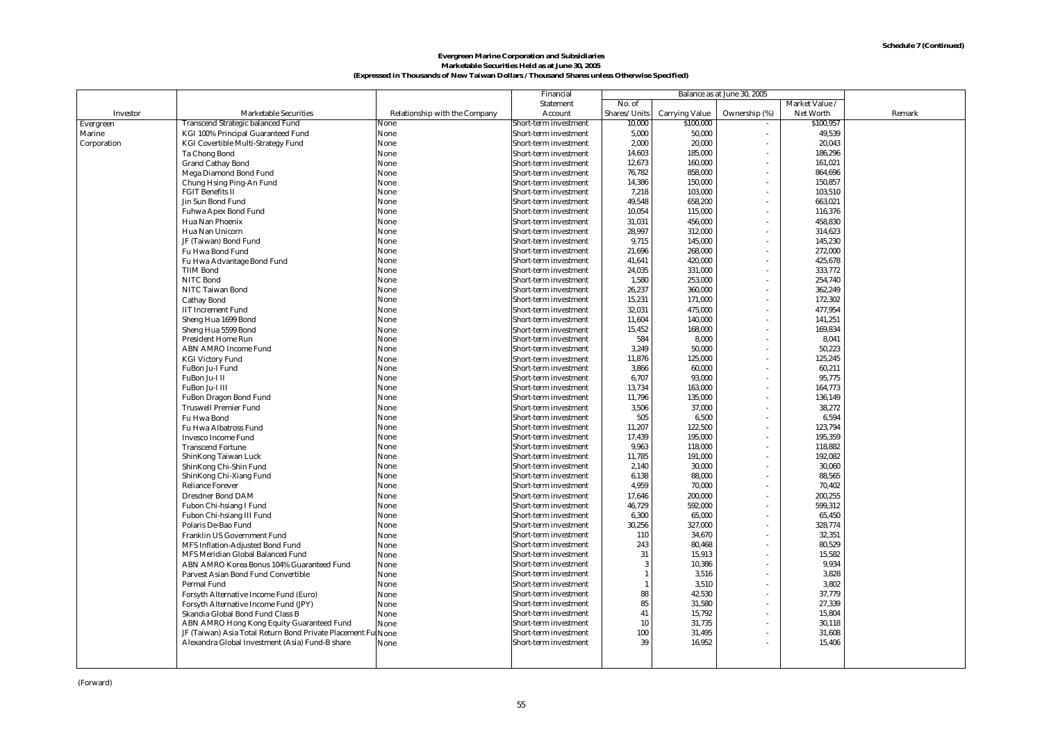#### **Marketable Securities Held as at June 30, 2005 (Expressed in Thousands of New Taiwan Dollars / Thousand Shares unless Otherwise Specified) Evergreen Marine Corporation and Subsidiaries**

|             |                                                                                  |                               | Financial                                      | Balance as at June 30, 2005 |                       |                |                   |        |
|-------------|----------------------------------------------------------------------------------|-------------------------------|------------------------------------------------|-----------------------------|-----------------------|----------------|-------------------|--------|
|             |                                                                                  |                               | Statement                                      | No. of                      |                       |                | Market Value /    |        |
| Investor    | <b>Marketable Securities</b>                                                     | Relationship with the Company | Account                                        | Shares/Units                | <b>Carrying Value</b> | Ownership (%)  | Net Worth         | Remark |
| Evergreen   | Transcend Strategic balanced Fund                                                | None                          | Short-term investment                          | 10,000                      | \$100,000             |                | \$100,957         |        |
| Marine      | KGI 100% Principal Guaranteed Fund                                               | None                          | Short-term investment                          | 5,000                       | 50,000                | $\blacksquare$ | 49,539            |        |
| Corporation | KGI Covertible Multi-Strategy Fund                                               | None                          | Short-term investment                          | 2.000                       | 20.000                |                | 20.043            |        |
|             | Ta Chong Bond                                                                    | None                          | Short-term investment                          | 14,603                      | 185,000               |                | 186,296           |        |
|             | <b>Grand Cathay Bond</b>                                                         | None                          | Short-term investment                          | 12,673                      | 160,000               |                | 161,021           |        |
|             | Mega Diamond Bond Fund                                                           | None                          | Short-term investment                          | 76,782                      | 858,000               |                | 864,696           |        |
|             | Chung Hsing Ping-An Fund                                                         | None                          | Short-term investment                          | 14,386                      | 150,000               |                | 150,857           |        |
|             | <b>FGIT Benefits II</b>                                                          | None                          | Short-term investment                          | 7,218                       | 103,000               |                | 103,510           |        |
|             | Jin Sun Bond Fund                                                                | None                          | Short-term investment                          | 49,548                      | 658,200               |                | 663,021           |        |
|             | Fuhwa Apex Bond Fund                                                             | None                          | Short-term investment                          | 10,054                      | 115,000               |                | 116,376           |        |
|             | Hua Nan Phoenix                                                                  | None                          | Short-term investment                          | 31,031                      | 456,000               |                | 458,830           |        |
|             | Hua Nan Unicorn                                                                  | None                          | Short-term investment                          | 28,997                      | 312,000               |                | 314,623           |        |
|             | JF (Taiwan) Bond Fund                                                            | None                          | Short-term investment                          | 9,715                       | 145,000               |                | 145,230           |        |
|             | Fu Hwa Bond Fund                                                                 | None                          | Short-term investment                          | 21,696                      | 268,000               |                | 272,000           |        |
|             | Fu Hwa Advantage Bond Fund                                                       | None                          | Short-term investment                          | 41,641                      | 420,000               |                | 425,678           |        |
|             | <b>TIIM Bond</b>                                                                 | None                          | Short-term investment                          | 24,035                      | 331,000               | ä,             | 333,772           |        |
|             | NITC Bond                                                                        | None                          | Short-term investment                          | 1,580                       | 253,000               |                | 254,740           |        |
|             | NITC Taiwan Bond                                                                 | None                          | Short-term investment                          | 26,237                      | 360,000               |                | 362,249           |        |
|             | Cathay Bond                                                                      | None                          | Short-term investment                          | 15,231                      | 171,000               | $\sim$         | 172,302           |        |
|             | <b>IIT Increment Fund</b>                                                        | None                          | Short-term investment                          | 32,031                      | 475,000               |                | 477,954           |        |
|             | Sheng Hua 1699 Bond                                                              | None                          | Short-term investment                          | 11,604                      | 140,000               |                | 141,251           |        |
|             | Sheng Hua 5599 Bond                                                              | None                          | Short-term investment                          | 15,452                      | 168,000               |                | 169,834           |        |
|             | President Home Run                                                               | None                          | Short-term investment                          | 584                         | 8,000                 |                | 8,041             |        |
|             | ABN AMRO Income Fund                                                             | None                          | Short-term investment                          | 3,249                       | 50,000                |                | 50,223            |        |
|             | <b>KGI Victory Fund</b>                                                          | None                          | Short-term investment                          | 11,876                      | 125,000               |                | 125,245           |        |
|             | FuBon Ju-I Fund                                                                  | None                          | Short-term investment                          | 3,866                       | 60,000                | ٠              | 60,211            |        |
|             | FuBon Ju-I II                                                                    | None                          | Short-term investment                          | 6,707                       | 93,000                |                | 95,775            |        |
|             | FuBon Ju-I III                                                                   | None                          | Short-term investment                          | 13,734                      | 163,000               |                | 164,773           |        |
|             | FuBon Dragon Bond Fund                                                           | None                          | Short-term investment                          | 11,796                      | 135,000               |                | 136,149           |        |
|             | <b>Truswell Premier Fund</b>                                                     | None                          | Short-term investment                          | 3,506                       | 37,000                |                | 38,272            |        |
|             | Fu Hwa Bond                                                                      | None                          | Short-term investment                          | 505                         | 6,500                 |                | 6,594             |        |
|             | Fu Hwa Albatross Fund                                                            | None                          | Short-term investment                          | 11,207                      | 122,500               |                | 123,794           |        |
|             | Invesco Income Fund                                                              | None                          | Short-term investment                          | 17,439                      | 195,000               |                | 195,359           |        |
|             | <b>Transcend Fortune</b>                                                         | None                          | Short-term investment                          | 9,963                       | 118,000               | $\sim$         | 118,882           |        |
|             | ShinKong Taiwan Luck                                                             | None                          | Short-term investment                          | 11,785                      | 191,000               |                | 192,082           |        |
|             | ShinKong Chi-Shin Fund                                                           | None                          | Short-term investment                          | 2,140                       | 30,000                |                | 30,060            |        |
|             | ShinKong Chi-Xiang Fund<br><b>Reliance Forever</b>                               | None                          | Short-term investment                          | 6,138<br>4,959              | 88,000                |                | 88,565            |        |
|             | Dresdner Bond DAM                                                                | None                          | Short-term investment                          | 17,646                      | 70,000<br>200,000     | ä,<br>$\sim$   | 70,402<br>200,255 |        |
|             | Fubon Chi-hsiang I Fund                                                          | None                          | Short-term investment                          | 46,729                      | 592,000               |                | 599,312           |        |
|             | Fubon Chi-hsiang III Fund                                                        | None<br>None                  | Short-term investment<br>Short-term investment | 6,300                       | 65,000                | ä,             | 65,450            |        |
|             | Polaris De-Bao Fund                                                              | None                          | Short-term investment                          | 30,256                      | 327,000               | $\sim$         | 328,774           |        |
|             |                                                                                  |                               | Short-term investment                          | 110                         | 34,670                | ä,             | 32,351            |        |
|             | Franklin US Government Fund                                                      | None                          | Short-term investment                          | 243                         | 80,468                |                | 80,529            |        |
|             | MFS Inflation-Adjusted Bond Fund<br>MFS Meridian Global Balanced Fund            | None                          | Short-term investment                          | 31                          | 15,913                | $\sim$         | 15,582            |        |
|             |                                                                                  | None                          | Short-term investment                          | 3                           | 10,386                |                | 9,934             |        |
|             | ABN AMRO Korea Bonus 104% Guaranteed Fund<br>Parvest Asian Bond Fund Convertible | None<br>None                  | Short-term investment                          |                             | 3,516                 | $\sim$         | 3,828             |        |
|             | Permal Fund                                                                      | None                          | Short-term investment                          |                             | 3,510                 |                | 3,802             |        |
|             | Forsyth Alternative Income Fund (Euro)                                           | None                          | Short-term investment                          | 88                          | 42,530                | $\sim$         | 37,779            |        |
|             | Forsyth Alternative Income Fund (JPY)                                            | None                          | Short-term investment                          | 85                          | 31,580                |                | 27,339            |        |
|             | Skandia Global Bond Fund Class B                                                 | None                          | Short-term investment                          | 41                          | 15,792                |                | 15,804            |        |
|             | ABN AMRO Hong Kong Equity Guaranteed Fund                                        | None                          | Short-term investment                          | 10                          | 31,735                |                | 30,118            |        |
|             | JF (Taiwan) Asia Total Return Bond Private Placement FulNone                     |                               | Short-term investment                          | 100                         | 31,495                |                | 31,608            |        |
|             | Alexandra Global Investment (Asia) Fund-B share                                  | None                          | Short-term investment                          | 39                          | 16,952                |                | 15,406            |        |
|             |                                                                                  |                               |                                                |                             |                       |                |                   |        |
|             |                                                                                  |                               |                                                |                             |                       |                |                   |        |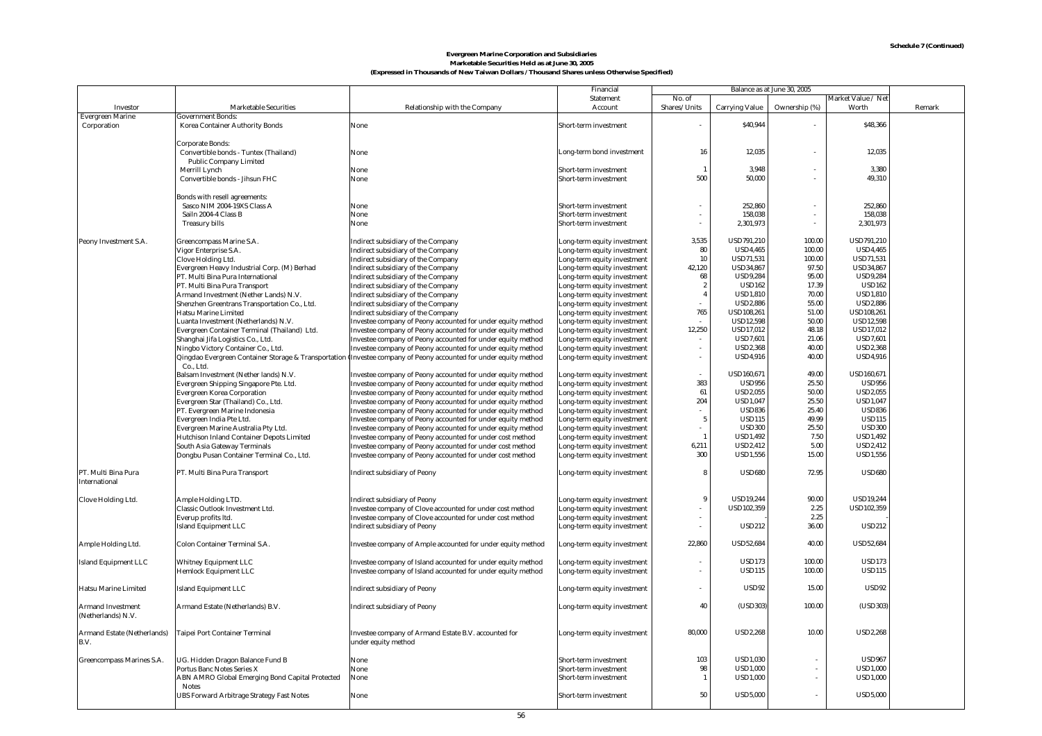#### **Marketable Securities Held as at June 30, 2005 Evergreen Marine Corporation and Subsidiaries (Expressed in Thousands of New Taiwan Dollars / Thousand Shares unless Otherwise Specified)**

|                             |                                                  | Financial<br>Balance as at June 30, 2005                                                                         |                             |                  |                       |                          |                    |        |
|-----------------------------|--------------------------------------------------|------------------------------------------------------------------------------------------------------------------|-----------------------------|------------------|-----------------------|--------------------------|--------------------|--------|
|                             |                                                  |                                                                                                                  | Statement                   | No. of           |                       |                          | Market Value / Net |        |
| Investor                    | <b>Marketable Securities</b>                     | Relationship with the Company                                                                                    | Account                     | Shares/Units     | <b>Carrying Value</b> | Ownership (%)            | Worth              | Remark |
| <b>Evergreen Marine</b>     | Government Bonds:                                |                                                                                                                  |                             |                  |                       |                          |                    |        |
| Corporation                 | Korea Container Authority Bonds                  | None                                                                                                             | Short-term investment       |                  | \$40,944              |                          | \$48,366           |        |
|                             |                                                  |                                                                                                                  |                             |                  |                       |                          |                    |        |
|                             | Corporate Bonds:                                 |                                                                                                                  |                             |                  |                       |                          |                    |        |
|                             | Convertible bonds - Tuntex (Thailand)            | None                                                                                                             | Long-term bond investment   | 16               | 12.035                | $\overline{\phantom{a}}$ | 12,035             |        |
|                             | Public Company Limited                           |                                                                                                                  |                             |                  |                       |                          |                    |        |
|                             | Merrill Lynch                                    | None                                                                                                             | Short-term investment       | $\overline{1}$   | 3,948                 | $\overline{\phantom{a}}$ | 3,380              |        |
|                             | Convertible bonds - Jihsun FHC                   | None                                                                                                             | Short-term investment       | 500              | 50,000                |                          | 49,310             |        |
|                             |                                                  |                                                                                                                  |                             |                  |                       |                          |                    |        |
|                             | Bonds with resell agreements:                    |                                                                                                                  |                             |                  |                       |                          |                    |        |
|                             | Sasco NIM 2004-19XS Class A                      | None                                                                                                             | Short-term investment       |                  | 252,860               |                          | 252.860            |        |
|                             | Sailn 2004-4 Class B                             | None                                                                                                             | Short-term investment       |                  | 158,038               | $\sim$                   | 158,038            |        |
|                             | <b>Treasury bills</b>                            | None                                                                                                             | Short-term investment       | $\sim$           | 2,301,973             | $\sim$                   | 2,301,973          |        |
|                             |                                                  |                                                                                                                  |                             |                  |                       |                          |                    |        |
| Peony Investment S.A.       | Greencompass Marine S.A.                         | Indirect subsidiary of the Company                                                                               | Long-term equity investment | 3.535            | <b>USD791.210</b>     | 100.00                   | <b>USD791.210</b>  |        |
|                             | Vigor Enterprise S.A.                            | Indirect subsidiary of the Company                                                                               | Long-term equity investment | 80               | <b>USD4.465</b>       | 100.00                   | <b>USD4.465</b>    |        |
|                             | Clove Holding Ltd.                               | Indirect subsidiary of the Company                                                                               | Long-term equity investment | 10               | USD71,531             | 100.00                   | <b>USD71,531</b>   |        |
|                             | Evergreen Heavy Industrial Corp. (M) Berhad      | Indirect subsidiary of the Company                                                                               | Long-term equity investment | 42,120           | <b>USD34,867</b>      | 97.50                    | <b>USD34,867</b>   |        |
|                             | PT. Multi Bina Pura International                | Indirect subsidiary of the Company                                                                               | Long-term equity investment | 68               | <b>USD9,284</b>       | 95.00                    | <b>USD9,284</b>    |        |
|                             | PT. Multi Bina Pura Transport                    | Indirect subsidiary of the Company                                                                               | Long-term equity investment | $\boldsymbol{2}$ | <b>USD162</b>         | 17.39                    | <b>USD162</b>      |        |
|                             | Armand Investment (Nether Lands) N.V.            | Indirect subsidiary of the Company                                                                               | Long-term equity investment | $\overline{4}$   | <b>USD1,810</b>       | 70.00                    | <b>USD1,810</b>    |        |
|                             |                                                  |                                                                                                                  |                             |                  | <b>USD2,886</b>       | 55.00                    | <b>USD2,886</b>    |        |
|                             | Shenzhen Greentrans Transportation Co., Ltd.     | Indirect subsidiary of the Company                                                                               | Long-term equity investment |                  |                       |                          |                    |        |
|                             | Hatsu Marine Limited                             | Indirect subsidiary of the Company                                                                               | Long-term equity investment | 765              | USD108,261            | 51.00                    | USD108,261         |        |
|                             | Luanta Investment (Netherlands) N.V.             | Investee company of Peony accounted for under equity method                                                      | Long-term equity investment |                  | <b>USD12,598</b>      | 50.00                    | <b>USD12,598</b>   |        |
|                             | Evergreen Container Terminal (Thailand) Ltd.     | Investee company of Peony accounted for under equity method                                                      | Long-term equity investment | 12,250           | <b>USD17,012</b>      | 48.18                    | <b>USD17,012</b>   |        |
|                             | Shanghai Jifa Logistics Co., Ltd.                | Investee company of Peony accounted for under equity method                                                      | Long-term equity investment |                  | <b>USD7,601</b>       | 21.06                    | <b>USD7,601</b>    |        |
|                             | Ningbo Victory Container Co., Ltd.               | Investee company of Peony accounted for under equity method                                                      | Long-term equity investment |                  | <b>USD2,368</b>       | 40.00                    | <b>USD2,368</b>    |        |
|                             |                                                  | Qingdao Evergreen Container Storage & Transportation Investee company of Peony accounted for under equity method | Long-term equity investment | $\sim$           | <b>USD4,916</b>       | 40.00                    | <b>USD4,916</b>    |        |
|                             | Co., Ltd.                                        |                                                                                                                  |                             |                  |                       |                          |                    |        |
|                             | Balsam Investment (Nether lands) N.V.            | Investee company of Peony accounted for under equity method                                                      | Long-term equity investment |                  | USD160,671            | 49.00                    | USD160,671         |        |
|                             | Evergreen Shipping Singapore Pte. Ltd.           | Investee company of Peony accounted for under equity method                                                      | Long-term equity investment | 383              | <b>USD956</b>         | 25.50                    | <b>USD956</b>      |        |
|                             | <b>Evergreen Korea Corporation</b>               | Investee company of Peony accounted for under equity method                                                      | Long-term equity investment | 61               | <b>USD2,055</b>       | 50.00                    | <b>USD2,055</b>    |        |
|                             | Evergreen Star (Thailand) Co., Ltd.              | Investee company of Peony accounted for under equity method                                                      | Long-term equity investment | 204              | <b>USD1.047</b>       | 25.50                    | <b>USD1,047</b>    |        |
|                             | PT. Evergreen Marine Indonesia                   | Investee company of Peony accounted for under equity method                                                      | Long-term equity investment |                  | <b>USD836</b>         | 25.40                    | <b>USD836</b>      |        |
|                             | Evergreen India Pte Ltd.                         | Investee company of Peony accounted for under equity method                                                      | Long-term equity investment | 5                | <b>USD115</b>         | 49.99                    | <b>USD115</b>      |        |
|                             | Evergreen Marine Australia Pty Ltd.              | Investee company of Peony accounted for under equity method                                                      | Long-term equity investment |                  | <b>USD300</b>         | 25.50                    | <b>USD300</b>      |        |
|                             | Hutchison Inland Container Depots Limited        | Investee company of Peony accounted for under cost method                                                        | Long-term equity investment | $\overline{1}$   | <b>USD1,492</b>       | 7.50                     | <b>USD1,492</b>    |        |
|                             | South Asia Gateway Terminals                     | Investee company of Peony accounted for under cost method                                                        | Long-term equity investment | 6,211            | <b>USD2,412</b>       | 5.00                     | <b>USD2,412</b>    |        |
|                             | Dongbu Pusan Container Terminal Co., Ltd.        | Investee company of Peony accounted for under cost method                                                        | Long-term equity investment | 300              | <b>USD1,556</b>       | 15.00                    | <b>USD1,556</b>    |        |
|                             |                                                  |                                                                                                                  |                             |                  |                       |                          |                    |        |
| PT. Multi Bina Pura         | PT. Multi Bina Pura Transport                    | <b>Indirect subsidiary of Peony</b>                                                                              | Long-term equity investment | 8                | <b>USD680</b>         | 72.95                    | <b>USD680</b>      |        |
| International               |                                                  |                                                                                                                  |                             |                  |                       |                          |                    |        |
|                             |                                                  |                                                                                                                  |                             |                  |                       |                          |                    |        |
| Clove Holding Ltd.          | Ample Holding LTD.                               | Indirect subsidiary of Peony                                                                                     | Long-term equity investment | 9                | <b>USD19,244</b>      | 90.00                    | <b>USD19,244</b>   |        |
|                             | Classic Outlook Investment Ltd.                  | Investee company of Clove accounted for under cost method                                                        | Long-term equity investment |                  | USD102,359            | 2.25                     | USD102,359         |        |
|                             | Everup profits ltd.                              | Investee company of Clove accounted for under cost method                                                        | Long-term equity investment |                  |                       | 2.25                     |                    |        |
|                             | <b>Island Equipment LLC</b>                      | <b>Indirect subsidiary of Peony</b>                                                                              | Long-term equity investment | $\sim$           | <b>USD212</b>         | 36.00                    | <b>USD212</b>      |        |
|                             |                                                  |                                                                                                                  |                             |                  |                       |                          |                    |        |
| Ample Holding Ltd.          | Colon Container Terminal S.A.                    | Investee company of Ample accounted for under equity method                                                      | Long-term equity investment | 22,860           | <b>USD52,684</b>      | 40.00                    | <b>USD52,684</b>   |        |
|                             |                                                  |                                                                                                                  |                             |                  |                       |                          |                    |        |
| <b>Island Equipment LLC</b> | <b>Whitney Equipment LLC</b>                     | Investee company of Island accounted for under equity method                                                     | Long-term equity investment |                  | <b>USD173</b>         | 100.00                   | <b>USD173</b>      |        |
|                             | <b>Hemlock Equipment LLC</b>                     | Investee company of Island accounted for under equity method                                                     | Long-term equity investment |                  | <b>USD115</b>         | 100.00                   | <b>USD115</b>      |        |
|                             |                                                  |                                                                                                                  |                             |                  |                       |                          |                    |        |
| Hatsu Marine Limited        | <b>Island Equipment LLC</b>                      | Indirect subsidiary of Peony                                                                                     |                             | $\sim$           | <b>USD92</b>          | 15.00                    | <b>USD92</b>       |        |
|                             |                                                  |                                                                                                                  | Long-term equity investment |                  |                       |                          |                    |        |
| Armand Investment           |                                                  |                                                                                                                  |                             | 40               | (USD303)              | 100.00                   | (USD303)           |        |
|                             | Armand Estate (Netherlands) B.V.                 | <b>Indirect subsidiary of Peony</b>                                                                              | Long-term equity investment |                  |                       |                          |                    |        |
| (Netherlands) N.V.          |                                                  |                                                                                                                  |                             |                  |                       |                          |                    |        |
|                             |                                                  |                                                                                                                  |                             |                  |                       |                          |                    |        |
| Armand Estate (Netherlands) | Taipei Port Container Terminal                   | Investee company of Armand Estate B.V. accounted for                                                             | Long-term equity investment | 80,000           | <b>USD2.268</b>       | 10.00                    | <b>USD2.268</b>    |        |
| B.V.                        |                                                  | under equity method                                                                                              |                             |                  |                       |                          |                    |        |
|                             |                                                  |                                                                                                                  |                             |                  |                       |                          |                    |        |
| Greencompass Marines S.A.   | UG. Hidden Dragon Balance Fund B                 | None                                                                                                             | Short-term investment       | 103              | <b>USD1,030</b>       |                          | <b>USD967</b>      |        |
|                             | Portus Banc Notes Series X                       | None                                                                                                             | Short-term investment       | 98               | <b>USD1,000</b>       | $\overline{\phantom{a}}$ | <b>USD1,000</b>    |        |
|                             | ABN AMRO Global Emerging Bond Capital Protected  | None                                                                                                             | Short-term investment       | $\overline{1}$   | <b>USD1,000</b>       | $\overline{\phantom{a}}$ | <b>USD1,000</b>    |        |
|                             | <b>Notes</b>                                     |                                                                                                                  |                             |                  |                       |                          |                    |        |
|                             | <b>UBS Forward Arbitrage Strategy Fast Notes</b> | None                                                                                                             | Short-term investment       | 50               | <b>USD5,000</b>       |                          | <b>USD5,000</b>    |        |
|                             |                                                  |                                                                                                                  |                             |                  |                       |                          |                    |        |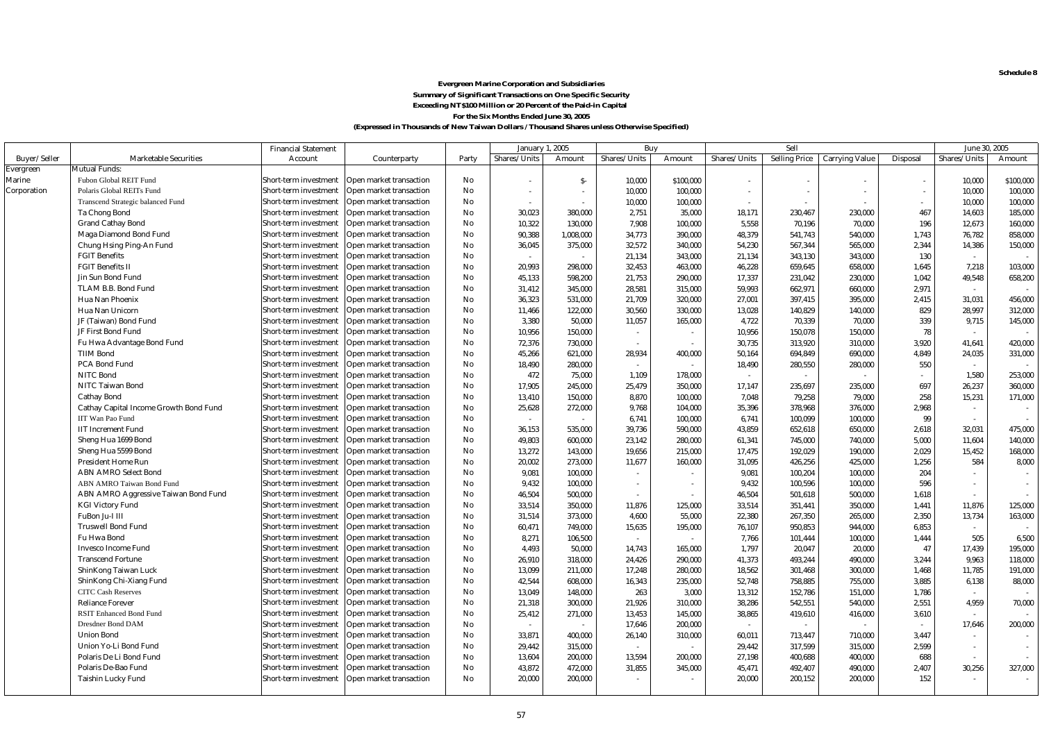**Schedule 8**

#### **Evergreen Marine Corporation and Subsidiaries Summary of Significant Transactions on One Specific Security Exceeding NT\$100 Million or 20 Percent of the Paid-in Capital For the Six Months Ended June 30, 2005**

|              |                                        | <b>Financial Statement</b> |                         |       | January 1, 2005 |                          |              | Buy       |                          | Sell                 |                          |                          | June 30, 2005            |           |
|--------------|----------------------------------------|----------------------------|-------------------------|-------|-----------------|--------------------------|--------------|-----------|--------------------------|----------------------|--------------------------|--------------------------|--------------------------|-----------|
| Buver/Seller | <b>Marketable Securities</b>           | Account                    | Counterparty            | Party | Shares/Units    | Amount                   | Shares/Units | Amount    | Shares/Units             | <b>Selling Price</b> | <b>Carrying Value</b>    | Disposal                 | Shares/Units             | Amount    |
| Evergreen    | Mutual Funds:                          |                            |                         |       |                 |                          |              |           |                          |                      |                          |                          |                          |           |
| Marine       | Fubon Global REIT Fund                 | Short-term investment      | Open market transaction | No    | $\sim$          | $S-$                     | 10,000       | \$100,000 | $\overline{\phantom{a}}$ |                      | $\overline{\phantom{a}}$ |                          | 10,000                   | \$100,000 |
| Corporation  | Polaris Global REITs Fund              | Short-term investment      | Open market transaction | No    | $\sim$          | $\overline{\phantom{a}}$ | 10,000       | 100,000   | $\overline{\phantom{a}}$ |                      | $\bar{a}$                | $\overline{\phantom{a}}$ | 10,000                   | 100,000   |
|              | Transcend Strategic balanced Fund      | Short-term investment      | Open market transaction | No    |                 | $\sim$                   | 10,000       | 100,000   | $\sim$                   | $\sim$               | ÷.                       | $\sim$                   | 10,000                   | 100,000   |
|              | Ta Chong Bond                          | Short-term investment      | Open market transaction | No    | 30,023          | 380,000                  | 2,751        | 35,000    | 18,171                   | 230,467              | 230,000                  | 467                      | 14,603                   | 185,000   |
|              | <b>Grand Cathay Bond</b>               | Short-term investment      | Open market transaction | No    | 10,322          | 130,000                  | 7,908        | 100,000   | 5,558                    | 70,196               | 70,000                   | 196                      | 12,673                   | 160,000   |
|              | Maga Diamond Bond Fund                 | Short-term investment      | Open market transaction | No    | 90.388          | 1.008.000                | 34,773       | 390,000   | 48.379                   | 541.743              | 540,000                  | 1,743                    | 76,782                   | 858.000   |
|              | Chung Hsing Ping-An Fund               | Short-term investment      | Open market transaction | No    | 36,045          | 375,000                  | 32,572       | 340,000   | 54,230                   | 567,344              | 565,000                  | 2,344                    | 14,386                   | 150,000   |
|              | <b>FGIT Benefits</b>                   | Short-term investment      | Open market transaction | No    |                 | $\sim$                   | 21,134       | 343,000   | 21,134                   | 343,130              | 343,000                  | 130                      | $\sim$                   |           |
|              | <b>FGIT Benefits II</b>                | Short-term investment      | Open market transaction | No    | 20,993          | 298,000                  | 32,453       | 463,000   | 46,228                   | 659,645              | 658,000                  | 1,645                    | 7,218                    | 103,000   |
|              | Jin Sun Bond Fund                      | Short-term investment      | Open market transaction | No    | 45,133          | 598,200                  | 21,753       | 290,000   | 17,337                   | 231,042              | 230,000                  | 1,042                    | 49,548                   | 658,200   |
|              | TLAM B.B. Bond Fund                    | Short-term investment      | Open market transaction | No    | 31,412          | 345,000                  | 28,581       | 315,000   | 59,993                   | 662,971              | 660,000                  | 2,971                    | $\sim$                   |           |
|              | Hua Nan Phoenix                        | Short-term investment      | Open market transaction | No    | 36,323          | 531,000                  | 21,709       | 320,000   | 27,001                   | 397,415              | 395,000                  | 2,415                    | 31,031                   | 456,000   |
|              | Hua Nan Unicorn                        | Short-term investment      | Open market transaction | No    | 11,466          | 122,000                  | 30,560       | 330,000   | 13,028                   | 140,829              | 140,000                  | 829                      | 28,997                   | 312,000   |
|              | JF (Taiwan) Bond Fund                  | Short-term investment      | Open market transaction | No    | 3,380           | 50,000                   | 11,057       | 165,000   | 4,722                    | 70,339               | 70,000                   | 339                      | 9,715                    | 145,000   |
|              | JF First Bond Fund                     | Short-term investment      | Open market transaction | No    | 10,956          | 150,000                  | $\sim$       |           | 10.956                   | 150.078              | 150,000                  | 78                       | $\sim$                   |           |
|              | Fu Hwa Advantage Bond Fund             | Short-term investment      | Open market transaction | No    | 72,376          | 730.000                  | $\sim$       |           | 30.735                   | 313.920              | 310,000                  | 3.920                    | 41,641                   | 420.000   |
|              | <b>TIIM Bond</b>                       | Short-term investment      | Open market transaction | No    | 45,266          | 621,000                  | 28,934       | 400,000   | 50,164                   | 694,849              | 690,000                  | 4,849                    | 24,035                   | 331,000   |
|              | PCA Bond Fund                          | Short-term investment      | Open market transaction | No    | 18,490          | 280,000                  | $\sim$       | $\sim$    | 18,490                   | 280,550              | 280,000                  | 550                      | $\sim$                   |           |
|              | <b>NITC Bond</b>                       | Short-term investment      | Open market transaction | No    | 472             | 75,000                   | 1,109        | 178,000   | $\sim$                   |                      | $\sim$                   | $\sim$                   | 1,580                    | 253,000   |
|              | NITC Taiwan Bond                       | Short-term investment      | Open market transaction | No    | 17,905          | 245,000                  | 25,479       | 350,000   | 17,147                   | 235,697              | 235,000                  | 697                      | 26,237                   | 360,000   |
|              | <b>Cathay Bond</b>                     | Short-term investment      | Open market transaction | No    | 13,410          | 150,000                  | 8,870        | 100,000   | 7,048                    | 79,258               | 79,000                   | 258                      | 15,231                   | 171,000   |
|              | Cathay Capital Income Growth Bond Fund | Short-term investment      | Open market transaction | No    | 25,628          | 272,000                  | 9,768        | 104,000   | 35,396                   | 378,968              | 376,000                  | 2,968                    | $\sim$                   |           |
|              | IIT Wan Pao Fund                       | Short-term investment      | Open market transaction | No    |                 | $\sim$                   | 6,741        | 100,000   | 6,741                    | 100.099              | 100,000                  | 99                       | $\sim$                   |           |
|              | <b>IIT Increment Fund</b>              | Short-term investment      | Open market transaction | No    | 36.153          | 535.000                  | 39,736       | 590,000   | 43,859                   | 652.618              | 650,000                  | 2.618                    | 32,031                   | 475.000   |
|              | Sheng Hua 1699 Bond                    | Short-term investment      | Open market transaction | No    | 49,803          | 600,000                  | 23,142       | 280,000   | 61,341                   | 745,000              | 740,000                  | 5,000                    | 11,604                   | 140,000   |
|              | Sheng Hua 5599 Bond                    | Short-term investment      | Open market transaction | No    | 13,272          | 143,000                  | 19,656       | 215,000   | 17,475                   | 192,029              | 190,000                  | 2,029                    | 15,452                   | 168,000   |
|              | <b>President Home Run</b>              | Short-term investment      | Open market transaction | No    | 20,002          | 273,000                  | 11,677       | 160,000   | 31,095                   | 426,256              | 425,000                  | 1,256                    | 584                      | 8,000     |
|              | <b>ABN AMRO Select Bond</b>            | Short-term investment      | Open market transaction | No    | 9,081           | 100,000                  | $\sim$       |           | 9,081                    | 100,204              | 100,000                  | 204                      | $\sim$                   |           |
|              | ABN AMRO Taiwan Bond Fund              | Short-term investment      | Open market transaction | No    | 9,432           | 100,000                  | $\sim$       | $\sim$    | 9,432                    | 100,596              | 100,000                  | 596                      | $\sim$                   |           |
|              | ABN AMRO Aggressive Taiwan Bond Fund   | Short-term investment      | Open market transaction | No    | 46,504          | 500,000                  |              |           | 46,504                   | 501,618              | 500,000                  | 1,618                    | $\overline{\phantom{a}}$ |           |
|              | <b>KGI Victory Fund</b>                | Short-term investment      | Open market transaction | No    | 33,514          | 350,000                  | 11,876       | 125,000   | 33,514                   | 351,441              | 350,000                  | 1,441                    | 11,876                   | 125,000   |
|              | FuBon Ju-I III                         | Short-term investment      | Open market transaction | No    | 31,514          | 373.000                  | 4.600        | 55,000    | 22,380                   | 267,350              | 265,000                  | 2.350                    | 13,734                   | 163.000   |
|              | <b>Truswell Bond Fund</b>              | Short-term investment      | Open market transaction | No    | 60,471          | 749,000                  | 15,635       | 195,000   | 76,107                   | 950,853              | 944,000                  | 6,853                    | $\sim$                   |           |
|              | Fu Hwa Bond                            | Short-term investment      | Open market transaction | No    | 8,271           | 106,500                  | $\sim$       | $\sim$    | 7,766                    | 101,444              | 100,000                  | 1,444                    | 505                      | 6,500     |
|              | <b>Invesco Income Fund</b>             | Short-term investment      | Open market transaction | No    | 4,493           | 50,000                   | 14,743       | 165,000   | 1,797                    | 20,047               | 20,000                   | 47                       | 17,439                   | 195,000   |
|              | <b>Transcend Fortune</b>               | Short-term investment      | Open market transaction | No    | 26,910          | 318,000                  | 24,426       | 290,000   | 41,373                   | 493,244              | 490,000                  | 3,244                    | 9,963                    | 118,000   |
|              | ShinKong Taiwan Luck                   | Short-term investment      | Open market transaction | No    | 13,099          | 211,000                  | 17,248       | 280,000   | 18,562                   | 301,468              | 300,000                  | 1,468                    | 11,785                   | 191,000   |
|              | ShinKong Chi-Xiang Fund                | Short-term investment      | Open market transaction | No    | 42,544          | 608,000                  | 16,343       | 235,000   | 52,748                   | 758,885              | 755,000                  | 3,885                    | 6,138                    | 88,000    |
|              | <b>CITC Cash Reserves</b>              | Short-term investment      | Open market transaction | No    | 13,049          | 148,000                  | 263          | 3,000     | 13,312                   | 152,786              | 151,000                  | 1,786                    | $\overline{\phantom{a}}$ |           |
|              | <b>Reliance Forever</b>                | Short-term investment      | Open market transaction | No    | 21,318          | 300.000                  | 21,926       | 310,000   | 38.286                   | 542,551              | 540,000                  | 2,551                    | 4,959                    | 70,000    |
|              | <b>RSIT Enhanced Bond Fund</b>         | Short-term investment      | Open market transaction | No    | 25,412          | 271,000                  | 13,453       | 145,000   | 38,865                   | 419,610              | 416,000                  | 3,610                    | $\sim$                   |           |
|              | Dresdner Bond DAM                      | Short-term investment      | Open market transaction | No    |                 | $\sim$                   | 17,646       | 200,000   |                          |                      |                          | $\sim$                   | 17,646                   | 200,000   |
|              | <b>Union Bond</b>                      | Short-term investment      | Open market transaction | No    | 33,871          | 400,000                  | 26,140       | 310,000   | 60,011                   | 713,447              | 710,000                  | 3,447                    | $\sim$                   |           |
|              | Union Yo-Li Bond Fund                  | Short-term investment      | Open market transaction | No    | 29,442          | 315,000                  | $\sim$       |           | 29,442                   | 317,599              | 315,000                  | 2,599                    | $\sim$                   |           |
|              | Polaris De Li Bond Fund                | Short-term investment      | Open market transaction | No    | 13,604          | 200,000                  | 13,594       | 200,000   | 27,198                   | 400,688              | 400,000                  | 688                      | $\sim$                   |           |
|              | Polaris De-Bao Fund                    | Short-term investment      | Open market transaction | No    | 43,872          | 472,000                  | 31,855       | 345,000   | 45,471                   | 492,407              | 490,000                  | 2,407                    | 30,256                   | 327,000   |
|              | Taishin Lucky Fund                     | Short-term investment      | Open market transaction | No    | 20,000          | 200,000                  |              |           | 20,000                   | 200,152              | 200,000                  | 152                      | $\sim$                   |           |
|              |                                        |                            |                         |       |                 |                          |              |           |                          |                      |                          |                          |                          |           |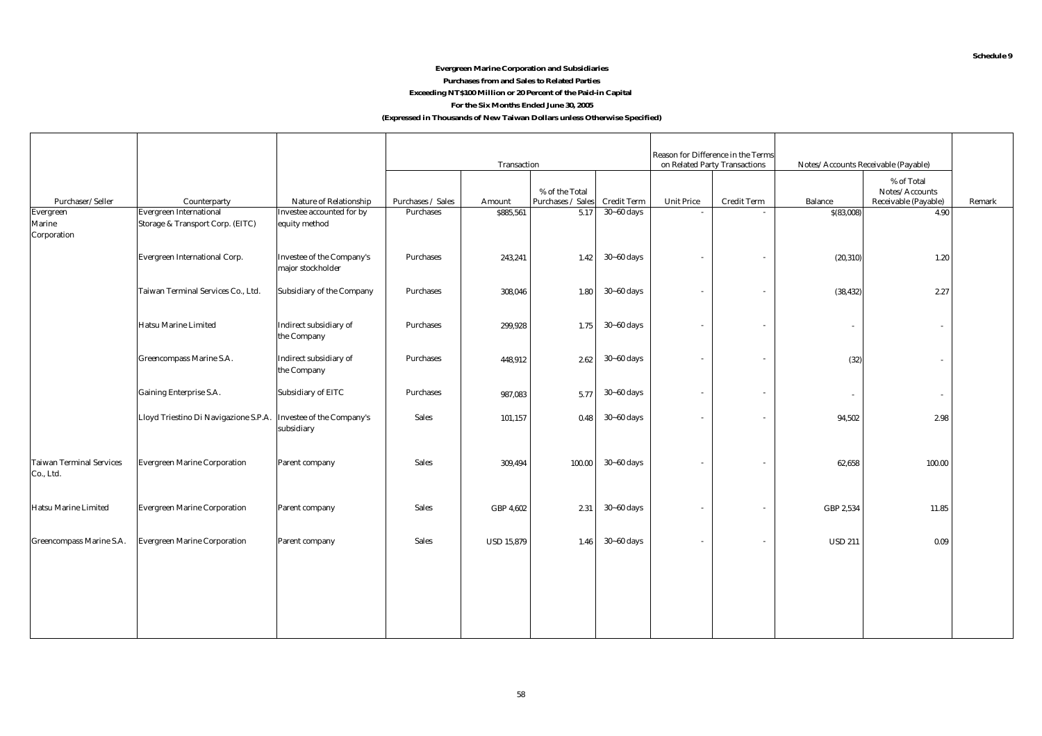#### **Evergreen Marine Corporation and Subsidiaries Purchases from and Sales to Related Parties Exceeding NT\$100 Million or 20 Percent of the Paid-in Capital For the Six Months Ended June 30, 2005**

#### **(Expressed in Thousands of New Taiwan Dollars unless Otherwise Specified)**

|                                                                    |              | Transaction                                                                                                                                                                                                                                                                                                                                                  |                   |                | on Related Party Transactions | Reason for Difference in the Terms               | Notes/Accounts Receivable (Payable) |                |                              |                      |
|--------------------------------------------------------------------|--------------|--------------------------------------------------------------------------------------------------------------------------------------------------------------------------------------------------------------------------------------------------------------------------------------------------------------------------------------------------------------|-------------------|----------------|-------------------------------|--------------------------------------------------|-------------------------------------|----------------|------------------------------|----------------------|
|                                                                    |              |                                                                                                                                                                                                                                                                                                                                                              |                   | % of the Total |                               |                                                  |                                     |                | % of Total<br>Notes/Accounts | Remark               |
| <b>Evergreen International</b><br>Storage & Transport Corp. (EITC) |              | Purchases                                                                                                                                                                                                                                                                                                                                                    | \$885,561         | 5.17           | $30 - 60$ days                | $\overline{a}$                                   |                                     | \$(83,008)     | 4.90                         |                      |
| Evergreen International Corp.                                      |              | Purchases                                                                                                                                                                                                                                                                                                                                                    | 243,241           | 1.42           | $30 - 60$ days                |                                                  | $\sim$                              | (20, 310)      | 1.20                         |                      |
| Taiwan Terminal Services Co., Ltd.                                 |              | Purchases                                                                                                                                                                                                                                                                                                                                                    | 308,046           | 1.80           | $30 - 60$ days                |                                                  | $\sim$                              | (38, 432)      | 2.27                         |                      |
| Hatsu Marine Limited                                               |              | Purchases                                                                                                                                                                                                                                                                                                                                                    | 299,928           |                | $30 - 60$ days                |                                                  | $\overline{\phantom{a}}$            |                | $\bar{a}$                    |                      |
| Greencompass Marine S.A.                                           |              | Purchases                                                                                                                                                                                                                                                                                                                                                    | 448,912           | 2.62           | $30 - 60$ days                |                                                  | $\sim$                              | (32)           | $\bar{a}$                    |                      |
| Gaining Enterprise S.A.                                            |              | Purchases                                                                                                                                                                                                                                                                                                                                                    | 987,083           | 5.77           | $30 - 60$ days                |                                                  | $\sim$                              | $\sim$         | $\sim$                       |                      |
| Lloyd Triestino Di Navigazione S.P.A.                              |              | Sales                                                                                                                                                                                                                                                                                                                                                        | 101,157           | 0.48           | $30 - 60$ days                |                                                  | $\sim$                              | 94,502         | 2.98                         |                      |
| <b>Evergreen Marine Corporation</b>                                |              | <b>Sales</b>                                                                                                                                                                                                                                                                                                                                                 | 309,494           | 100.00         | $30 - 60$ days                |                                                  | $\overline{\phantom{a}}$            | 62,658         | 100.00                       |                      |
| <b>Evergreen Marine Corporation</b>                                |              | Sales                                                                                                                                                                                                                                                                                                                                                        | GBP 4,602         | 2.31           | $30 - 60$ days                |                                                  | $\sim$                              | GBP 2,534      | 11.85                        |                      |
| <b>Evergreen Marine Corporation</b>                                |              | Sales                                                                                                                                                                                                                                                                                                                                                        | <b>USD 15,879</b> |                | $30 - 60$ days                |                                                  | $\sim$                              | <b>USD 211</b> | 0.09                         |                      |
|                                                                    |              |                                                                                                                                                                                                                                                                                                                                                              |                   |                |                               |                                                  |                                     |                |                              |                      |
|                                                                    | Counterparty | Nature of Relationship<br>Investee accounted for by<br>equity method<br>Investee of the Company's<br>major stockholder<br>Subsidiary of the Company<br>Indirect subsidiary of<br>the Company<br>Indirect subsidiary of<br>the Company<br>Subsidiary of EITC<br>Investee of the Company's<br>subsidiary<br>Parent company<br>Parent company<br>Parent company | Purchases / Sales | Amount         |                               | Purchases / Sales<br>Credit Term<br>1.75<br>1.46 | <b>Unit Price</b>                   | Credit Term    | Balance                      | Receivable (Payable) |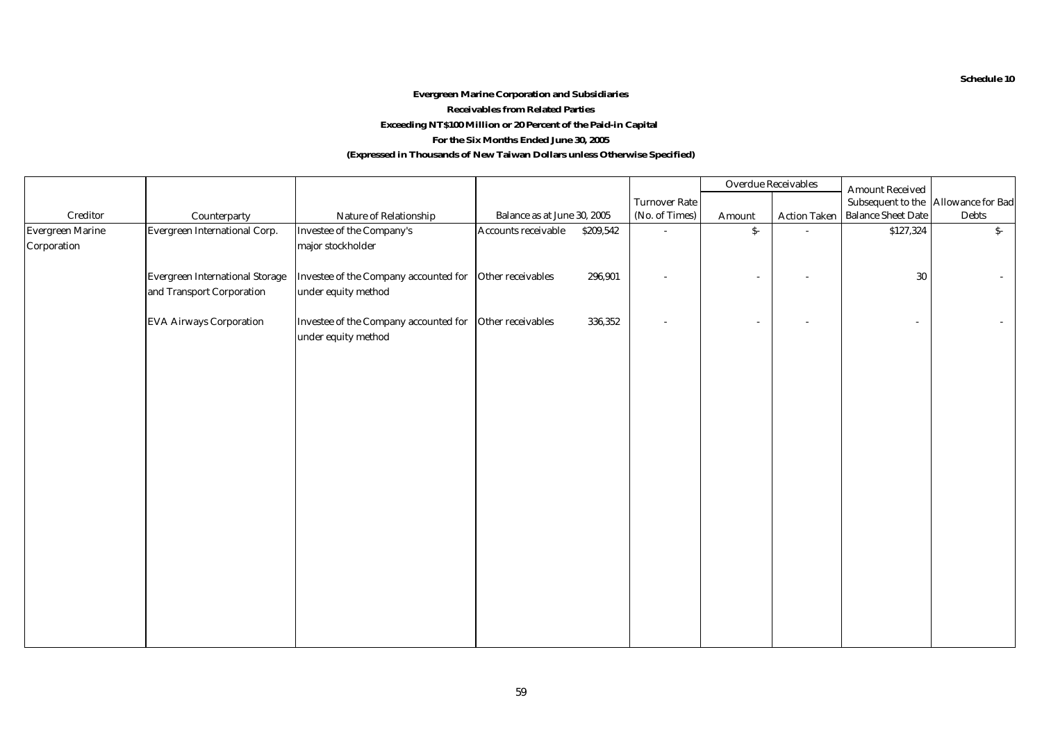#### **(Expressed in Thousands of New Taiwan Dollars unless Otherwise Specified) Evergreen Marine Corporation and Subsidiaries Receivables from Related Parties For the Six Months Ended June 30, 2005 Exceeding NT\$100 Million or 20 Percent of the Paid-in Capital**

|                  |                                 |                                                         |                                  |                          | Overdue Receivables      |                     | <b>Amount Received</b>    |                                     |
|------------------|---------------------------------|---------------------------------------------------------|----------------------------------|--------------------------|--------------------------|---------------------|---------------------------|-------------------------------------|
|                  |                                 |                                                         |                                  | <b>Turnover Rate</b>     |                          |                     |                           | Subsequent to the Allowance for Bad |
| Creditor         | Counterparty                    | Nature of Relationship                                  | Balance as at June 30, 2005      | (No. of Times)           | Amount                   | <b>Action Taken</b> | <b>Balance Sheet Date</b> | Debts                               |
| Evergreen Marine | Evergreen International Corp.   | Investee of the Company's                               | Accounts receivable<br>\$209,542 | $\overline{\phantom{a}}$ | $\hat{\mathbf{S}}$ -     |                     | \$127,324                 | $S-$                                |
| Corporation      |                                 | major stockholder                                       |                                  |                          |                          |                     |                           |                                     |
|                  |                                 |                                                         |                                  |                          |                          |                     |                           |                                     |
|                  | Evergreen International Storage | Investee of the Company accounted for Other receivables | 296,901                          |                          | $\overline{\phantom{a}}$ |                     | $30\,$                    | $\sim$                              |
|                  | and Transport Corporation       | under equity method                                     |                                  |                          |                          |                     |                           |                                     |
|                  |                                 |                                                         |                                  |                          |                          |                     |                           |                                     |
|                  | <b>EVA Airways Corporation</b>  | Investee of the Company accounted for Other receivables | 336,352                          |                          | $\sim$                   |                     |                           | $\sim$                              |
|                  |                                 | under equity method                                     |                                  |                          |                          |                     |                           |                                     |
|                  |                                 |                                                         |                                  |                          |                          |                     |                           |                                     |
|                  |                                 |                                                         |                                  |                          |                          |                     |                           |                                     |
|                  |                                 |                                                         |                                  |                          |                          |                     |                           |                                     |
|                  |                                 |                                                         |                                  |                          |                          |                     |                           |                                     |
|                  |                                 |                                                         |                                  |                          |                          |                     |                           |                                     |
|                  |                                 |                                                         |                                  |                          |                          |                     |                           |                                     |
|                  |                                 |                                                         |                                  |                          |                          |                     |                           |                                     |
|                  |                                 |                                                         |                                  |                          |                          |                     |                           |                                     |
|                  |                                 |                                                         |                                  |                          |                          |                     |                           |                                     |
|                  |                                 |                                                         |                                  |                          |                          |                     |                           |                                     |
|                  |                                 |                                                         |                                  |                          |                          |                     |                           |                                     |
|                  |                                 |                                                         |                                  |                          |                          |                     |                           |                                     |
|                  |                                 |                                                         |                                  |                          |                          |                     |                           |                                     |
|                  |                                 |                                                         |                                  |                          |                          |                     |                           |                                     |
|                  |                                 |                                                         |                                  |                          |                          |                     |                           |                                     |
|                  |                                 |                                                         |                                  |                          |                          |                     |                           |                                     |
|                  |                                 |                                                         |                                  |                          |                          |                     |                           |                                     |
|                  |                                 |                                                         |                                  |                          |                          |                     |                           |                                     |
|                  |                                 |                                                         |                                  |                          |                          |                     |                           |                                     |
|                  |                                 |                                                         |                                  |                          |                          |                     |                           |                                     |

**Schedule 10**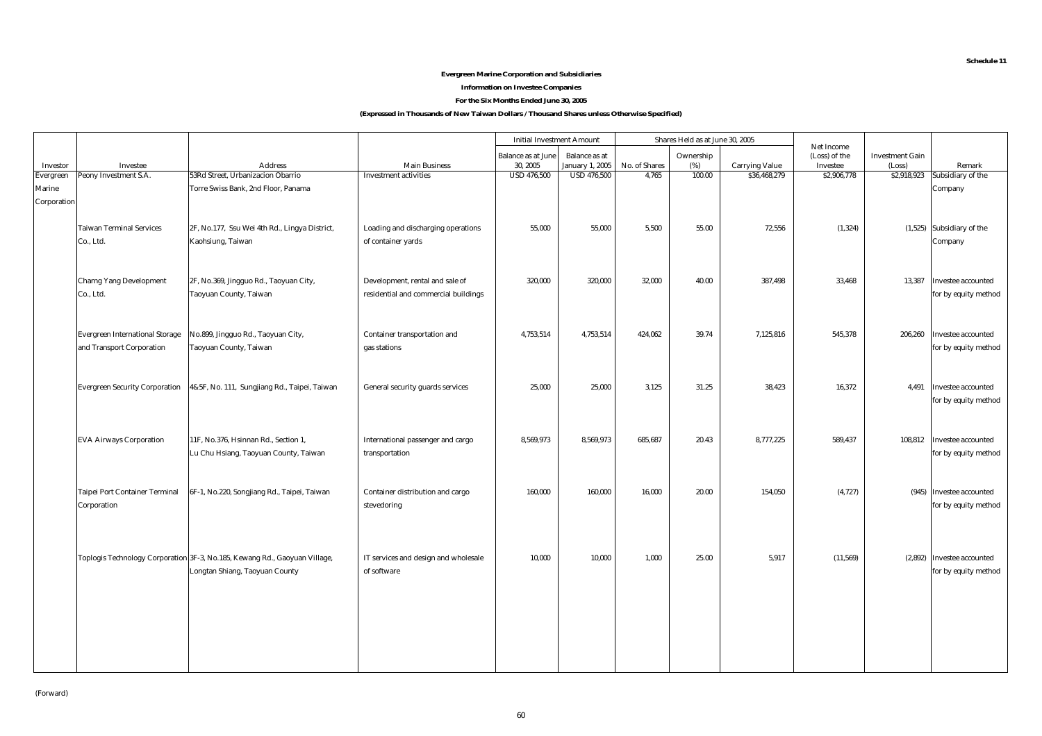#### **Evergreen Marine Corporation and Subsidiaries**

#### **Information on Investee Companies**

#### **For the Six Months Ended June 30, 2005**

|             |                                        |                                                                             |                                      | <b>Initial Investment Amount</b><br>Shares Held as at June 30, 2005 |                    |               |           |                       |                             |                        |                            |
|-------------|----------------------------------------|-----------------------------------------------------------------------------|--------------------------------------|---------------------------------------------------------------------|--------------------|---------------|-----------|-----------------------|-----------------------------|------------------------|----------------------------|
|             |                                        |                                                                             |                                      | <b>Balance as at June</b>                                           | Balance as at      |               | Ownership |                       | Net Income<br>(Loss) of the | <b>Investment Gain</b> |                            |
| Investor    | Investee                               | <b>Address</b>                                                              | <b>Main Business</b>                 | 30, 2005                                                            | January 1, 2005    | No. of Shares | $(\%)$    | <b>Carrying Value</b> | Investee                    | (Loss)                 | Remark                     |
| Evergreen   | Peony Investment S.A.                  | 53Rd Street, Urbanizacion Obarrio                                           | <b>Investment activities</b>         | <b>USD 476,500</b>                                                  | <b>USD 476,500</b> | 4.765         | 100.00    | \$36,468,279          | \$2,906,778                 | \$2,918,923            | Subsidiary of the          |
| Marine      |                                        | Torre Swiss Bank, 2nd Floor, Panama                                         |                                      |                                                                     |                    |               |           |                       |                             |                        | Company                    |
| Corporation |                                        |                                                                             |                                      |                                                                     |                    |               |           |                       |                             |                        |                            |
|             |                                        |                                                                             |                                      |                                                                     |                    |               |           |                       |                             |                        |                            |
|             | <b>Taiwan Terminal Services</b>        | 2F, No.177, Ssu Wei 4th Rd., Lingya District,                               | Loading and discharging operations   | 55,000                                                              | 55,000             | 5,500         | 55.00     | 72,556                | (1, 324)                    |                        | (1,525) Subsidiary of the  |
|             | Co., Ltd.                              | Kaohsiung, Taiwan                                                           | of container yards                   |                                                                     |                    |               |           |                       |                             |                        | Company                    |
|             |                                        |                                                                             |                                      |                                                                     |                    |               |           |                       |                             |                        |                            |
|             |                                        |                                                                             |                                      |                                                                     |                    |               |           |                       |                             |                        |                            |
|             | <b>Charng Yang Development</b>         | 2F, No.369, Jingguo Rd., Taoyuan City,                                      | Development, rental and sale of      | 320,000                                                             | 320,000            | 32.000        | 40.00     | 387,498               | 33,468                      | 13,387                 | Investee accounted         |
|             | Co., Ltd.                              | Taoyuan County, Taiwan                                                      | residential and commercial buildings |                                                                     |                    |               |           |                       |                             |                        | for by equity method       |
|             |                                        |                                                                             |                                      |                                                                     |                    |               |           |                       |                             |                        |                            |
|             | <b>Evergreen International Storage</b> | No.899, Jingguo Rd., Taoyuan City,                                          | Container transportation and         | 4,753,514                                                           | 4,753,514          | 424,062       | 39.74     | 7,125,816             | 545,378                     | 206,260                | Investee accounted         |
|             | and Transport Corporation              | Taoyuan County, Taiwan                                                      | gas stations                         |                                                                     |                    |               |           |                       |                             |                        | for by equity method       |
|             |                                        |                                                                             |                                      |                                                                     |                    |               |           |                       |                             |                        |                            |
|             |                                        |                                                                             |                                      |                                                                     |                    |               |           |                       |                             |                        |                            |
|             |                                        | Evergreen Security Corporation 4&5F, No. 111, Sungjiang Rd., Taipei, Taiwan | General security guards services     | 25,000                                                              | 25,000             | 3,125         | 31.25     | 38,423                | 16,372                      | 4,491                  | Investee accounted         |
|             |                                        |                                                                             |                                      |                                                                     |                    |               |           |                       |                             |                        | for by equity method       |
|             |                                        |                                                                             |                                      |                                                                     |                    |               |           |                       |                             |                        |                            |
|             |                                        |                                                                             |                                      |                                                                     |                    |               |           |                       |                             |                        |                            |
|             | <b>EVA Airways Corporation</b>         | 11F, No.376, Hsinnan Rd., Section 1,                                        | International passenger and cargo    | 8,569,973                                                           | 8,569,973          | 685.687       | 20.43     | 8,777,225             | 589,437                     | 108,812                | Investee accounted         |
|             |                                        | Lu Chu Hsiang, Taoyuan County, Taiwan                                       | transportation                       |                                                                     |                    |               |           |                       |                             |                        | for by equity method       |
|             |                                        |                                                                             |                                      |                                                                     |                    |               |           |                       |                             |                        |                            |
|             |                                        |                                                                             |                                      |                                                                     |                    |               |           |                       |                             |                        |                            |
|             | Taipei Port Container Terminal         | 6F-1, No.220, Songjiang Rd., Taipei, Taiwan                                 | Container distribution and cargo     | 160,000                                                             | 160,000            | 16,000        | 20.00     | 154,050               | (4, 727)                    |                        | (945) Investee accounted   |
|             | Corporation                            |                                                                             | stevedoring                          |                                                                     |                    |               |           |                       |                             |                        | for by equity method       |
|             |                                        |                                                                             |                                      |                                                                     |                    |               |           |                       |                             |                        |                            |
|             |                                        |                                                                             |                                      |                                                                     |                    |               |           |                       |                             |                        |                            |
|             |                                        |                                                                             |                                      |                                                                     |                    |               |           |                       |                             |                        |                            |
|             |                                        | Toplogis Technology Corporation 3F-3, No.185, Kewang Rd., Gaoyuan Village,  | IT services and design and wholesale | 10,000                                                              | 10,000             | 1,000         | 25.00     | 5,917                 | (11, 569)                   |                        | (2,892) Investee accounted |
|             |                                        | Longtan Shiang, Taoyuan County                                              | of software                          |                                                                     |                    |               |           |                       |                             |                        | for by equity method       |
|             |                                        |                                                                             |                                      |                                                                     |                    |               |           |                       |                             |                        |                            |
|             |                                        |                                                                             |                                      |                                                                     |                    |               |           |                       |                             |                        |                            |
|             |                                        |                                                                             |                                      |                                                                     |                    |               |           |                       |                             |                        |                            |
|             |                                        |                                                                             |                                      |                                                                     |                    |               |           |                       |                             |                        |                            |
|             |                                        |                                                                             |                                      |                                                                     |                    |               |           |                       |                             |                        |                            |
|             |                                        |                                                                             |                                      |                                                                     |                    |               |           |                       |                             |                        |                            |
|             |                                        |                                                                             |                                      |                                                                     |                    |               |           |                       |                             |                        |                            |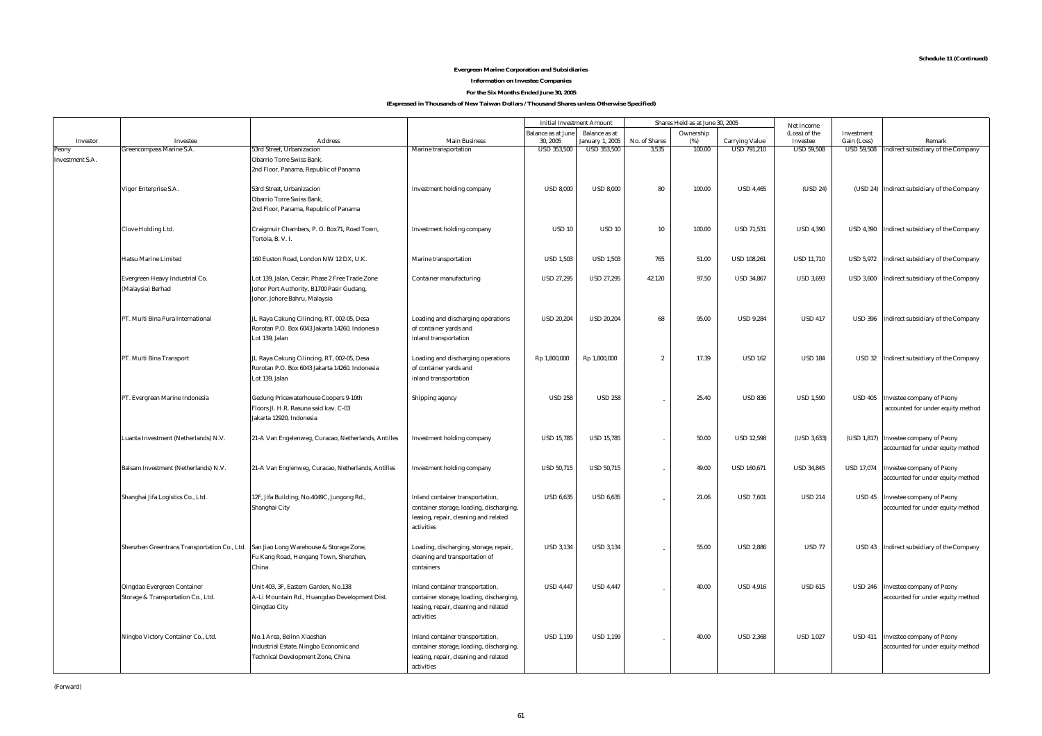#### **Evergreen Marine Corporation and Subsidiaries Information on Investee Companies**

**For the Six Months Ended June 30, 2005**

|                          |                                                                   |                                                                                                                               |                                                                                                                                     | <b>Initial Investment Amount</b> |                    |                | Shares Held as at June 30, 2005 |                       | Net Income        |                   |                                                                            |
|--------------------------|-------------------------------------------------------------------|-------------------------------------------------------------------------------------------------------------------------------|-------------------------------------------------------------------------------------------------------------------------------------|----------------------------------|--------------------|----------------|---------------------------------|-----------------------|-------------------|-------------------|----------------------------------------------------------------------------|
|                          |                                                                   |                                                                                                                               |                                                                                                                                     | Balance as at June               | Balance as at      |                | Ownership                       |                       | (Loss) of the     | Investment        |                                                                            |
| Investor                 | Investee                                                          | <b>Address</b>                                                                                                                | <b>Main Business</b>                                                                                                                | 30, 2005                         | January 1, 2005    | No. of Shares  | (% )                            | <b>Carrying Value</b> | Investee          | Gain (Loss)       | Remark                                                                     |
| Peony<br>Investment S.A. | Greencompass Marine S.A.                                          | 53rd Street, Urbanizacion<br>Obarrio Torre Swiss Bank,<br>2nd Floor, Panama, Republic of Panama                               | Marine transportation                                                                                                               | <b>USD 353,500</b>               | <b>USD 353,500</b> | 3,535          | 100.00                          | <b>USD 791,210</b>    | <b>USD 59,508</b> | <b>USD 59,508</b> | Indirect subsidiary of the Company                                         |
|                          | Vigor Enterprise S.A.                                             | 53rd Street, Urbanizacion<br><b>Obarrio Torre Swiss Bank,</b><br>2nd Floor, Panama, Republic of Panama                        | Investment holding company                                                                                                          | <b>USD 8,000</b>                 | <b>USD 8,000</b>   | 80             | 100.00                          | <b>USD 4,465</b>      | (USD 24)          |                   | (USD 24) Indirect subsidiary of the Company                                |
|                          | Clove Holding Ltd.                                                | Craigmuir Chambers, P. O. Box71, Road Town,<br>Tortola, B. V. I.                                                              | Investment holding company                                                                                                          | <b>USD 10</b>                    | <b>USD 10</b>      | 10             | 100.00                          | <b>USD 71,531</b>     | <b>USD 4,390</b>  |                   | USD 4,390   Indirect subsidiary of the Company                             |
|                          | <b>Hatsu Marine Limited</b>                                       | 160 Euston Road, London NW 12 DX, U.K.                                                                                        | Marine transportation                                                                                                               | <b>USD 1,503</b>                 | <b>USD 1,503</b>   | 765            | 51.00                           | <b>USD 108,261</b>    | <b>USD 11,710</b> |                   | USD 5,972 Indirect subsidiary of the Company                               |
|                          | Evergreen Heavy Industrial Co.<br>(Malaysia) Berhad               | Lot 139, Jalan, Cecair, Phase 2 Free Trade Zone<br>Johor Port Authority, B1700 Pasir Gudang,<br>Johor, Johore Bahru, Malaysia | Container manufacturing                                                                                                             | <b>USD 27,295</b>                | <b>USD 27,295</b>  | 42,120         | 97.50                           | <b>USD 34,867</b>     | <b>USD 3,693</b>  | <b>USD 3,600</b>  | Indirect subsidiary of the Company                                         |
|                          | PT. Multi Bina Pura International                                 | JL Raya Cakung Cilincing, RT, 002-05, Desa<br>Rorotan P.O. Box 6043 Jakarta 14260. Indonesia<br>Lot 139, Jalan                | Loading and discharging operations<br>of container yards and<br>inland transportation                                               | <b>USD 20,204</b>                | <b>USD 20,204</b>  | 68             | 95.00                           | <b>USD 9,284</b>      | <b>USD 417</b>    | <b>USD 396</b>    | Indirect subsidiary of the Company                                         |
|                          | PT. Multi Bina Transport                                          | JL Raya Cakung Cilincing, RT, 002-05, Desa<br>Rorotan P.O. Box 6043 Jakarta 14260. Indonesia<br>Lot 139, Jalan                | Loading and discharging operations<br>of container yards and<br>inland transportation                                               | Rp 1,800,000                     | Rp 1,800,000       | $\overline{2}$ | 17.39                           | <b>USD 162</b>        | <b>USD 184</b>    | <b>USD 32</b>     | Indirect subsidiary of the Company                                         |
|                          | PT. Evergreen Marine Indonesia                                    | Gedung Pricewaterhouse Coopers 9-10th<br>Floors Jl. H.R. Rasuna said kav. C-03<br>Jakarta 12920, Indonesia                    | Shipping agency                                                                                                                     | <b>USD 258</b>                   | <b>USD 258</b>     |                | 25.40                           | <b>USD 836</b>        | <b>USD 1,590</b>  | <b>USD 405</b>    | <b>Investee company of Peony</b><br>accounted for under equity method      |
|                          | Luanta Investment (Netherlands) N.V.                              | 21-A Van Engelenweg, Curacao, Netherlands, Antilles                                                                           | Investment holding company                                                                                                          | <b>USD 15,785</b>                | <b>USD 15,785</b>  |                | 50.00                           | <b>USD 12,598</b>     | (USD 3,633)       |                   | (USD 1,817) Investee company of Peony<br>accounted for under equity method |
|                          | Balsam Investment (Netherlands) N.V.                              | 21-A Van Englenweg, Curacao, Netherlands, Antilles                                                                            | Investment holding company                                                                                                          | <b>USD 50,715</b>                | <b>USD 50,715</b>  |                | 49.00                           | <b>USD 160,671</b>    | <b>USD 34,845</b> | <b>USD 17,074</b> | Investee company of Peony<br>accounted for under equity method             |
|                          | Shanghai Jifa Logistics Co., Ltd.                                 | 12F, Jifa Building, No.4049C, Jungong Rd.,<br>Shanghai City                                                                   | Inland container transportation,<br>container storage, loading, discharging,<br>leasing, repair, cleaning and related<br>activities | <b>USD 6,635</b>                 | <b>USD 6,635</b>   |                | 21.06                           | <b>USD 7,601</b>      | <b>USD 214</b>    | USD 45            | Investee company of Peony<br>accounted for under equity method             |
|                          | Shenzhen Greentrans Transportation Co., Ltd.                      | San Jiao Long Warehouse & Storage Zone,<br>Fu Kang Road, Hengang Town, Shenzhen,<br>China                                     | Loading, discharging, storage, repair,<br>cleaning and transportation of<br>containers                                              | <b>USD 3,134</b>                 | <b>USD 3,134</b>   |                | 55.00                           | <b>USD 2,886</b>      | <b>USD 77</b>     |                   | USD 43 Indirect subsidiary of the Company                                  |
|                          | Qingdao Evergreen Container<br>Storage & Transportation Co., Ltd. | Unit 403, 3F, Eastern Garden, No.138<br>A-Li Mountain Rd., Huangdao Development Dist.<br>Qingdao City                         | Inland container transportation,<br>container storage, loading, discharging,<br>leasing, repair, cleaning and related<br>activities | <b>USD 4,447</b>                 | <b>USD 4,447</b>   |                | 40.00                           | <b>USD 4.916</b>      | <b>USD 615</b>    | <b>USD 246</b>    | Investee company of Peony<br>accounted for under equity method             |
|                          | Ningbo Victory Container Co., Ltd.                                | No.1 Area, Beilnn Xiaoshan<br>Industrial Estate, Ningbo Economic and<br>Technical Development Zone, China                     | Inland container transportation,<br>container storage, loading, discharging,<br>leasing, repair, cleaning and related<br>activities | <b>USD 1,199</b>                 | <b>USD 1,199</b>   |                | 40.00                           | <b>USD 2.368</b>      | <b>USD 1,027</b>  | <b>USD 411</b>    | Investee company of Peony<br>accounted for under equity method             |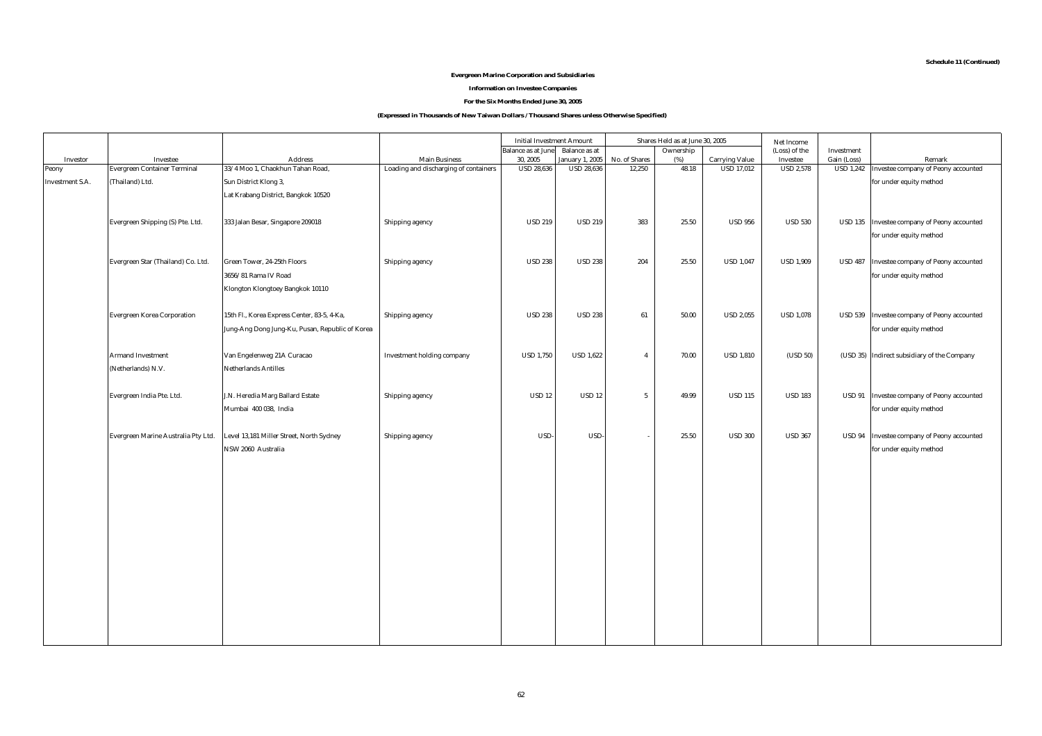#### **Evergreen Marine Corporation and Subsidiaries**

#### **Information on Investee Companies**

#### **For the Six Months Ended June 30, 2005**

|                 |                                     |                                                 |                                       | <b>Initial Investment Amount</b> |                   |                | Shares Held as at June 30, 2005 |                       | Net Income       |                  |                                             |
|-----------------|-------------------------------------|-------------------------------------------------|---------------------------------------|----------------------------------|-------------------|----------------|---------------------------------|-----------------------|------------------|------------------|---------------------------------------------|
|                 |                                     |                                                 |                                       | <b>Balance</b> as at June        | Balance as at     |                | Ownership                       |                       | (Loss) of the    | Investment       |                                             |
| Investor        | Investee                            | Address                                         | <b>Main Business</b>                  | 30, 2005                         | January 1, 2005   | No. of Shares  | (%)                             | <b>Carrying Value</b> | Investee         | Gain (Loss)      | Remark                                      |
| Peony           | <b>Evergreen Container Terminal</b> | 33/4 Moo 1, Chaokhun Tahan Road,                | Loading and discharging of containers | <b>USD 28,636</b>                | <b>USD 28,636</b> | 12,250         | 48.18                           | <b>USD 17,012</b>     | <b>USD 2,578</b> | <b>USD 1,242</b> | Investee company of Peony accounted         |
| Investment S.A. | (Thailand) Ltd.                     | Sun District Klong 3,                           |                                       |                                  |                   |                |                                 |                       |                  |                  | for under equity method                     |
|                 |                                     | Lat Krabang District, Bangkok 10520             |                                       |                                  |                   |                |                                 |                       |                  |                  |                                             |
|                 |                                     |                                                 |                                       |                                  |                   |                |                                 |                       |                  |                  |                                             |
|                 | Evergreen Shipping (S) Pte. Ltd.    | 333 Jalan Besar, Singapore 209018               | Shipping agency                       | <b>USD 219</b>                   | <b>USD 219</b>    | 383            | 25.50                           | <b>USD 956</b>        | <b>USD 530</b>   |                  | USD 135 Investee company of Peony accounted |
|                 |                                     |                                                 |                                       |                                  |                   |                |                                 |                       |                  |                  | for under equity method                     |
|                 |                                     |                                                 |                                       |                                  |                   |                |                                 |                       |                  |                  |                                             |
|                 | Evergreen Star (Thailand) Co. Ltd.  | Green Tower, 24-25th Floors                     | Shipping agency                       | <b>USD 238</b>                   | <b>USD 238</b>    | 204            | 25.50                           | <b>USD 1,047</b>      | <b>USD 1,909</b> | <b>USD 487</b>   | Investee company of Peony accounted         |
|                 |                                     | $3656/81$ Rama IV Road                          |                                       |                                  |                   |                |                                 |                       |                  |                  | for under equity method                     |
|                 |                                     | Klongton Klongtoey Bangkok 10110                |                                       |                                  |                   |                |                                 |                       |                  |                  |                                             |
|                 |                                     |                                                 |                                       |                                  |                   |                |                                 |                       |                  |                  |                                             |
|                 |                                     |                                                 |                                       |                                  |                   |                |                                 |                       |                  |                  |                                             |
|                 | <b>Evergreen Korea Corporation</b>  | 15th Fl., Korea Express Center, 83-5, 4-Ka,     | Shipping agency                       | <b>USD 238</b>                   | <b>USD 238</b>    | 61             | 50.00                           | <b>USD 2,055</b>      | <b>USD 1,078</b> | <b>USD 539</b>   | Investee company of Peony accounted         |
|                 |                                     | Jung-Ang Dong Jung-Ku, Pusan, Republic of Korea |                                       |                                  |                   |                |                                 |                       |                  |                  | for under equity method                     |
|                 |                                     |                                                 |                                       |                                  |                   |                |                                 |                       |                  |                  |                                             |
|                 | <b>Armand Investment</b>            | Van Engelenweg 21A Curacao                      | Investment holding company            | <b>USD 1,750</b>                 | <b>USD 1.622</b>  | $\overline{a}$ | 70.00                           | <b>USD 1,810</b>      | (USD 50)         |                  | (USD 35) Indirect subsidiary of the Company |
|                 | (Netherlands) N.V.                  | <b>Netherlands Antilles</b>                     |                                       |                                  |                   |                |                                 |                       |                  |                  |                                             |
|                 |                                     |                                                 |                                       |                                  |                   |                |                                 |                       |                  |                  |                                             |
|                 | Evergreen India Pte. Ltd.           | J.N. Heredia Marg Ballard Estate                | Shipping agency                       | <b>USD 12</b>                    | <b>USD 12</b>     | 5              | 49.99                           | <b>USD 115</b>        | <b>USD 183</b>   | <b>USD 91</b>    | Investee company of Peony accounted         |
|                 |                                     | Mumbai 400 038, India                           |                                       |                                  |                   |                |                                 |                       |                  |                  | for under equity method                     |
|                 |                                     |                                                 |                                       |                                  |                   |                |                                 |                       |                  |                  |                                             |
|                 | Evergreen Marine Australia Pty Ltd. | Level 13,181 Miller Street, North Sydney        | Shipping agency                       | USD-                             | USD-              |                | 25.50                           | <b>USD 300</b>        | <b>USD 367</b>   | <b>USD 94</b>    | Investee company of Peony accounted         |
|                 |                                     | NSW 2060 Australia                              |                                       |                                  |                   |                |                                 |                       |                  |                  | for under equity method                     |
|                 |                                     |                                                 |                                       |                                  |                   |                |                                 |                       |                  |                  |                                             |
|                 |                                     |                                                 |                                       |                                  |                   |                |                                 |                       |                  |                  |                                             |
|                 |                                     |                                                 |                                       |                                  |                   |                |                                 |                       |                  |                  |                                             |
|                 |                                     |                                                 |                                       |                                  |                   |                |                                 |                       |                  |                  |                                             |
|                 |                                     |                                                 |                                       |                                  |                   |                |                                 |                       |                  |                  |                                             |
|                 |                                     |                                                 |                                       |                                  |                   |                |                                 |                       |                  |                  |                                             |
|                 |                                     |                                                 |                                       |                                  |                   |                |                                 |                       |                  |                  |                                             |
|                 |                                     |                                                 |                                       |                                  |                   |                |                                 |                       |                  |                  |                                             |
|                 |                                     |                                                 |                                       |                                  |                   |                |                                 |                       |                  |                  |                                             |
|                 |                                     |                                                 |                                       |                                  |                   |                |                                 |                       |                  |                  |                                             |
|                 |                                     |                                                 |                                       |                                  |                   |                |                                 |                       |                  |                  |                                             |
|                 |                                     |                                                 |                                       |                                  |                   |                |                                 |                       |                  |                  |                                             |
|                 |                                     |                                                 |                                       |                                  |                   |                |                                 |                       |                  |                  |                                             |
|                 |                                     |                                                 |                                       |                                  |                   |                |                                 |                       |                  |                  |                                             |
|                 |                                     |                                                 |                                       |                                  |                   |                |                                 |                       |                  |                  |                                             |
|                 |                                     |                                                 |                                       |                                  |                   |                |                                 |                       |                  |                  |                                             |